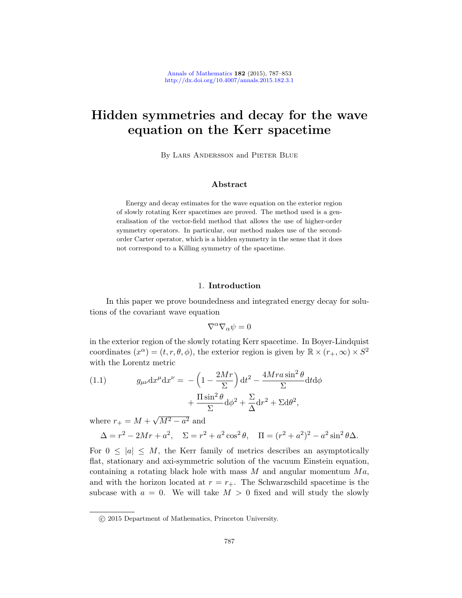# Hidden symmetries and decay for the wave equation on the Kerr spacetime

By Lars Andersson and Pieter Blue

## Abstract

Energy and decay estimates for the wave equation on the exterior region of slowly rotating Kerr spacetimes are proved. The method used is a generalisation of the vector-field method that allows the use of higher-order symmetry operators. In particular, our method makes use of the secondorder Carter operator, which is a hidden symmetry in the sense that it does not correspond to a Killing symmetry of the spacetime.

#### 1. Introduction

In this paper we prove boundedness and integrated energy decay for solutions of the covariant wave equation

$$
\nabla^\alpha\nabla_\alpha\psi=0
$$

in the exterior region of the slowly rotating Kerr spacetime. In Boyer-Lindquist coordinates  $(x^{\alpha}) = (t, r, \theta, \phi)$ , the exterior region is given by  $\mathbb{R} \times (r_+, \infty) \times S^2$ with the Lorentz metric

(1.1) 
$$
g_{\mu\nu}dx^{\mu}dx^{\nu} = -\left(1 - \frac{2Mr}{\Sigma}\right)dt^{2} - \frac{4Mra\sin^{2}\theta}{\Sigma}dt d\phi + \frac{\Pi\sin^{2}\theta}{\Sigma}d\phi^{2} + \frac{\Sigma}{\Delta}dr^{2} + \Sigma d\theta^{2},
$$

where  $r_+ = M +$ √  $\overline{M^2-a^2}$  and

$$
\Delta = r^2 - 2Mr + a^2, \quad \Sigma = r^2 + a^2 \cos^2 \theta, \quad \Pi = (r^2 + a^2)^2 - a^2 \sin^2 \theta \Delta.
$$

For  $0 \leq |a| \leq M$ , the Kerr family of metrics describes an asymptotically flat, stationary and axi-symmetric solution of the vacuum Einstein equation, containing a rotating black hole with mass  $M$  and angular momentum  $Ma$ , and with the horizon located at  $r = r_{+}$ . The Schwarzschild spacetime is the subcase with  $a = 0$ . We will take  $M > 0$  fixed and will study the slowly

c 2015 Department of Mathematics, Princeton University.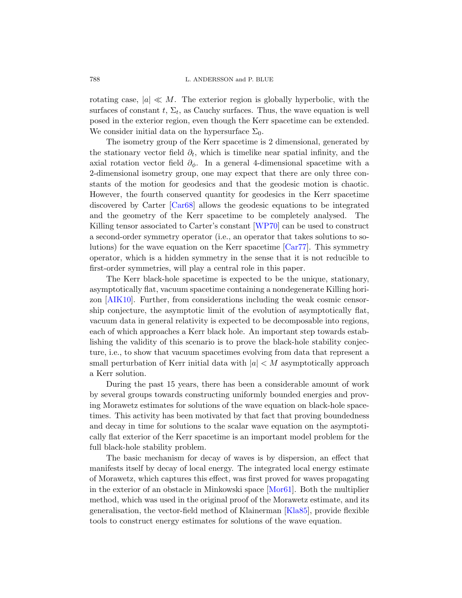rotating case,  $|a| \ll M$ . The exterior region is globally hyperbolic, with the surfaces of constant  $t$ ,  $\Sigma_t$ , as Cauchy surfaces. Thus, the wave equation is well posed in the exterior region, even though the Kerr spacetime can be extended. We consider initial data on the hypersurface  $\Sigma_0$ .

[T](#page-63-0)he isometry group of the Kerr spacetime is 2 dimensional, generated by the stationary vector field  $\partial_t$ , which is timelike near spatial infinity, and the axial rotation vector [field](#page-66-0)  $\partial_{\phi}$ . In a general 4-dimensional spacetime with a 2-dimensional isometry group, one may expect that there are only three constants of the motion for geod[esics an](#page-63-1)d that the geodesic motion is chaotic. However, the fourth conserved quantity for geodesics in the Kerr spacetime discovered by Carter [Car68] allows the geodesic equations to be integrated and the geometry of the Kerr spacetime to be completely analysed. The Killing tensor associated to Carter's constant [WP70] can be used to construct a second-order symmetry operator (i.e., an operator that takes solutions to solutions) for the wave equation on the Kerr spacetime [Car77]. This symmetry operator, which is a hidden symmetry in the sense that it is not reducible to first-order symmetries, will play a central role in this paper.

The Kerr black-hole spacetime is expected to be the unique, stationary, asymptotically flat, vacuum spacetime containing a nondegenerate Killing horizon [AIK10]. Further, from considerations including the weak cosmic censorship conjecture, the asymptotic limit of the evolution of asymptotically flat, vacuum data in general relativity is expected to be decomposable into regions, each of which approaches a Kerr black hole. An important step towards establishing the validity of this scenario is to prove the black-hole stability conjecture, i.e., to show that vacuum spacetimes evolving from data that represent a small perturbation of Kerr initial data with  $|a| < M$  asymptotically approach a Kerr solution.

During the past 15 years, there has been a considerable amount of work by several groups towards constructing uniformly bounded energies and proving Morawetz estimates for solutions of the wave equation on black-hole spacetimes. This activity has been motivated by that fact that proving boundedness and decay in time for solu[tions to](#page-65-0) the scalar wave equation on the asymptotically flat exterior of the Kerr spacetime is an important model problem for the full black-hole stability proble[m.](#page-64-0)

The basic mechanism for decay of waves is by dispersion, an effect that manifests itself by decay of local energy. The integrated local energy estimate of Morawetz, which captures this effect, was first proved for waves propagating in the exterior of an obstacle in Minkowski space [Mor61]. Both the multiplier method, which was used in the original proof of the Morawetz estimate, and its generalisation, the vector-field method of Klainerman [Kla85], provide flexible tools to construct energy estimates for solutions of the wave equation.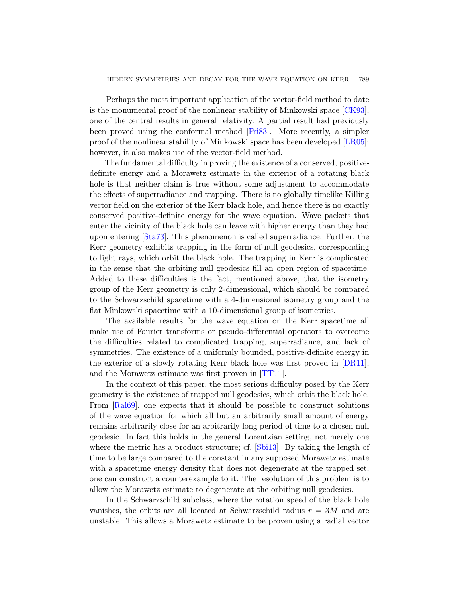Perhaps the most important application of the vector-field method to date is the monumental proof of the nonlinear stability of Minkowski space [CK93], one of the central results in general relativity. A partial result had previously been proved using the conformal method [Fri83]. More recently, a simpler proof of the nonlinear stability of Minkowski space has been developed [LR05]; however, it also makes use of the vector-field method.

The fundamental difficulty in proving the existence of a conserved, positivedefinite energy and a Morawetz estimate in the exterior of a rotating black hole is that neither claim is true without some adjustment to accommodate the effects of superradiance and trapping. There is no globally timelike Killing vector field on the exterior of the Kerr black hole, and hence there is no exactly conserved positive-definite energy for the wave equation. Wave packets that enter the vicinity of the black hole can leave with higher energy than they had upon entering [Sta73]. This phenomenon is called superradiance. Further, the Kerr geometry exhibits trapping in the form of null geodesics, corresponding to light rays, which orbit the black hole. The trapping in Kerr is complicated in the sense that the orbiting null geodesics fill an open region of spacetime. Added to these difficulties is the fact, mentioned above, that the isometry group of the Kerr geometry is only 2-dimensional, which should be compared to the Schwarzschild spacetime with a 4-dimen[sional](#page-63-2) isometry group and the flat Minkowski spacetim[e with](#page-66-1) a 10-dimensional group of isometries.

The available results for the wave equation on the Kerr spacetime all make use of Fourier transforms or pseudo-differential operators to overcome the difficulties related to complicated trapping, superradiance, and lack of symmetries. The existence of a uniformly bounded, positive-definite energy in the exterior of a slowly rotating Kerr black hole was first proved in [DR11], and the Morawetz estimate was first proven in [TT11].

In the context oft[his pap](#page-65-2)er, the most serious difficulty posed by the Kerr geometry is the existence of trapped null geodesics, which orbit the black hole. From [Ral69], one expects that it should be possible to construct solutions of the wave equation for which all but an arbitrarily small amount of energy remains arbitrarily close for an arbitrarily long period of time to a chosen null geodesic. In fact this holds in the general Lorentzian setting, not merely one where the metric has a product structure; cf. [Sbi13]. By taking the length of time to be large compared to the constant in any supposed Morawetz estimate with a spacetime energy density that does not degenerate at the trapped set, one can construct a counterexample to it. The resolution of this problem is to allow the Morawetz estimate to degenerate at the orbiting null geodesics.

In the Schwarzschild subclass, where the rotation speed of the black hole vanishes, the orbits are all located at Schwarzschild radius  $r = 3M$  and are unstable. This allows a Morawetz estimate to be proven using a radial vector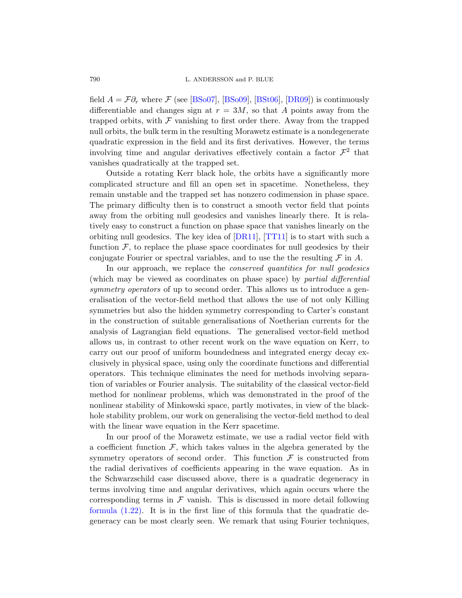#### 790 L. ANDERSSON and P. BLUE

field  $A = \mathcal{F}\partial_r$  where  $\mathcal F$  (see [BSo07], [BSo09], [BSt06], [DR09]) is continuously differentiable and changes sign at  $r = 3M$ , so that A points away from the trapped orbits, with  $\mathcal F$  vanishing to first order there. Away from the trapped null orbits, the bulk term in the resulting Morawetz estimate is a nondegenerate quadratic expression in the field and its first derivatives. However, the terms involving time and angular derivatives effectively contain a factor  $\mathcal{F}^2$  that vanishes quadratically at the trapped set.

Outside a r[otating](#page-63-2) [Kerr bla](#page-66-1)ck hole, the orbits have a significantly more complicated structure and fill an open set in spacetime. Nonetheless, they remain unstable and the trapped set has nonzero codimension in phase space. The primary difficulty then is to construct a smooth vector field that points away from the orbiting null geodesics and vanishes linearly there. It is relatively easy to construct a function on phase space that vanishes linearly on the orbiting null geodesics. The key idea of [DR11], [TT11] is to start with such a function  $\mathcal F$ , to replace the phase space coordinates for null geodesics by their conjugate Fourier or spectral variables, and to use the the resulting  $\mathcal F$  in A.

In our approach, we replace the *conserved quantities for null geodesics* (which may be viewed as coordinates on phase space) by partial differential symmetry operators of up to second order. This allows us to introduce a generalisation of the vector-field method that allows the use of not only Killing symmetries but also the hidden symmetry corresponding to Carter's constant in the construction of suitable generalisations of Noetherian currents for the analysis of Lagrangian field equations. The generalised vector-field method allows us, in contrast to other recent work on the wave equation on Kerr, to carry out our proof of uniform boundedness and integrated energy decay exclusively in physical space, using only the coordinate functions and differential operators. This technique eliminates the need for methods involving separation of variables or Fourier analysis. The suitability of the classical vector-field method for nonlinear problems, which was demonstrated in the proof of the nonlinear stability of Minkowski space, partly motivates, in view of the blackhole stability problem, our work on generalising the vector-field method to deal with the linear wave equation in the Kerr spacetime.

In our proof of the Morawetz estimate, we use a radial vector field with a coefficient function  $\mathcal{F}$ , which takes values in the algebra generated by the symmetry operators of second order. This function  $\mathcal F$  is constructed from the radial derivatives of coefficients appearing in the wave equation. As in the Schwarzschild case discussed above, there is a quadratic degeneracy in terms involving time and angular derivatives, which again occurs where the corresponding terms in  $\mathcal F$  vanish. This is discussed in more detail following formula (1.22). It is in the first line of this formula that the quadratic degeneracy can be most clearly seen. We remark that using Fourier techniques,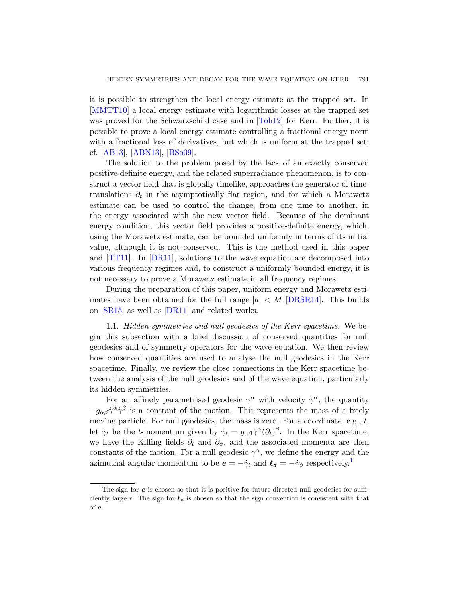it is possible to strengthen the local energy estimate at the trapped set. In [MMTT10] a local energy estimate with logarithmic losses at the trapped set was proved for the Schwarzschild case and in [Toh12] for Kerr. Further, it is possible to prove a local energy estimate controlling a fractional energy norm with a fractional loss of derivatives, but which is uniform at the trapped set; cf. [AB13], [ABN13], [BSo09].

The solution to the problem posed by the lack of an exactly conserved positive-definite energy, and the related superradiance phenomenon, is to construct a vector field that is globally timelike, approaches the generator of time[t](#page-63-2)ranslations  $\partial_t$  in the asymptotically flat region, and for which a Morawetz estimate can be used to control the change, from one time to another, in the energy associated with the new vector field. Because of the dominant energy condition, this vector field provides a positive-definite energy, which, using the Morawetz estimate, c[an be bou](#page-63-3)nded uniformly in terms of its initial [value](#page-63-2), although it is not conserved. This is the method used in this paper and [TT11]. In [DR11], solutions to the wave equation are decomposed into various frequency regimes and, to construct a uniformly bounded energy, it is not necessary to prove a Morawetz estimate in all frequency regimes.

During the preparation of this paper, uniform energy and Morawetz estimates have been obtained for the full range  $|a| \lt M$  [DRSR14]. This builds on [SR15] as well as [DR11] and related works.

1.1. Hidden symmetries and null geodesics of the Kerr spacetime. We begin this subsection with a brief discussion of conserved quantities for null geodesics and of symmetry operators for the wave equation. We then review how conserved quantities are used to analyse the null geodesics in the Kerr spacetime. Finally, we review the close connections in the Kerr spacetime between the analysis of the null geodesics and of the wave equation, particularly its hidden symmetries.

<span id="page-4-0"></span>For an affinely parametrised geodesic  $\gamma^{\alpha}$  w[ith](#page-4-0) velocity  $\dot{\gamma}^{\alpha}$ , the quantity  $-g_{\alpha\beta}\dot{\gamma}^{\alpha}\dot{\gamma}^{\beta}$  is a constant of the motion. This represents the mass of a freely moving particle. For null geodesics, the mass is zero. For a coordinate, e.g.,  $t$ , let  $\dot{\gamma}_t$  be the t-momentum given by  $\dot{\gamma}_t = g_{\alpha\beta} \dot{\gamma}^{\alpha} (\partial_t)^{\beta}$ . In the Kerr spacetime, we have the Killing fields  $\partial_t$  and  $\partial_{\phi}$ , and the associated momenta are then constants of the motion. For a null geodesic  $\gamma^{\alpha}$ , we define the energy and the azimuthal angular momentum to be  $e = -\dot{\gamma}_t$  and  $\ell_z = -\dot{\gamma}_\phi$  respectively.<sup>1</sup>

<sup>&</sup>lt;sup>1</sup>The sign for  $e$  is chosen so that it is positive for future-directed null geodesics for sufficiently large r. The sign for  $\ell_z$  is chosen so that the sign convention is consistent with that of e.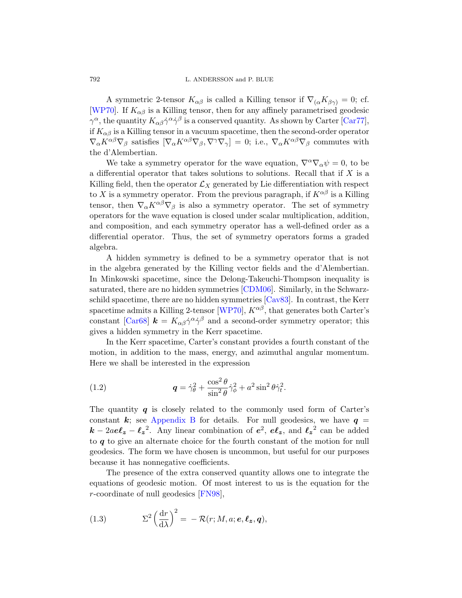#### 792 L. ANDERSSON and P. BLUE

A symmetric 2-tensor  $K_{\alpha\beta}$  is called a Killing tensor if  $\nabla_{(\alpha}K_{\beta\gamma)}=0$ ; cf. [WP70]. If  $K_{\alpha\beta}$  is a Killing tensor, then for any affinely parametrised geodesic  $\gamma^{\alpha}$ , the quantity  $K_{\alpha\beta}\dot{\gamma}^{\alpha}\dot{\gamma}^{\beta}$  is a conserved quantity. As shown by Carter [Car77], if  $K_{\alpha\beta}$  is a Killing tensor in a vacuum spacetime, then the second-order operator  $\nabla_{\alpha} K^{\alpha\beta} \nabla_{\beta}$  satisfies  $[\nabla_{\alpha} K^{\alpha\beta} \nabla_{\beta}, \nabla^{\gamma} \nabla_{\gamma}] = 0$ ; i.e.,  $\nabla_{\alpha} K^{\alpha\beta} \nabla_{\beta}$  commutes with the d'Alembertian.

We take a symmetry operator for the wave equation,  $\nabla^{\alpha}\nabla_{\alpha}\psi=0$ , to be a differential operator that takes solutions to solutions. Recall that if  $X$  is a Killing field, then the operator  $\mathcal{L}_X$  generated by Lie differentiation with respect to X is a symmetry operator. From the previous paragraph, if  $K^{\alpha\beta}$  is a Killing tensor, then  $\nabla_{\alpha} K^{\alpha\beta} \nabla_{\beta}$  is also a symmetry operator. The set of symmetry operators for the wave equation is closed under scalar multiplication, addition, and composition, [and each](#page-63-4) symmetry operator has a well-defined order as a differential [operator](#page-66-0). Th[us, the](#page-63-5) set of symmetry operators forms a graded algebra.

A hidden symmetry is defined to be a symmetry operator that is not in the algebra generated by the Killing vector fields and the d'Alembertian. In Minkowski spacetime, since the Delong-Takeuchi-Thompson inequality is saturated, there are no hidden symmetries [CDM06]. Similarly, in the Schwarzschild spacetime, there are no hidden symmetries [Cav83]. In contrast, the Kerr spacetime admits a Killing 2-tensor [WP70],  $K^{\alpha\beta}$ , that generates both Carter's constant [Car68]  $\mathbf{k} = K_{\alpha\beta}\dot{\gamma}^{\alpha}\dot{\gamma}^{\beta}$  and a second-order symmetry operator; this gives a hidden symmetry in the Kerr spacetime.

<span id="page-5-1"></span>In the Kerr spacetime, Carter's constant provides a fourth constant of the [motion](#page-61-0), in addition to the mass, energy, and azimuthal angular momentum. Here we shall be interested in the expression

(1.2) 
$$
\mathbf{q} = \dot{\gamma}_{\theta}^2 + \frac{\cos^2 \theta}{\sin^2 \theta} \dot{\gamma}_{\phi}^2 + a^2 \sin^2 \theta \dot{\gamma}_{t}^2.
$$

The quantity  $q$  is closely related to the commonly used form of Carter's constant k; see Appendix B for details. For null geodesics, we have  $q =$  $\mathbf{k} - 2a e \mathbf{\ell}_z - {\mathbf{\ell}_z}^2$ . Any linear combination of  $e^2$ ,  $e \mathbf{\ell}_z$ , and  ${\mathbf{\ell}_z}^2$  can be added to  $q$  to give an alternate choice for the fourth constant of the motion for null geodesics. The form we have chosen is uncommon, but useful for our purposes because it has nonnegative coefficients.

<span id="page-5-0"></span>The presence of the extra conserved quantity allows one to integrate the equations of geodesic motion. Of most interest to us is the equation for the r-coordinate of null geodesics [FN98],

(1.3) 
$$
\Sigma^2 \left(\frac{\mathrm{d}r}{\mathrm{d}\lambda}\right)^2 = -\mathcal{R}(r;M,a;\mathbf{e},\mathbf{\ell_z},\mathbf{q}),
$$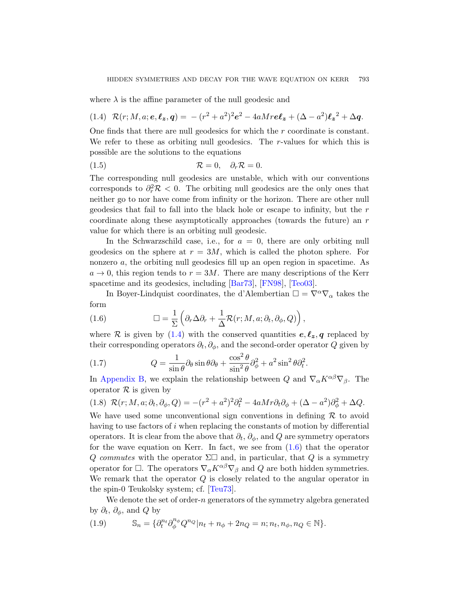<span id="page-6-2"></span><span id="page-6-0"></span>where  $\lambda$  is the affine parameter of the null geodesic and

(1.4) 
$$
\mathcal{R}(r; M, a; e, \ell_z, q) = -(r^2 + a^2)^2 e^2 - 4a M r e \ell_z + (\Delta - a^2) \ell_z^2 + \Delta q.
$$

One finds that there are null geodesics for which the r coordinate is constant. We refer to these as orbiting null geodesics. The  $r$ -values for which this is possible are the solutions to the equations

$$
(1.5) \t\t \mathcal{R} = 0, \quad \partial_r \mathcal{R} = 0.
$$

The corresponding null geodesics are unstable, which with our conventions corresponds to  $\partial_r^2 \mathcal{R} < 0$ . The orbiting null geodesics are the only ones that neither go to nor have come from infinity or the horizon. There are other null geodesics that fail to fall into the black hole or escape to infinity, but the r coordinate alon[g these](#page-62-0) [asympt](#page-64-1)o[tically](#page-66-2) approaches (towards the future) an r value for which there is an orbiting null geodesic.

<span id="page-6-1"></span>In the Schwarzschild case, i.e., for  $a = 0$ , there are only orbiting null geodesics on the sphere at  $r = 3M$ , which is called the photon sphere. For [non](#page-6-0)zero a, the orbiting null geodesics fill up an open region in spacetime. As  $a \to 0$ , this region tends to  $r = 3M$ . There are many descriptions of the Kerr spacetime and its geodesics, including [Bar73], [FN98], [Teo03].

In Boyer-Lindquist coordinates, the d'Alembertian  $\square = \nabla^{\alpha} \nabla_{\alpha}$  takes the form

(1.6) 
$$
\Box = \frac{1}{\Sigma} \left( \partial_r \Delta \partial_r + \frac{1}{\Delta} \mathcal{R}(r; M, a; \partial_t, \partial_\phi, Q) \right),
$$

<span id="page-6-3"></span>where R is given by  $(1.4)$  with the conserved quantities  $e, \ell_z, q$  replaced by their corresponding operators  $\partial_t$ ,  $\partial_\phi$ , and the second-order operator Q given by

(1.7) 
$$
Q = \frac{1}{\sin \theta} \partial_{\theta} \sin \theta \partial_{\theta} + \frac{\cos^2 \theta}{\sin^2 \theta} \partial_{\phi}^2 + a^2 \sin^2 \theta \partial_t^2.
$$

In Appendix B, we explain the [rela](#page-6-1)tionship between Q and  $\nabla_{\alpha} K^{\alpha\beta} \nabla_{\beta}$ . The operator  $\mathcal R$  is given by

$$
(1.8) \ \mathcal{R}(r; M, a; \partial_t, \partial_\phi, Q) = -(r^2 + a^2)^2 \partial_t^2 - 4aMr \partial_t \partial_\phi + (\Delta - a^2) \partial_\phi^2 + \Delta Q.
$$

<span id="page-6-4"></span>We have used some unconventional sign conventions in defining  $\mathcal R$  to avoid having to [use fact](#page-66-3)ors of i when replacing the constants of motion by differential operators. It is clear from the above that  $\partial_t$ ,  $\partial_\phi$ , and Q are symmetry operators for the wave equation on Kerr. In fact, we see from  $(1.6)$  that the operator Q commutes with the operator  $\Sigma\Box$  and, in particular, that Q is a symmetry operator for  $\Box$ . The operators  $\nabla_{\alpha} K^{\alpha\beta} \nabla_{\beta}$  and  $Q$  are both hidden symmetries. We remark that the operator Q is closely related to the angular operator in the spin-0 Teukolsky system; cf. [Teu73].

We denote the set of order- $n$  generators of the symmetry algebra generated by  $\partial_t$ ,  $\partial_\phi$ , and Q by

(1.9) 
$$
\mathbb{S}_n = \{ \partial_t^{n_t} \partial_{\phi}^{n_{\phi}} Q^{n_Q} | n_t + n_{\phi} + 2n_Q = n; n_t, n_{\phi}, n_Q \in \mathbb{N} \}.
$$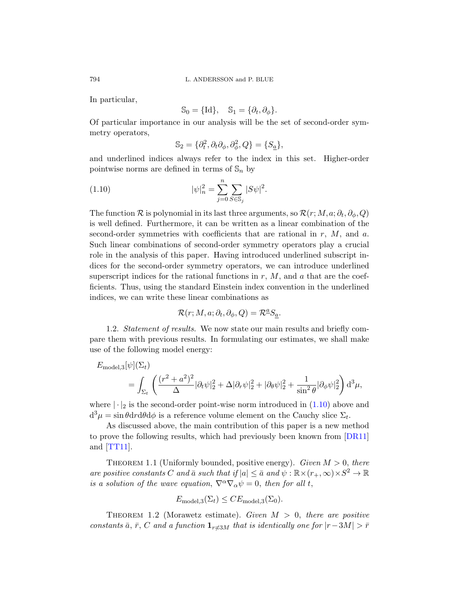In particular,

$$
\mathbb{S}_0 = \{\text{Id}\}, \quad \mathbb{S}_1 = \{\partial_t, \partial_\phi\}.
$$

<span id="page-7-0"></span>Of particular importance in our analysis will be the set of second-order symmetry operators,

$$
\mathbb{S}_2 = \{ \partial_t^2, \partial_t \partial_\phi, \partial_\phi^2, Q \} = \{ S_{\underline{a}} \},
$$

and underlined indices always refer to the index in this set. Higher-order pointwise norms are defined in terms of  $\mathbb{S}_n$  by

(1.10) 
$$
|\psi|_n^2 = \sum_{j=0}^n \sum_{S \in \mathbb{S}_j} |S\psi|^2.
$$

The function  $\mathcal R$  is polynomial in its last three arguments, so  $\mathcal R(r;M,a;\partial_t,\partial_\phi,Q)$ is well defined. Furthermore, it can be written as a linear combination of the second-order symmetries with coefficients that are rational in  $r$ ,  $M$ , and  $a$ . Such linear combinations of second-order symmetry operators play a crucial role in the analysis of this paper. Having introduced underlined subscript indices for the second-order symmetry operators, we can introduce underlined superscript indices for the rational functions in  $r, M$ , and  $a$  that are the coefficients. Thus, using the standard Einstein index convention in the underlined indices, we can write these linear combinations as

$$
\mathcal{R}(r;M,a;\partial_t,\partial_\phi,Q) = \mathcal{R}^{\underline{a}}S_{\underline{a}}.
$$

1.2. Statement of results. We now state our main results and briefly compare them with previous results. In fo[rmula](#page-7-0)ting our estimates, we shall make use of the following model energy:

$$
E_{\text{model},3}[\psi](\Sigma_t)
$$
  
= 
$$
\int_{\Sigma_t} \left( \frac{(r^2 + a^2)^2}{\Delta} |\partial_t \psi|_2^2 + \Delta |\partial_r \psi|_2^2 + |\partial_\theta \psi|_2^2 + \frac{1}{\sin^2 \theta} |\partial_\phi \psi|_2^2 \right) d^3 \mu,
$$

<span id="page-7-2"></span>where  $|\cdot|_2$  is the second-order point-wise norm introduced in  $(1.10)$  above and  $d^3\mu = \sin\theta dr d\theta d\phi$  is a reference volume element on the Cauchy slice  $\Sigma_t$ .

<span id="page-7-1"></span>As discussed above, the main contribution of this paper is a new method to prove the following results, which had previously been known from [DR11] and  $[TT11]$ .

THEOREM 1.1 (Uniformly bounded, positive energy). Given  $M > 0$ , there are positive constants C and  $\bar{a}$  such that if  $|a| \leq \bar{a}$  and  $\psi : \mathbb{R} \times (r_+, \infty) \times S^2 \to \mathbb{R}$ is a solution of the wave equation,  $\nabla^{\alpha}\nabla_{\alpha}\psi=0$ , then for all t,

$$
E_{\text{model},3}(\Sigma_t) \leq CE_{\text{model},3}(\Sigma_0).
$$

THEOREM 1.2 (Morawetz estimate). Given  $M > 0$ , there are positive constants  $\bar{a}$ ,  $\bar{r}$ , C and a function  $\mathbf{1}_{r\neq3M}$  that is identically one for  $|r-3M| > \bar{r}$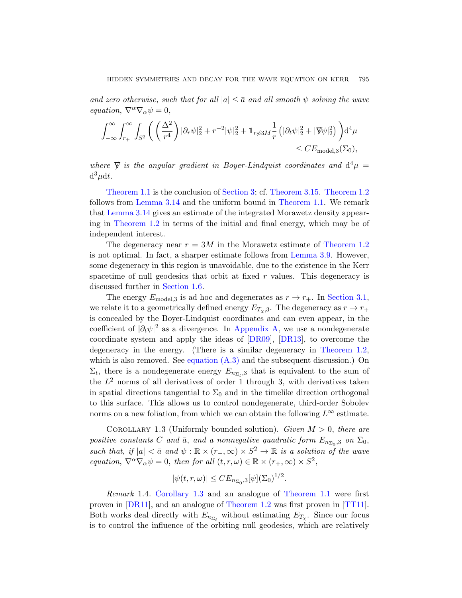and zero otherwise, such that for all  $|a| \leq \bar{a}$  and all smooth  $\psi$  solving the wave equation,  $\nabla^{\alpha}\nabla_{\alpha}\psi=0$ ,

$$
\int_{-\infty}^{\infty} \int_{r_+}^{\infty} \int_{S^2} \left( \left( \frac{\Delta^2}{r^4} \right) |\partial_r \psi|_2^2 + r^{-2} |\psi|_2^2 + \mathbf{1}_{r \neq 3M} \frac{1}{r} \left( |\partial_t \psi|_2^2 + |\nabla \psi|_2^2 \right) \right) d^4 \mu
$$
  
\$\leq C E\_{\text{model},3}(\Sigma\_0),\$

where  $\nabla$  is the angular gradient in Boyer-Lindquist coordinates and  $d^4\mu =$  $d^3\mu dt$ .

Theorem 1.1 is the conclusion of [Section](#page-37-0) 3; cf. Theorem 3.15. Theorem 1.2 follows from Lemma 3.14 and the uniform bound in Theorem 1.1. We remark that Lemma 3.14 gives an estimate of the integrated Morawetz density appear[ing in](#page-18-0) Theorem 1.2 in terms of the initial and final energy, which may be of independent interest.

The degeneracy near  $r = 3M$  in the Morawetz estimate of Theorem 1.2 is not optimal. In fact, a sharper estimate follows from Lemma 3.9. However, some degeneracy [in this region](#page-56-0) is unavoidable, due to the existence in the Kerr spacetime of null ge[odesics](#page-63-6)t[hat orb](#page-63-7)it a[t fixed](#page-7-1)  $r$  values. This degeneracy is discussed further in Section 1.6.

<span id="page-8-0"></span>[The energy](#page-60-0)  $E_{\text{model},3}$  is ad hoc and degenerates as  $r \to r_{+}$ . In Section 3.1, we relate it to a geometrically defined energy  $E_{T_x,3}$ . The degeneracy as  $r \to r_+$ is concealed by the Boyer-Lindquist coordinates and can even appear, in the coefficient of  $|\partial_t \psi|^2$  as a divergence. In Appendix A, we use a nondegenerate coordinate system and apply the ideas of [DR09], [DR13], to overcome the degeneracy in the energy. (There is a similar degeneracy in Theorem 1.2, which is also removed. See equation  $(A.3)$  and the subsequent discussion.) On  $\Sigma_t$ , there is a nondegenerate energy  $E_{n_{\Sigma_t},3}$  that is equivalent to the sum of the  $L^2$  norms of all derivatives of order 1 through 3, with derivatives taken in spatial directions tangential to  $\Sigma_0$  and in the timelike direction orthogonal to this surface. This allows us to control nondegenerate, third-order Sobolev norms on a new foliation, from which we can obtain the following  $L^{\infty}$  estimate.

COROLLARY 1.3 (Unifor[mly bounded so](#page-7-2)lution). Given  $M > 0$ , there are positive constants C [and](#page-7-1)  $\bar{a}$ , and a nonnegative [quadra](#page-66-1)tic form  $E_{n_{\Sigma_0},3}$  on  $\Sigma_0$ , such that, if  $|a| < \bar{a}$  and  $\psi : \mathbb{R} \times (r_+, \infty) \times S^2 \to \mathbb{R}$  is a solution of the wave equation,  $\nabla^{\alpha}\nabla_{\alpha}\psi=0$ , then for all  $(t, r, \omega) \in \mathbb{R} \times (r_+, \infty) \times S^2$ ,

$$
|\psi(t,r,\omega)| \leq CE_{n_{\Sigma_0},3}[\psi](\Sigma_0)^{1/2}.
$$

Remark 1.4. Corollary 1.3 and an analogue of Theorem 1.1 were first proven in [DR11], and an analogue of Theorem 1.2 was first proven in [TT11]. Both works deal directly with  $E_{n_{\Sigma_t}}$  without estimating  $E_{T_\chi}$ . Since our focus is to control the influence of the orbiting null geodesics, which are relatively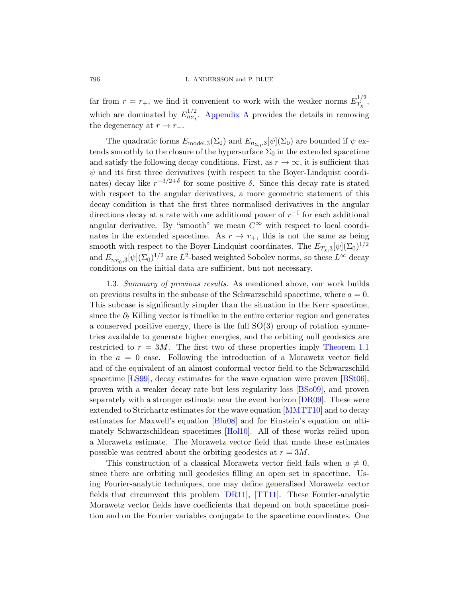far from  $r = r_{+}$ , we find it convenient to work with the weaker norms  $E_T^{1/2}$  $T_\chi^{1/2},$ which are dominated by  $E_{n_{\Sigma_t}}^{1/2}$ . Appendix A provides the details in removing the degeneracy at  $r \to r_{+}$ .

The quadratic forms  $E_{\text{model},3}(\Sigma_0)$  and  $E_{n_{\Sigma_0},3}[\psi](\Sigma_0)$  are bounded if  $\psi$  extends smoothly to the closure of the hypersurface  $\Sigma_0$  in the extended spacetime and satisfy the following decay conditions. First, as  $r \to \infty$ , it is sufficient that  $\psi$  and its first three derivatives (with respect to the Boyer-Lindquist coordinates) decay like  $r^{-3/2+\delta}$  for some positive  $\delta$ . Since this decay rate is stated with respect to the angular derivatives, a more geometric statement of this decay condition is that the first three normalised derivatives in the angular directions decay at a rate with one additional power of  $r^{-1}$  for each additional angular derivative. By "smooth" we mean  $C^{\infty}$  with respect to local coordinates in the extended spacetime. As  $r \to r_{+}$ , this is not the same as being smooth with respect to the Boyer-Lindquist coordinates. The  $E_{T_\chi,3}[\psi](\Sigma_0)^{1/2}$ and  $E_{n_{\Sigma_0},3}[\psi](\Sigma_0)^{1/2}$  are  $L^2$ -based weighted Sobolev norms, so these  $L^{\infty}$  decay conditions on the initial data are sufficient, but not necessary.

1.3. Summary of previous results. A[s mentioned a](#page-7-2)bove, our work builds on previous results in the subcase of the Schwarzschild spacetime, where  $a = 0$ . This subcase is significantly simpler than the situation in the Kerr spacetime, since the  $\partial_t$  Killing vector is timelike in the enti[re exter](#page-62-1)ior region and generates a conserved positive energy, there [is the f](#page-62-2)ull  $SO(3)$  group of rotation symmetries available to generate higher e[nergies,](#page-63-6) and the orbiting null geodesics are restricted to  $r = 3M$ . The fi[rst two of t](#page-65-3)hese properties imply Theorem 1.1 in the  $a = 0$  case. Following the introduction of a Morawetz vector field and of the equ[ivalent](#page-64-2) of an almost conformal vector field to the Schwarzschild spacetime [LS99], decay estimates for the wave equation were proven [BSt06], proven with a weaker decay rate but less regularity loss [BSo09], and proven separately with a stronger estimate near the event horizon [DR09]. These were extended to Strichartz estimates for the wave equation [MMTT10] and to decay estimates for Maxwell's equation [Blu08] and for Einstein's equation on ultimately Schwa[rzschild](#page-63-2)e[an spac](#page-66-1)etimes [Hol10]. All of these works relied upon a Morawetz estimate. The Morawetz vector field that made these estimates possible was centred about the orbiting geodesics at  $r = 3M$ .

This construction of a classical Morawetz vector field fails when  $a \neq 0$ , since there are orbiting null geodesics filling an open set in spacetime. Using Fourier-analytic techniques, one may define generalised Morawetz vector fields that circumvent this problem [DR11], [TT11]. These Fourier-analytic Morawetz vector fields have coefficients that depend on both spacetime position and on the Fourier variables conjugate to the spacetime coordinates. One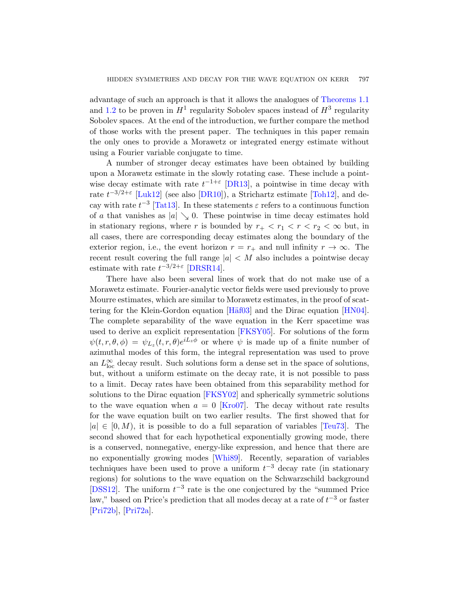advantage of such an approach is that it allows the analogues of Theorems 1.1 and 1.2 to be proven in  $H^1$  regularity Sobolev spaces instead of  $H^3$  regularity Sobolev spaces[. At th](#page-63-7)e end of the introduction, we further compare the method of thos[e work](#page-63-8)s with the present pape[r. The](#page-66-4) techniques in this paper remain [th](#page-66-5)e only ones to provide a Morawetz or integrated energy estimate without using a Fourier variable conjugate to time.

A number of stronger decay estimates have been obtained by building upon a Morawetz estimate in the slowly rotating case. These include a pointwise decay estimate with rate  $t^{-1+\epsilon}$  [DR13], a pointwise in time decay with rate  $t^{-3/2+\epsilon}$  [Luk12] (see also [DR10]), a Strichartz estimate [Toh12], and decay [with rate](#page-63-3)  $t^{-3}$  [Tat13]. In these statements  $\varepsilon$  refers to a continuous function of a that vanishes as  $|a| \searrow 0$ . These pointwise in time decay estimates hold in stationary regions, where r is bounded by  $r_+ < r_1 < r < r_2 < \infty$  but, in all cases, there are corresponding decay estimates along the boundary of the exterior region, [i.e., th](#page-64-3)e event horizon  $r = r_+$  [and nu](#page-64-4)ll infinity  $r \to \infty$ . The recent result covering the full range  $|a| \lt M$  also includes a pointwise decay estimate with rate  $t^{-3/2+\epsilon}$  $t^{-3/2+\epsilon}$  $t^{-3/2+\epsilon}$  [DRSR14].

There have also been several lines of work that do not make use of a Morawetz estimate. Fourier-analytic vector fields were used previously to prove Mourre estimates, which are similar to Morawetz estimates, in the proof of scattering for the Klein-Gordon equation [H $\ddot{a}$ f03] and the Dirac equation [HN04]. The complete separability of the wave equation in the Kerr spacetime was used to [derive an](#page-64-6) explicit representation [FKSY05]. For solutions of the form  $\psi(t,r,\theta,\phi) = \psi_{L_z}(t,r,\theta)e^{iL_z\phi}$  or where  $\psi$  is made up of a finite number of azimuthal modes of this form, the integral representation was used to prove an  $L^{\infty}_{\text{loc}}$  decay result. Such solutions form [a dense](#page-66-3) set in the space of solutions, but, without a uniform estimate on the decay rate, it is not possible to pass to a limit. Decay rates have been obtained from this separability method for solutions to [the Di](#page-66-6)rac equation [FKSY02] and spherically symmetric solutions to the wave equation when  $a = 0$  [Kro07]. The decay without rate results for the wave equation built on two earlier results. The first showed that for  $|a| \in [0, M)$ , it is possible to do a full separation of variables [Teu73]. The second showed that for each hypothetical exponentially growing mode, there is a conserved, nonnegative, energy-like expression, and hence that there are no exponentially growing modes [Whi89]. Recently, separation of variables techniques have been used to prove a uniform  $t^{-3}$  decay rate (in stationary regions) for solutions to the wave equation on the Schwarzschild background [DSS12]. The uniform  $t^{-3}$  rate is the one conjectured by the "summed Price" law," based on Price's prediction that all modes decay at a rate of  $t^{-3}$  or faster [Pri72b], [Pri72a].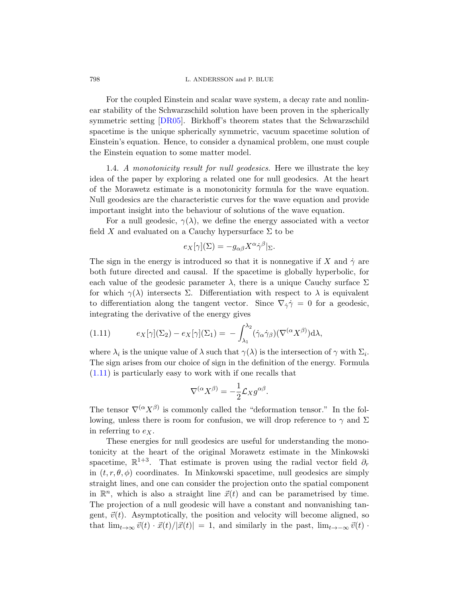798 L. ANDERSSON and P. BLUE

<span id="page-11-1"></span>For the coupled Einstein and scalar wave system, a decay rate and nonlinear stability of the Schwarzschild solution have been proven in the spherically symmetric setting [DR05]. Birkhoff's theorem states that the Schwarzschild spacetime is the unique spherically symmetric, vacuum spacetime solution of Einstein's equation. Hence, to consider a dynamical problem, one must couple the Einstein equation to some matter model.

1.4. A monotonicity result for null geodesics. Here we illustrate the key idea of the paper by exploring a related one for null geodesics. At the heart of the Morawetz estimate is a monotonicity formula for the wave equation. Null geodesics are the characteristic curves for the wave equation and provide important insight into the behaviour of solutions of the wave equation.

For a null geodesic,  $\gamma(\lambda)$ , we define the energy associated with a vector field X and evaluated on a Cauchy hypersurface  $\Sigma$  to be

$$
e_X[\gamma](\Sigma) = -g_{\alpha\beta}X^{\alpha}\dot{\gamma}^{\beta}|_{\Sigma}.
$$

<span id="page-11-0"></span>The sign in the energy is introduced so that it is nonnegative if X and  $\dot{\gamma}$  are both future directed and causal. If the spacetime is globally hyperbolic, for each value of the geodesic parameter  $\lambda$ , there is a unique Cauchy surface  $\Sigma$ for which  $\gamma(\lambda)$  intersects  $\Sigma$ . Differentiation with respect to  $\lambda$  is equivalent to differentiation along the tangent vector. Since  $\nabla_{\dot{\gamma}}\dot{\gamma}=0$  for a geodesic, integrating the derivative of the energy gives

(1.11) 
$$
e_X[\gamma](\Sigma_2) - e_X[\gamma](\Sigma_1) = - \int_{\lambda_1}^{\lambda_2} (\dot{\gamma}_\alpha \dot{\gamma}_\beta)(\nabla^{(\alpha} X^{\beta)}) d\lambda,
$$

where  $\lambda_i$  is the unique value of  $\lambda$  such that  $\gamma(\lambda)$  is the intersection of  $\gamma$  with  $\Sigma_i$ . The sign arises from our choice of sign in the definition of the energy. Formula (1.11) is particularly easy to work with if one recalls that

$$
\nabla^{(\alpha}X^{\beta)} = -\frac{1}{2}\mathcal{L}_X g^{\alpha\beta}.
$$

The tensor  $\nabla^{(\alpha} X^{\beta)}$  is commonly called the "deformation tensor." In the following, unless there is room for confusion, we will drop reference to  $\gamma$  and  $\Sigma$ in referring to  $e_X$ .

These energies for null geodesics are useful for understanding the monotonicity at the heart of the original Morawetz estimate in the Minkowski spacetime,  $\mathbb{R}^{1+3}$ . That estimate is proven using the radial vector field  $\partial_r$ in  $(t, r, \theta, \phi)$  coordinates. In Minkowski spacetime, null geodesics are simply straight lines, and one can consider the projection onto the spatial component in  $\mathbb{R}^n$ , which is also a straight line  $\vec{x}(t)$  and can be parametrised by time. The projection of a null geodesic will have a constant and nonvanishing tangent,  $\vec{v}(t)$ . Asymptotically, the position and velocity will become aligned, so that  $\lim_{t\to\infty} \vec{v}(t) \cdot \vec{x}(t)/|\vec{x}(t)| = 1$ , and similarly in the past,  $\lim_{t\to-\infty} \vec{v}(t) \cdot$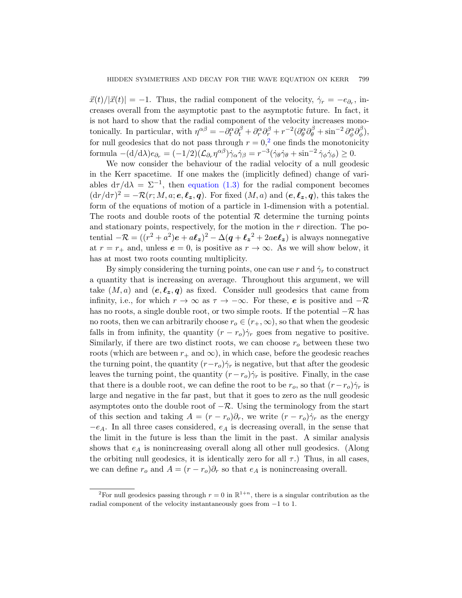$\vec{x}(t)/|\vec{x}(t)| = -1$ . Thus, the radial component of the velocity,  $\dot{\gamma}_r = -e_{\partial_r}$ , increases overall from the asymptotic past to the asymptotic future. In fact, it is n[ot hard to show](#page-5-0) that the radial component of the velocity increases monotonically. In particular, with  $\eta^{\alpha\beta} = -\partial_t^{\alpha}\partial_t^{\beta} + \partial_r^{\alpha}\partial_r^{\beta} + r^{-2}(\partial_{\theta}^{\alpha}\partial_{\theta}^{\beta} + \sin^{-2}\partial_{\phi}^{\alpha}\partial_{\phi}^{\beta}$  $\binom{p}{\phi},$ for null geodesics that do not pass through  $r = 0$ ,<sup>2</sup> one finds the monotonicity formula  $-(d/d\lambda)e_{\partial_r} = (-1/2)(\mathcal{L}_{\partial_r} \eta^{\alpha\beta})\dot{\gamma}_\alpha \dot{\gamma}_\beta = r^{-3}(\dot{\gamma}_\theta \dot{\gamma}_\theta + \sin^{-2} \dot{\gamma}_\phi \dot{\gamma}_\phi) \geq 0.$ 

We now consider the behaviour of the radial velocity of a null geodesic in the Kerr spacetime. If one makes the (implicitly defined) change of variables  $d\tau/d\lambda = \Sigma^{-1}$ , then equation (1.3) for the radial component becomes  $(\mathrm{d}r/\mathrm{d}\tau)^2 = -\mathcal{R}(r;M,a;\mathbf{e},\ell_{\mathbf{z}},\mathbf{q})$ . For fixed  $(M,a)$  and  $(\mathbf{e},\ell_{\mathbf{z}},\mathbf{q})$ , this takes the form of the equations of motion of a particle in 1-dimension with a potential. The roots and double roots of the potential  $\mathcal R$  determine the turning points and stationary points, respectively, for the motion in the  $r$  direction. The potential  $-\mathcal{R} = ((r^2 + a^2)e + a\ell_z)^2 - \Delta(q + \ell_z^2 + 2ae\ell_z)$  is always nonnegative at  $r = r_+$  and, unless  $e = 0$ , is positive as  $r \to \infty$ . As we will show below, it has at most two roots counting multiplicity.

By simply considering the turning points, one can use r and  $\dot{\gamma}_r$  to construct a quantity that is increasing on average. Throughout this argument, we will take  $(M, a)$  and  $(e, \ell_z, q)$  as fixed. Consider null geodesics that came from infinity, i.e., for which  $r \to \infty$  as  $\tau \to -\infty$ . For these, e is positive and  $-\mathcal{R}$ has no roots, a single double root, or two simple roots. If the potential  $-\mathcal{R}$  has no roots, then we can arbitrarily choose  $r_o \in (r_+,\infty)$ , so that when the geodesic falls in from infinity, the quantity  $(r - r_o)\dot{\gamma}_r$  goes from negative to positive. Similarly, if there are two distinct roots, we can choose  $r<sub>o</sub>$  between these two roots (which are between  $r_+$  and  $\infty$ ), in which case, before the geodesic reaches the turning point, the quantity  $(r-r_o)\dot{\gamma}_r$  is negative, but that after the geodesic leaves the turning point, the quantity  $(r-r<sub>o</sub>)\dot{\gamma}_r$  is positive. Finally, in the case that there is a double root, we can define the root to be  $r_o$ , so that  $(r-r_o)\dot{\gamma}_r$  is large and negative in the far past, but that it goes to zero as the null geodesic asymptotes onto the double root of  $-\mathcal{R}$ . Using the terminology from the start of this section and taking  $A = (r - r_o)\partial_r$ , we write  $(r - r_o)\dot{\gamma}_r$  as the energy  $-e_A$ . In all three cases considered,  $e_A$  is decreasing overall, in the sense that the limit in the future is less than the limit in the past. A similar analysis shows that  $e_A$  is nonincreasing overall along all other null geodesics. (Along the orbiting null geodesics, it is identically zero for all  $\tau$ .) Thus, in all cases, we can define  $r_o$  and  $A = (r - r_o)\partial_r$  so that  $e_A$  is nonincreasing overall.

<span id="page-12-0"></span><sup>&</sup>lt;sup>2</sup>For null geodesics passing through  $r = 0$  in  $\mathbb{R}^{1+n}$ , there is a singular contribution as the radial component of the velocity instantaneously goes from −1 to 1.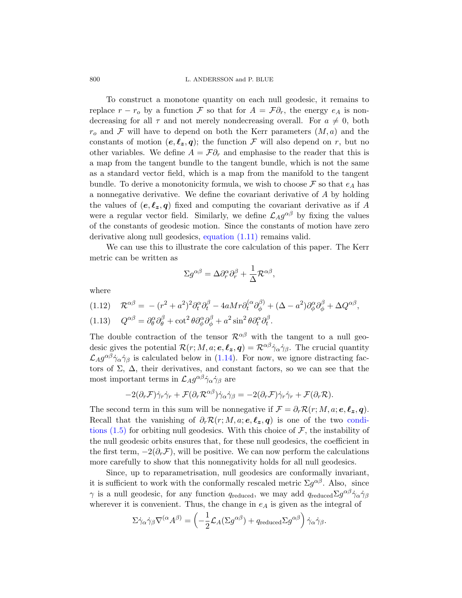#### 800 L. ANDERSSON and P. BLUE

To construct a monotone quantity on each null geodesic, it remains to replace  $r - r_o$  by a function F so that for  $A = \mathcal{F} \partial_r$ , the energy  $e_A$  is nondecreasing for all  $\tau$  and not merely nondecreasing overall. For  $a \neq 0$ , both  $r_o$  and F will have to depend on both the Kerr parameters  $(M, a)$  and the constants of motion  $(e, \ell_z, q)$ ; the function F will also depend on r, but no other variables. We define  $A = \mathcal{F}\partial_r$  and emphasise to the reader that this is a map from the tangent bundle to the tangent bundle, which is not the same as a sta[ndard vector fie](#page-11-0)ld, which is a map from the manifold to the tangent bundle. To derive a monotonicity formula, we wish to choose  $\mathcal F$  so that  $e_A$  has a nonnegative derivative. We define the covariant derivative of A by holding the values of  $(e, \ell_z, q)$  fixed and computing the covariant derivative as if A were a regular vector field. Similarly, we define  $\mathcal{L}_A g^{\alpha\beta}$  by fixing the values of the constants of geodesic motion. Since the constants of motion have zero derivative along null geodesics, equation (1.11) remains valid.

We can use this to illustrate the core calculation of this paper. The Kerr metric can be written as

$$
\Sigma g^{\alpha\beta}=\Delta\partial_r^\alpha\partial_r^\beta+\frac{1}{\Delta}\mathcal{R}^{\alpha\beta},
$$

where

$$
(1.12)\quad \mathcal{R}^{\alpha\beta} = -(r^2+a^2)^2\partial_t^{\alpha}\partial_t^{\beta} - 4aMr\partial_t^{(\alpha}\partial_{\phi}^{\beta)} + (\Delta - a^2)\partial_{\phi}^{\alpha}\partial_{\phi}^{\beta} + \Delta Q^{\alpha\beta},
$$

(1.13) 
$$
Q^{\alpha\beta} = \partial_{\theta}^{\alpha} \partial_{\theta}^{\beta} + \cot^{2} \theta \partial_{\phi}^{\alpha} \partial_{\phi}^{\beta} + a^{2} \sin^{2} \theta \partial_{t}^{\alpha} \partial_{t}^{\beta}.
$$

The double contraction of the tensor  $\mathcal{R}^{\alpha\beta}$  with the tangent to a null geodesic gives the potential  $\mathcal{R}(r; M, a; e, \ell_z, q) = \mathcal{R}^{\alpha\beta}\dot{\gamma}_\alpha\dot{\gamma}_\beta$ . The crucial quantity  $\mathcal{L}_A g^{\alpha\beta} \dot{\gamma}_\alpha \dot{\gamma}_\beta$  is calculated below in (1.14). For n[ow, we](#page-6-2) ignore distracting factors of  $\Sigma$ ,  $\Delta$ , their derivatives, and constant factors, so we can see that the most important terms in  $\mathcal{L}_A g^{\alpha\beta} \dot{\gamma}_\alpha \dot{\gamma}_\beta$  are

$$
-2(\partial_r \mathcal{F})\dot{\gamma}_r \dot{\gamma}_r + \mathcal{F}(\partial_r \mathcal{R}^{\alpha\beta})\dot{\gamma}_\alpha \dot{\gamma}_\beta = -2(\partial_r \mathcal{F})\dot{\gamma}_r \dot{\gamma}_r + \mathcal{F}(\partial_r \mathcal{R}).
$$

The second term in this sum will be nonnegative if  $\mathcal{F} = \partial_r \mathcal{R}(r; M, a; e, \ell_z, q)$ . Recall that the vanishing of  $\partial_r \mathcal{R}(r; M, a; e, \ell_z, q)$  is one of the two conditions  $(1.5)$  for orbiting null geodesics. With this choice of  $\mathcal{F}$ , the instability of the null geodesic orbits ensures that, for these null geodesics, the coefficient in the first term,  $-2(\partial_r\mathcal{F})$ , will be positive. We can now perform the calculations more carefully to show that this nonnegativity holds for all null geodesics.

Since, up to reparametrisation, null geodesics are conformally invariant, it is sufficient to work with the conformally rescaled metric  $\Sigma g^{\alpha\beta}$ . Also, since  $\gamma$  is a null geodesic, for any function  $q_{reduced}$ , we may add  $q_{reduced} \Sigma g^{\alpha\beta} \dot{\gamma}_{\alpha} \dot{\gamma}_{\beta}$ wherever it is convenient. Thus, the change in  $e_A$  is given as the integral of

$$
\Sigma \dot{\gamma}_\alpha \dot{\gamma}_\beta \nabla^{(\alpha} A^{\beta)} = \left(-\frac{1}{2} \mathcal{L}_A(\Sigma g^{\alpha\beta}) + q_{\text{reduced}} \Sigma g^{\alpha\beta}\right) \dot{\gamma}_\alpha \dot{\gamma}_\beta.
$$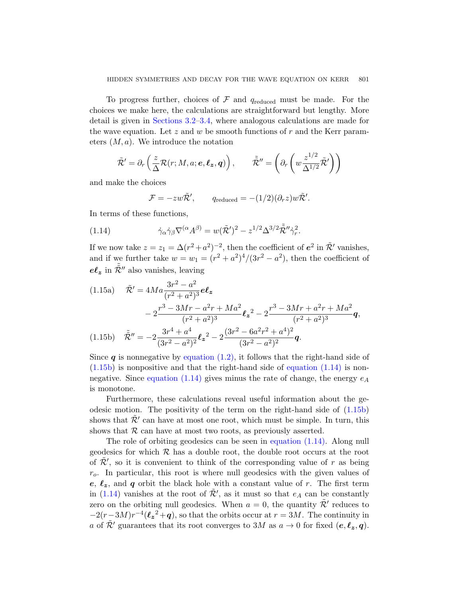To progress further, choices of  $\mathcal F$  and  $q_{reduced}$  must be made. For the choices we make here, the calculations are straightforward but lengthy. More detail is given in Sections 3.2–3.4, where analogous calculations are made for the wave equation. Let z and w be smooth functions of r and the Kerr parameters  $(M, a)$ . We introduce the notation

$$
\tilde{\mathcal{R}}' = \partial_r \left( \frac{z}{\Delta} \mathcal{R}(r; M, a; \boldsymbol{e}, \boldsymbol{\ell_z}, \boldsymbol{q}) \right), \qquad \tilde{\tilde{\mathcal{R}}}'' = \left( \partial_r \left( w \frac{z^{1/2}}{\Delta^{1/2}} \tilde{\mathcal{R}}' \right) \right)
$$

<span id="page-14-0"></span>and make the choices

$$
\mathcal{F} = -zw\tilde{\mathcal{R}}', \qquad q_{reduced} = -(1/2)(\partial_r z)w\tilde{\mathcal{R}}'.
$$

<span id="page-14-2"></span>In terms of these functions,

(1.14) 
$$
\dot{\gamma}_{\alpha}\dot{\gamma}_{\beta}\nabla^{(\alpha}A^{\beta)}=w(\tilde{\mathcal{R}}')^{2}-z^{1/2}\Delta^{3/2}\tilde{\mathcal{R}}''\dot{\gamma}_{r}^{2}.
$$

<span id="page-14-1"></span>If we now take  $z = z_1 = \Delta (r^2 + a^2)^{-2}$ , then the coefficient of  $e^2$  in  $\tilde{\mathcal{R}}'$  vanishes, and if we further take  $w = w_1 = (r^2 + a^2)^4/(3r^2 - a^2)$ , then the coefficient of  $e\ell_z$  in  $\tilde{\tilde{\mathcal{R}}}''$  also vanishes, leaving

(1.15a) 
$$
\tilde{\mathcal{R}}' = 4Ma \frac{3r^2 - a^2}{(r^2 + a^2)^3} e\ell_z \n- 2 \frac{r^3 - 3Mr - a^2r + Ma^2}{(r^2 + a^2)^3} \ell_z^2 - 2 \frac{r^3 - 3Mr + a^2r + Ma^2}{(r^2 + a^2)^3} q,
$$
\n(1.15b) 
$$
\tilde{\mathcal{R}}'' = -2 \frac{3r^4 + a^4}{(3r^2 - a^2)^2} \ell_z^2 - 2 \frac{(3r^2 - 6a^2r^2 + a^4)^2}{(3r^2 - a^2)^2} q.
$$

Since  $q$  is nonnegative by equation (1.2), it follows that the right-hand side of  $(1.15b)$  is nonpositive and that the right-hand side of equation  $(1.14)$  is nonnegative. Since equation (1.14) [gives minus](#page-14-0) the rate of change, the energy  $e_A$ is monotone.

Furthermore, these calculations reveal useful information about the geodesic motion. The positivity of the term on the right-hand side of  $(1.15b)$ shows that  $\tilde{\mathcal{R}}'$  can have at most one root, which must be simple. In turn, this shows that  $R$  can have at most two roots, as previously asserted.

The role of orbiting geodesics can be seen in equation (1.14). Along null geodesics for which  $R$  has a double root, the double root occurs at the root of  $\tilde{\mathcal{R}}'$ , so it is convenient to think of the corresponding value of r as being  $r<sub>o</sub>$ . In particular, this root is where null geodesics with the given values of e,  $\ell_z$ , and q orbit the black hole with a constant value of r. The first term in (1.14) vanishes at the root of  $\tilde{\mathcal{R}}'$ , as it must so that  $e_A$  can be constantly zero on the orbiting null geodesics. When  $a = 0$ , the quantity  $\tilde{\mathcal{R}}'$  reduces to  $-2(r-3M)r^{-4}(\ell_z^2+q)$ , so that the orbits occur at  $r=3M$ . The continuity in a of  $\tilde{\mathcal{R}}'$  guarantees that its root converges to 3M as  $a \to 0$  for fixed  $(e, \ell_z, q)$ .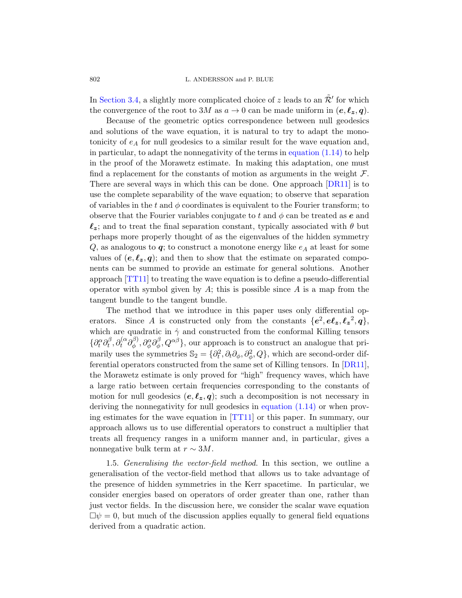802 L. AN[DERSSON and P. B](#page-14-0)LUE

In Section 3.4, a slightly more complicated choice of z leads to an  $\tilde{\mathcal{R}}'$  for which the convergence of the root to 3M as  $a \to 0$  can be made uniform in  $(e, \ell_z, q)$ .

Because of the geometric optics corr[espond](#page-63-2)ence between null geodesics and solutions of the wave equation, it is natural to try to adapt the monotonicity of  $e_A$  for null geodesics to a similar result for the wave equation and, in particular, to adapt the nonnegativity of the terms in equation  $(1.14)$  to help in the proof of the Morawetz estimate. In making this adaptation, one must find a replacement for the constants of motion as arguments in the weight  $\mathcal{F}$ . There are several ways in which this can be done. One approach [DR11] is to use the complete separability of the wave equation; to observe that separation of variables in the t and  $\phi$  coordinates is equivalent to the Fourier transform; to observe that the Fourier variables conjugate to t and  $\phi$  can be treated as e and  $\ell_z$ ; and to treat the final separation constant, typically associated with  $\theta$  but perhaps more properly thought of as the eigenvalues of the hidden symmetry  $Q$ , as analogous to  $q$ ; to construct a monotone energy like  $e_A$  at least for some values of  $(e, \ell_z, q)$ ; and then to show that the estimate on separated components can be summed to provide an estimate for general solutions. Another approach [TT11] to treating the wave equation is to define a pseudo-differential operator with symbol given by  $A$ ; this is possible since  $A$  is a map from the tangent bundle to the tangent bundle.

The method that we introduce in this paper uses only differential operators. Since A is constructed only from the constants  $\{e^2, e\ell_z, \ell_z^2, q\}$ , which are quadratic in  $\dot{\gamma}$  and constructed from the conformal Killing tensors  $\{\partial_t^\alpha\partial_t^\beta$  $\partial^\beta_t, \partial^{\{\alpha}_t}_t \partial^{\beta)}_\phi$  $\partial_{\phi}^{\beta)} , \partial_{\phi}^{\alpha} \partial_{\phi}^{\beta}$  $(\phi^{\beta}, Q^{\alpha\beta})$ [, our approach](#page-14-0) is to construct an analogue that primarily uses the [symme](#page-66-1)tries  $\mathbb{S}_2 = \{\partial_t^2, \partial_t \partial_\phi, \partial_\phi^2, Q\}$ , which are second-order differential operators constructed from the same set of Killing tensors. In [DR11], the Morawetz estimate is only proved for "high" frequency waves, which have a large ratio between certain frequencies corresponding to the constants of motion for null geodesics  $(e, \ell_z, q)$ ; such a decomposition is not necessary in deriving the nonnegativity for null geodesics in equation (1.14) or when proving estimates for the wave equation in [TT11] or this paper. In summary, our approach allows us to use differential operators to construct a multiplier that treats all frequency ranges in a uniform manner and, in particular, gives a nonnegative bulk term at  $r \sim 3M$ .

1.5. Generalising the vector-field method. In this section, we outline a generalisation of the vector-field method that allows us to take advantage of the presence of hidden symmetries in the Kerr spacetime. In particular, we consider energies based on operators of order greater than one, rather than just vector fields. In the discussion here, we consider the scalar wave equation  $\Box \psi = 0$ , but much of the discussion applies equally to general field equations derived from a quadratic action.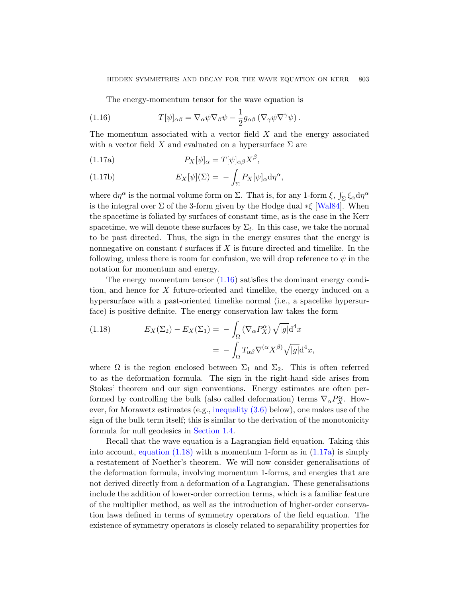<span id="page-16-0"></span>The energy-momentum tensor for the wave equation is

<span id="page-16-2"></span>(1.16) 
$$
T[\psi]_{\alpha\beta} = \nabla_{\alpha}\psi\nabla_{\beta}\psi - \frac{1}{2}g_{\alpha\beta}(\nabla_{\gamma}\psi\nabla^{\gamma}\psi).
$$

The momentum associated with a vector field  $X$  and the energy associated with a vector field X and evaluated on [a hyper](#page-66-7)surface  $\Sigma$  are

(1.17a) 
$$
P_X[\psi]_{\alpha} = T[\psi]_{\alpha\beta}X^{\beta},
$$

(1.17b) 
$$
E_X[\psi](\Sigma) = -\int_{\Sigma} P_X[\psi]_{\alpha} d\eta^{\alpha},
$$

where  $d\eta^{\alpha}$  is the normal volume form on  $\Sigma$ . That is, for any 1-form  $\xi$ ,  $\int_{\Sigma} \xi_{\alpha} d\eta^{\alpha}$ is the integral over  $\Sigma$  of the 3-form given by the Hodge dual  $*\xi$  [Wal84]. When the spacetim[e is fo](#page-16-0)liated by surfaces of constant time, as is the case in the Kerr spacetime, we will denote these surfaces by  $\Sigma_t$ . In this case, we take the normal to be past directed. Thus, the sign in the energy ensures that the energy is nonnegative on constant  $t$  surfaces if  $X$  is future directed and timelike. In the following, unless there is room for confusion, we will drop reference to  $\psi$  in the notation for momentum and energy.

<span id="page-16-1"></span>The energy momentum tensor  $(1.16)$  satisfies the dominant energy condition, and hence for  $X$  future-oriented and timelike, the energy induced on a hypersurface with a past-oriented timelike normal (i.e., a spacelike hypersurface) is positive definite. The energy conservation law takes the form

(1.18) 
$$
E_X(\Sigma_2) - E_X(\Sigma_1) = -\int_{\Omega} (\nabla_{\alpha} P_X^{\alpha}) \sqrt{|g|} d^4 x
$$

$$
= -\int_{\Omega} T_{\alpha\beta} \nabla^{(\alpha} X^{\beta)} \sqrt{|g|} d^4 x,
$$

where  $\Omega$  is the region enclosed between  $\Sigma_1$  and  $\Sigma_2$ . This is often referred to as the deformation formula. The sign in the right-hand side arises from [Stokes](#page-16-1)' theorem and our sign convent[ions.](#page-16-2) Energy estimates are often performed by controlling the bulk (also called deformation) terms  $\nabla_{\alpha} P_X^{\alpha}$ . However, for Morawetz estimates (e.g., inequality (3.6) below), one makes use of the sign of the bulk term itself; this is similar to the derivation of the monotonicity formula for null geodesics in Section 1.4.

Recall that the wave equation is a Lagrangian field equation. Taking this into account, equation  $(1.18)$  with a momentum 1-form as in  $(1.17a)$  is simply a restatement of Noether's theorem. We will now consider generalisations of the deformation formula, involving momentum 1-forms, and energies that are not derived directly from a deformation of a Lagrangian. These generalisations include the addition of lower-order correction terms, which is a familiar feature of the multiplier method, as well as the introduction of higher-order conservation laws defined in terms of symmetry operators of the field equation. The existence of symmetry operators is closely related to separability properties for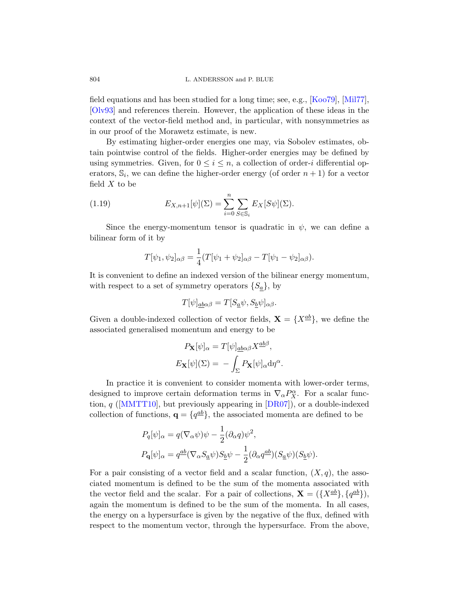field equations and has been studied for a long time; see, e.g., [Koo79], [Mil77], [Olv93] and references therein. However, the application of these ideas in the context of the vector-field method and, in particular, with nonsymmetries as in our proof of the Morawetz estimate, is new.

<span id="page-17-0"></span>By estimating higher-order energies one may, via Sobolev estimates, obtain pointwise control of the fields. Higher-order energies may be defined by using symmetries. Given, for  $0 \leq i \leq n$ , a collection of order-i differential operators,  $\mathbb{S}_i$ , we can define the higher-order energy (of order  $n+1$ ) for a vector field  $X$  to be

(1.19) 
$$
E_{X,n+1}[\psi](\Sigma) = \sum_{i=0}^{n} \sum_{S \in \mathbb{S}_i} E_X[S\psi](\Sigma).
$$

Since the energy-momentum tensor is quadratic in  $\psi$ , we can define a bilinear form of it by

$$
T[\psi_1, \psi_2]_{\alpha\beta} = \frac{1}{4}(T[\psi_1 + \psi_2]_{\alpha\beta} - T[\psi_1 - \psi_2]_{\alpha\beta}).
$$

It is convenient to define an indexed version of the bilinear energy momentum, with respect to a set of symmetry operators  $\{S_a\}$ , by

$$
T[\psi]_{\underline{a}\underline{b}\alpha\beta} = T[S_{\underline{a}}\psi, S_{\underline{b}}\psi]_{\alpha\beta}.
$$

Given a double-indexed collection of vector fields,  $\mathbf{X} = \{X^{\underline{a}\underline{b}}\}$ , we define the associated generalised momentum and energy to be

$$
P_{\mathbf{X}}[\psi]_{\alpha} = T[\psi]_{\underline{ab}\alpha\beta} X^{\underline{ab}\beta},
$$

$$
E_{\mathbf{X}}[\psi](\Sigma) = -\int_{\Sigma} P_{\mathbf{X}}[\psi]_{\alpha} d\eta^{\alpha}.
$$

In practice it is convenient to consider momenta with lower-order terms, designed to improve certain deformation terms in  $\nabla_{\alpha} P_X^{\alpha}$ . For a scalar function,  $q$  ([MMTT10], but previously appearing in  $[DR07]$ ), or a double-indexed collection of functions,  $\mathbf{q} = \{q^{\underline{a}\underline{b}}\}$ , the associated momenta are defined to be

$$
P_q[\psi]_{\alpha} = q(\nabla_{\alpha}\psi)\psi - \frac{1}{2}(\partial_{\alpha}q)\psi^2,
$$
  

$$
P_q[\psi]_{\alpha} = q^{\underline{ab}}(\nabla_{\alpha}S_{\underline{a}}\psi)S_{\underline{b}}\psi - \frac{1}{2}(\partial_{\alpha}q^{\underline{ab}})(S_{\underline{a}}\psi)(S_{\underline{b}}\psi).
$$

For a pair consisting of a vector field and a scalar function,  $(X, q)$ , the associated momentum is defined to be the sum of the momenta associated with the vector field and the scalar. For a pair of collections,  $\mathbf{X} = (\{X^{\underline{ab}}\}, \{q^{\underline{ab}}\}),$ again the momentum is defined to be the sum of the momenta. In all cases, the energy on a hypersurface is given by the negative of the flux, defined with respect to the momentum vector, through the hypersurface. From the above,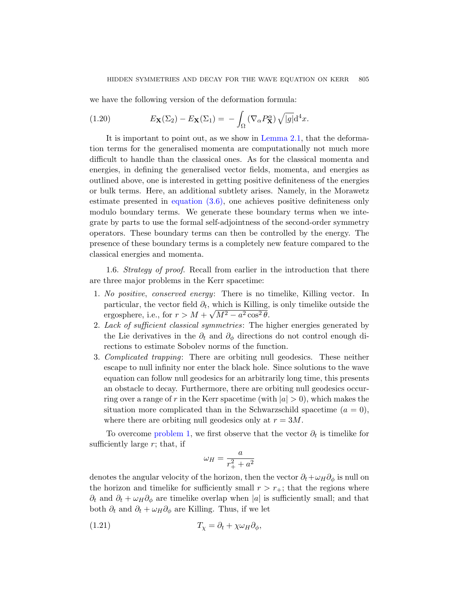<span id="page-18-4"></span>we have the following version of the deformation formula:

(1.20) 
$$
E_{\mathbf{X}}(\Sigma_2) - E_{\mathbf{X}}(\Sigma_1) = -\int_{\Omega} (\nabla_{\alpha} P_{\mathbf{X}}^{\alpha}) \sqrt{|g|} d^4x.
$$

<span id="page-18-0"></span>[It is impor](#page-37-1)tant to point out, as we show in Lemma 2.1, that the deformation terms for the generalised momenta are computationally not much more difficult to handle than the classical ones. As for the classical momenta and energies, in defining the generalised vector fields, momenta, and energies as outlined above, one is interested in getting positive definiteness of the energies or bulk terms. Here, an additional subtlety arises. Namely, in the Morawetz estimate presented in equation (3.6), one achieves positive definiteness only modulo boundary terms. We generate these boundary terms when we integrate by parts to use the formal self-adjointness of the second-order symmetry operators. These boundary terms can then be controlled by the energy. The presence of these boundary terms is a completely new feature compared to the classical energies and momenta.

<span id="page-18-3"></span><span id="page-18-2"></span><span id="page-18-1"></span>1.6. Strategy of proof. Recall from earlier in the introduction that there are three major problems in the Kerr spacetime:

- 1. No positive, conserved energy: There is no timelike, Killing vector. In particular, the vector field  $\partial_t$ , which is Killing, is only timelike outside the ergosphere, i.e., for  $r > M + \sqrt{M^2 - a^2 \cos^2 \theta}$ .
- 2. Lack of sufficient classical symmetries: The higher energies generated by the Lie derivatives in the  $\partial_t$  and  $\partial_{\phi}$  directions do not control enough directions to estimate Sobolev norms of the function.
- 3. Complicated trapping: There are orbiting null geodesics. These neither [es](#page-18-1)cape to null infinity nor enter the black hole. Since solutions to the wave equation can follow null geodesics for an arbitrarily long time, this presents an obstacle to decay. Furthermore, there are orbiting null geodesics occurring over a range of r in the Kerr spacetime (with  $|a| > 0$ ), which makes the situation more complicated than in the Schwarzschild spacetime  $(a = 0)$ , where there are orbiting null geodesics only at  $r = 3M$ .

To overcome problem 1, we first observe that the vector  $\partial_t$  is timelike for sufficiently large  $r$ ; that, if

$$
\omega_H = \frac{a}{r_+^2 + a^2}
$$

denotes the angular velocity of the horizon, then the vector  $\partial_t + \omega_H \partial_\phi$  is null on the horizon and timelike for sufficiently small  $r > r_{+}$ ; that the regions where  $\partial_t$  and  $\partial_t + \omega_H \partial_\phi$  are timelike overlap when |a| is sufficiently small; and that both  $\partial_t$  and  $\partial_t + \omega_H \partial_\phi$  are Killing. Thus, if we let

$$
(1.21) \t\t T_{\chi} = \partial_t + \chi \omega_H \partial_{\phi},
$$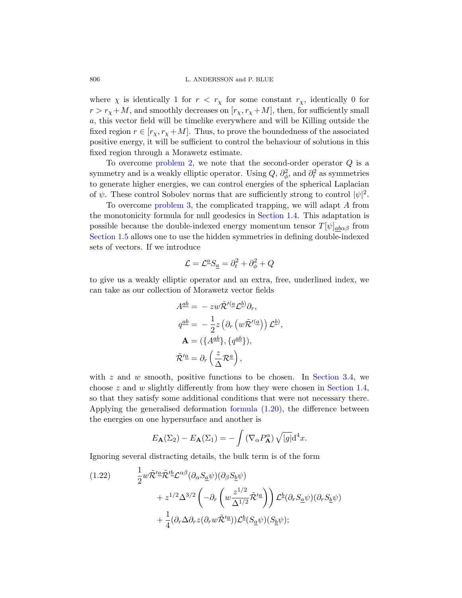[where](#page-18-2)  $\chi$  is identically 1 for  $r < r_{\chi}$  for some constant  $r_{\chi}$ , identically 0 for  $r > r_{\chi}+M$ , and smoothly decreases on  $[r_{\chi}, r_{\chi}+M]$ , then, for sufficiently small a, this vector field will be timelike everywhere and will be Killing outside the fixed region  $r \in [r_\chi, r_\chi + M]$ . Thus, to prove the boundedness of the associated [positi](#page-18-3)ve energy, it will be sufficient to control the behaviour of solutions in this fixed region through a [Morawetz es](#page-11-1)timate.

To overcome problem 2, we note that the second-order operator Q is a symmetry and is a weakly elliptic operator. Using  $Q, \partial_{\phi}^2$ , and  $\partial_t^2$  as symmetries to generate higher energies, we can control energies of the spherical Laplacian of  $\psi$ . These control Sobolev norms that are sufficiently strong to control  $|\psi|^2$ .

To overcome problem 3, the complicated trapping, we will adapt A from the monotonicity formula for null geodesics in Section 1.4. This adaptation is possible because the double-indexed energy momentum tensor  $T[\psi]_{ab\alpha\beta}$  from Section 1.5 allows one to use the hidden symmetries in defining double-indexed sets of vectors. If we introduce

$$
\mathcal{L} = \mathcal{L}^{\underline{a}} S_{\underline{a}} = \partial_t^2 + \partial_{\phi}^2 + Q
$$

to give us a weakly elliptic operator and an extra, free, underlined index, we can take as our collection of Morawetz vector fields

$$
A^{\underline{a}\underline{b}} = - zw\tilde{\mathcal{R}}'^{(\underline{a}}\mathcal{L}^{\underline{b}})\partial_r,
$$
  
\n
$$
q^{\underline{a}\underline{b}} = -\frac{1}{2}z\left(\partial_r\left(w\tilde{\mathcal{R}}'^{(\underline{a}}\right)\right)\mathcal{L}^{\underline{b}}),
$$
  
\n
$$
\mathbf{A} = (\{A^{\underline{a}\underline{b}}\}, \{q^{\underline{a}\underline{b}}\}),
$$
  
\n
$$
\tilde{\mathcal{R}}'^{\underline{a}} = \partial_r\left(\frac{z}{\Delta}\mathcal{R}^{\underline{a}}\right),
$$

<span id="page-19-0"></span>with  $z$  and  $w$  smooth, positive functions to be chosen. In Section 3.4, we choose  $z$  and  $w$  slightly differently from how they were chosen in Section 1.4, so that they satisfy some additional conditions that were not necessary there. Applying the generalised deformation formula (1.20), the difference between the energies on one hypersurface and another is

$$
E_{\mathbf{A}}(\Sigma_2) - E_{\mathbf{A}}(\Sigma_1) = -\int \left(\nabla_{\alpha} P_{\mathbf{A}}^{\alpha}\right) \sqrt{|g|} \mathrm{d}^4 x.
$$

Ignoring several distracting details, the bulk term is of the form

(1.22) 
$$
\frac{1}{2}w\tilde{\mathcal{R}}^{\prime \underline{a}}\tilde{\mathcal{R}}^{\prime \underline{b}}\mathcal{L}^{\alpha\beta}(\partial_{\alpha}S_{\underline{a}}\psi)(\partial_{\beta}S_{\underline{b}}\psi) \n+ z^{1/2}\Delta^{3/2}\left(-\partial_{r}\left(w\frac{z^{1/2}}{\Delta^{1/2}}\tilde{\mathcal{R}}^{\prime \underline{a}}\right)\right)\mathcal{L}^{\underline{b}}(\partial_{r}S_{\underline{a}}\psi)(\partial_{r}S_{\underline{b}}\psi) \n+ \frac{1}{4}(\partial_{r}\Delta\partial_{r}z(\partial_{r}w\tilde{\mathcal{R}}^{\prime \underline{a}}))\mathcal{L}^{\underline{b}}(S_{\underline{a}}\psi)(S_{\underline{b}}\psi);
$$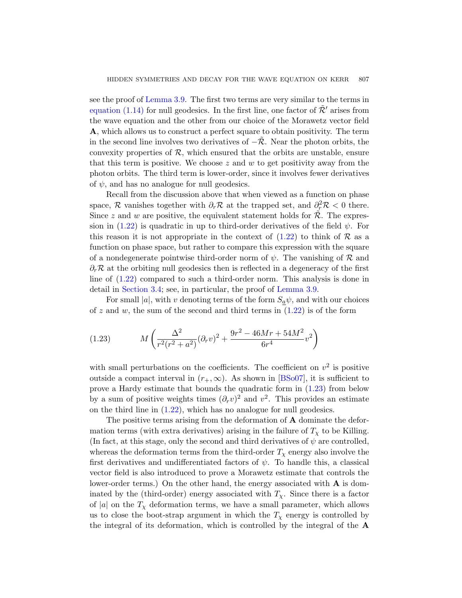see the proof of Lemma 3.9. The first two terms are very similar to the terms in equation (1.14) for null geodesics. In the first line, one factor of  $\mathcal{R}'$  arises from the wave equation and the other from our choice of the Morawetz vector field A, which allows us to construct a perfect square to obtain positivity. The term in the second line involves two derivatives of  $-\mathcal{R}$ . Near the photon orbits, the convexity properties of  $R$ , which ensured that the orbits are unstable, ensure that this term is positive. We choose  $z$  and  $w$  to get positivity away from the photon orbits. The third ter[m is lo](#page-19-0)wer-order, since it involves fewer derivatives of  $\psi$ , and has no analogue for null geodesics.

Recall from the discussion above that when viewed as a function on phase space, R vanishes together with  $\partial_r \mathcal{R}$  at the trapped set, and  $\partial_r^2 \mathcal{R} < 0$  there. Since z and w are positive, the equivalent statement holds for  $\mathcal{R}$ . The expression in (1.22) is quadratic i[n up to third](#page-37-0)-order derivatives of the field  $\psi$ . For this reason it is not appropriate in the context of  $(1.22)$  to think of R as a function on phase space, but rat[her t](#page-19-0)o compare this expression with the square of a nondegenerate pointwise third-order norm of  $\psi$ . The vanishing of R and  $\partial_r \mathcal{R}$  at the orbiting null geodesics then is reflected in a degeneracy of the first line of (1.22) compared to such a third-order norm. This analysis is done in detail in Section 3.4; see, in particular, the proof of Lemma 3.9.

<span id="page-20-0"></span>For small |a|, with v denoting terms of the form  $S_a \psi$ , and with our choices of z and w, the sum of the se[cond an](#page-62-4)d third terms in  $(1.22)$  is of the form

(1.23) 
$$
M\left(\frac{\Delta^2}{r^2(r^2+a^2)}(\partial_r v)^2 + \frac{9r^2 - 46Mr + 54M^2}{6r^4}v^2\right)
$$

with small perturbations on the coefficients. The coefficient on  $v^2$  is positive outside a compact interval in  $(r_+,\infty)$ . As shown in [BSo07], it is sufficient to prove a Hardy estimate that bounds the quadratic form in  $(1.23)$  from below by a sum of positive weights times  $(\partial_r v)^2$  and  $v^2$ . This provides an estimate on the third line in (1.22), which has no analogue for null geodesics.

The positive terms arising from the deformation of **A** dominate the deformation terms (with extra derivatives) arising in the failure of  $T_{\chi}$  to be Killing. (In fact, at this stage, only the second and third derivatives of  $\psi$  are controlled, whereas the deformation terms from the third-order  $T<sub>x</sub>$  energy also involve the first derivatives and undifferentiated factors of  $\psi$ . To handle this, a classical vector field is also introduced to prove a Morawetz estimate that controls the lower-order terms.) On the other hand, the energy associated with  $\bf{A}$  is dominated by the (third-order) energy associated with  $T<sub>x</sub>$ . Since there is a factor of |a| on the  $T<sub>x</sub>$  deformation terms, we have a small parameter, which allows us to close the boot-strap argument in which the  $T<sub>x</sub>$  energy is controlled by the integral of its deformation, which is controlled by the integral of the A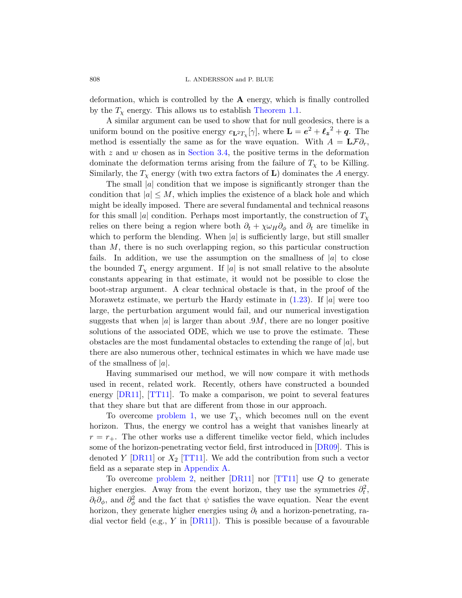808 L. ANDERSSON and P. BLUE

deformation, which is controlled by the  $A$  energy, which is finally controlled by the  $T<sub>x</sub>$  energy. This allows us to establish Theorem 1.1.

A similar argument can be used to show that for null geodesics, there is a uniform bound on the positive energy  $e_{\mathbf{L}^2 T_{\chi}}[\gamma]$ , where  $\mathbf{L} = e^2 + \ell_z^2 + q$ . The method is essentially the same as for the wave equation. With  $A = L \mathcal{F} \partial_r$ , with  $z$  and  $w$  chosen as in Section 3.4, the positive terms in the deformation dominate the deformation terms arising from the failure of  $T<sub>\chi</sub>$  to be Killing. Similarly, the  $T_{\chi}$  energy (with two extra factors of **L**) dominates the A energy.

The small  $|a|$  condition that we impose is significantly stronger than the condition that  $|a| \leq M$ , which implies the existence of a black hole and which might be ideally imposed. There are several fundamental and technical reasons for this small |a| condition. Perhaps most importantly, the construction of  $T_{\chi}$ relies on there being a region where both  $\partial_t + \chi \omega_H \partial_\phi$  and  $\partial_t$  are timelike in which to perform the blending. [When](#page-20-0)  $|a|$  is sufficiently large, but still smaller than  $M$ , there is no such overlapping region, so this particular construction fails. In addition, we use the assumption on the smallness of  $|a|$  to close the bounded  $T_\chi$  energy argument. If |a| is not small relative to the absolute constants appearing in that estimate, it would not be possible to close the boot-strap argument. A clear technical obstacle is that, in the proof of the Morawetz estimate, we perturb the Hardy estimate in  $(1.23)$ . If |a| were too large, the perturbation argument would fail, and our numerical investigation suggests that when |a| is larger than about  $.9M$ , there are no longer positive solutions of the associated ODE, which we use to prove the estimate. These obstacles are the most fundamental obstacles to extending the range of  $|a|$ , but [there a](#page-18-1)re also numerous other, technical estimates in which we have made use of the smallness of  $|a|$ .

Having summarised our method, we will now compare it with methods used in recent, related work. Recentl[y, other](#page-63-6)s have constructed a bounded en[ergy \[D](#page-66-1)R11], [TT11]. To make a comparison, we point to several features th[at they share](#page-56-0) but that are different from those in our approach.

[To](#page-18-2) overcome [prob](#page-63-2)lem [1, we u](#page-66-1)se  $T_{\chi}$ , which becomes null on the event horizon. Thus, the energy we control has a weight that vanishes linearly at  $r = r_{+}$ . The other works use a different timelike vector field, which includes some of the horizon-penetrating vector field, first introduced in [DR09]. This is deno[ted](#page-63-2) Y  $[DR11]$  or  $X_2$  [TT11]. We add the contribution from such a vector field as a separate step in Appendix A.

To overcome problem 2, neither [DR11] nor [TT11] use Q to generate higher energies. Away from the event horizon, they use the symmetries  $\partial_t^2$ ,  $\partial_t \partial_\phi$ , and  $\partial_\phi^2$  and the fact that  $\psi$  satisfies the wave equation. Near the event horizon, they generate higher energies using  $\partial_t$  and a horizon-penetrating, radial vector field (e.g., Y in  $[DR11]$ ). This is possible because of a favourable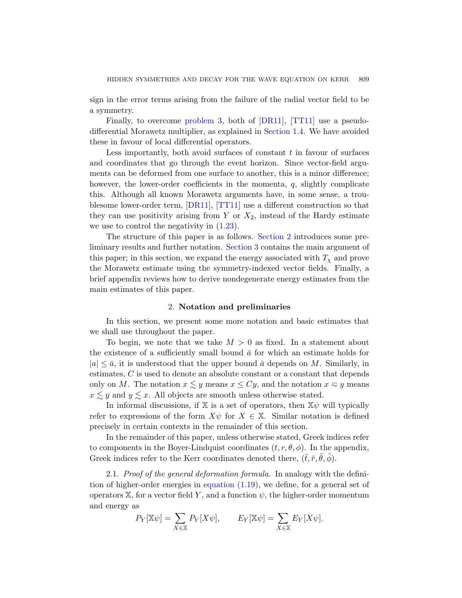sign in the error terms arising from the failure of the radial vector field to be a symmetry.

Finally, to overcome problem 3, both of [DR11], [TT11] use a pseudodifferential Morawetz multiplier, as explained in Section 1.4. We have avoided the[se in fav](#page-63-2)[our of l](#page-66-1)ocal differential operators.

Less importantly, both avoid surfaces of constant  $t$  in favour of surfaces and coordin[ates t](#page-20-0)hat go through the event horizon. Since vector-field arguments can be deformed [from one](#page-22-0) surface to another, this is a minor difference; however,the l[ower-orde](#page-29-0)r coefficients in the momenta, q, slightly complicate this. Although all known Morawetz arguments have, in some sense, a troublesome lower-order term, [DR11], [TT11] use a different construction so that they can use positivity arising from Y or  $X_2$ , instead of the Hardy estimate we use to control the negativity in  $(1.23)$ .

<span id="page-22-0"></span>The structure of this paper is as follows. Section 2 introduces some preliminary results and further notation. Section 3 contains the main argument of this paper; in this section, we expand the energy associated with  $T<sub>x</sub>$  and prove the Morawetz estimate using the symmetry-indexed vector fields. Finally, a brief appendix reviews how to derive nondegenerate energy estimates from the main estimates of this paper.

### 2. Notation and preliminaries

In this section, we present some more notation and basic estimates that we shall use throughout the paper.

To begin, we note that we take  $M > 0$  as fixed. In a statement about the existence of a sufficiently small bound  $\bar{a}$  for which an estimate holds for  $|a| \leq \bar{a}$ , it is understood that the upper bound  $\bar{a}$  depends on M. Similarly, in estimates, C is used to denote an absolute constant or a constant that depends only on M. The notation  $x \lesssim y$  means  $x \leq Cy$ , and the notation  $x \approx y$  means  $x \leq y$  and  $y \leq x$ . All objects are smooth unless otherwise stated.

In informal discussions, if  $X$  is a set of operators, then  $X\psi$  will typically refer to [expressions of t](#page-17-0)he form  $X\psi$  for  $X \in \mathbb{X}$ . Similar notation is defined precisely in certain contexts in the remainder of this section.

In the remainder of this paper, unless otherwise stated, Greek indices refer to components in the Boyer-Lindquist coordinates  $(t, r, \theta, \phi)$ . In the appendix, Greek indices refer to the Kerr coordinates denoted there,  $(\check{t}, \check{r}, \check{\theta}, \check{\phi})$ .

2.1. Proof of the general deformation formula. In analogy with the definition of higher-order energies in equation (1.19), we define, for a general set of operators  $X$ , for a vector field Y, and a function  $\psi$ , the higher-order momentum and energy as

$$
P_Y[\mathbb{X}\psi] = \sum_{X \in \mathbb{X}} P_Y[X\psi], \qquad E_Y[\mathbb{X}\psi] = \sum_{X \in \mathbb{X}} E_Y[X\psi].
$$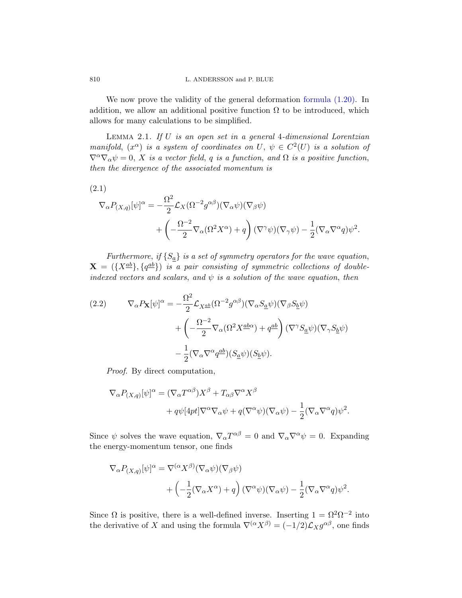<span id="page-23-1"></span>We now prove the validity of the general deformation formula  $(1.20)$ . In addition, we allow an additional positive function  $\Omega$  to be introduced, which allows for many calculations to be simplified.

LEMMA 2.1. If  $U$  is an open set in a general 4-dimensional Lorentzian manifold,  $(x^{\alpha})$  is a system of coordinates on U,  $\psi \in C^2(U)$  is a solution of  $\nabla^{\alpha}\nabla_{\alpha}\psi=0$ , X is a vector field, q is a function, and  $\Omega$  is a positive function, then the divergence of the associated momentum is

(2.1)

$$
\nabla_{\alpha} P_{(X,q)}[\psi]^{\alpha} = -\frac{\Omega^2}{2} \mathcal{L}_X(\Omega^{-2} g^{\alpha \beta})(\nabla_{\alpha} \psi)(\nabla_{\beta} \psi) \n+ \left( -\frac{\Omega^{-2}}{2} \nabla_{\alpha} (\Omega^2 X^{\alpha}) + q \right) (\nabla^{\gamma} \psi)(\nabla_{\gamma} \psi) - \frac{1}{2} (\nabla_{\alpha} \nabla^{\alpha} q) \psi^2.
$$

<span id="page-23-2"></span>Furthermore, if  $\{S_{\underline{a}}\}$  is a set of symmetry operators for the wave equation,  $\mathbf{X} = (\{X^{\underline{a}\underline{b}}\}, \{q^{\underline{a}\underline{b}}\})$  is a pair consisting of symmetric collections of doubleindexed vectors and scalars, and  $\psi$  is a solution of the wave equation, then

(2.2) 
$$
\nabla_{\alpha} P_{\mathbf{X}} [\psi]^{\alpha} = -\frac{\Omega^2}{2} \mathcal{L}_{X^{\underline{a}\underline{b}}} (\Omega^{-2} g^{\alpha\beta}) (\nabla_{\alpha} S_{\underline{a}} \psi) (\nabla_{\beta} S_{\underline{b}} \psi) + \left( -\frac{\Omega^{-2}}{2} \nabla_{\alpha} (\Omega^2 X^{\underline{a}\underline{b}\alpha}) + q^{\underline{a}\underline{b}} \right) (\nabla^{\gamma} S_{\underline{a}} \psi) (\nabla_{\gamma} S_{\underline{b}} \psi) -\frac{1}{2} (\nabla_{\alpha} \nabla^{\alpha} q^{\underline{a}\underline{b}}) (S_{\underline{a}} \psi) (S_{\underline{b}} \psi).
$$

Proof. By direct computation,

$$
\nabla_{\alpha} P_{(X,q)}[\psi]^{\alpha} = (\nabla_{\alpha} T^{\alpha\beta}) X^{\beta} + T_{\alpha\beta} \nabla^{\alpha} X^{\beta}
$$

$$
+ q\psi[4pt] \nabla^{\alpha} \nabla_{\alpha} \psi + q(\nabla^{\alpha} \psi)(\nabla_{\alpha} \psi) - \frac{1}{2} (\nabla_{\alpha} \nabla^{\alpha} q) \psi^{2}.
$$

Since  $\psi$  solves the wave equation,  $\nabla_{\alpha} T^{\alpha\beta} = 0$  and  $\nabla_{\alpha} \nabla^{\alpha} \psi = 0$ . Expanding the energy-momentum tensor, one finds

$$
\nabla_{\alpha} P_{(X,q)}[\psi]^{\alpha} = \nabla^{(\alpha} X^{\beta)} (\nabla_{\alpha} \psi)(\nabla_{\beta} \psi) \n+ \left( -\frac{1}{2} (\nabla_{\alpha} X^{\alpha}) + q \right) (\nabla^{\alpha} \psi)(\nabla_{\alpha} \psi) - \frac{1}{2} (\nabla_{\alpha} \nabla^{\alpha} q) \psi^2.
$$

Since  $\Omega$  is positive, there is a well-defined inverse. Inserting  $1 = \Omega^2 \Omega^{-2}$  into the derivative of X and using the formula  $\nabla^{(\alpha} X^{\beta)} = (-1/2)\mathcal{L}_X g^{\alpha\beta}$ , one finds

<span id="page-23-0"></span>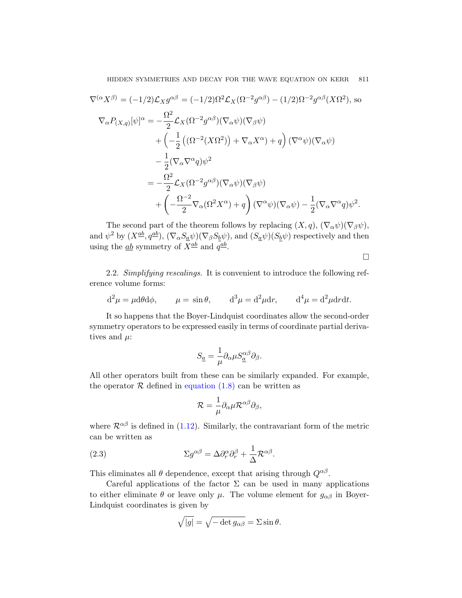HIDDEN SYMMETRIES AND DECAY FOR THE WAVE EQUATION ON KERR 811

$$
\nabla^{(\alpha} X^{\beta)} = (-1/2) \mathcal{L}_{X} g^{\alpha\beta} = (-1/2) \Omega^{2} \mathcal{L}_{X} (\Omega^{-2} g^{\alpha\beta}) - (1/2) \Omega^{-2} g^{\alpha\beta} (X \Omega^{2}), \text{ so}
$$
  
\n
$$
\nabla_{\alpha} P_{(X,q)} [\psi]^{\alpha} = -\frac{\Omega^{2}}{2} \mathcal{L}_{X} (\Omega^{-2} g^{\alpha\beta}) (\nabla_{\alpha} \psi) (\nabla_{\beta} \psi)
$$
  
\n
$$
+ \left( -\frac{1}{2} \left( (\Omega^{-2} (X \Omega^{2})) + \nabla_{\alpha} X^{\alpha} \right) + q \right) (\nabla^{\alpha} \psi) (\nabla_{\alpha} \psi)
$$
  
\n
$$
- \frac{1}{2} (\nabla_{\alpha} \nabla^{\alpha} q) \psi^{2}
$$
  
\n
$$
= -\frac{\Omega^{2}}{2} \mathcal{L}_{X} (\Omega^{-2} g^{\alpha\beta}) (\nabla_{\alpha} \psi) (\nabla_{\beta} \psi)
$$
  
\n
$$
+ \left( -\frac{\Omega^{-2}}{2} \nabla_{\alpha} (\Omega^{2} X^{\alpha}) + q \right) (\nabla^{\alpha} \psi) (\nabla_{\alpha} \psi) - \frac{1}{2} (\nabla_{\alpha} \nabla^{\alpha} q) \psi^{2}.
$$

<span id="page-24-1"></span>The second part of the theorem follows by replacing  $(X, q)$ ,  $(\nabla_{\alpha} \psi)(\nabla_{\beta} \psi)$ , and  $\psi^2$  by  $(X^{\underline{ab}}, q^{\underline{ab}})$ ,  $(\nabla_{\alpha} S_{\underline{a}} \psi)(\nabla_{\beta} S_{\underline{b}} \psi)$ , and  $(S_{\underline{a}} \psi)(S_{\underline{b}} \psi)$  respectively and then using the  $\underline{ab}$  symmetry of  $X^{\underline{ab}}$  and  $q^{\underline{ab}}$ .

 $\Box$ 

2.2. Simplifying rescalings. It is convenient to introduce the following reference volume forms:

$$
d^2\mu = \mu d\theta d\phi
$$
,  $\mu = \sin \theta$ ,  $d^3\mu = d^2\mu dr$ ,  $d^4\mu = d^2\mu drdt$ .

[It so happens](#page-6-3) that the Boyer-Lindquist coordinates allow the second-order symmetry operators to be expressed easily in terms of coordinate partial derivatives and  $\mu$ :

$$
S_{\underline{a}} = \frac{1}{\mu} \partial_{\alpha} \mu S_{\underline{a}}^{\alpha \beta} \partial_{\beta}.
$$

<span id="page-24-0"></span>All other operators built from these can be similarly expanded. For example, the operator  $R$  defined in equation (1.8) can be written as

$$
\mathcal{R}=\frac{1}{\mu}\partial_{\alpha}\mu\mathcal{R}^{\alpha\beta}\partial_{\beta},
$$

where  $\mathcal{R}^{\alpha\beta}$  is defined in (1.12). Similarly, the contravariant form of the metric can be written as

(2.3) 
$$
\Sigma g^{\alpha\beta} = \Delta \partial_r^{\alpha} \partial_r^{\beta} + \frac{1}{\Delta} \mathcal{R}^{\alpha\beta}.
$$

This eliminates all  $\theta$  dependence, except that arising through  $Q^{\alpha\beta}$ .

Careful applications of the factor  $\Sigma$  can be used in many applications to either eliminate  $\theta$  or leave only  $\mu$ . The volume element for  $g_{\alpha\beta}$  in Boyer-Lindquist coordinates is given by

$$
\sqrt{|g|} = \sqrt{-\det g_{\alpha\beta}} = \Sigma \sin \theta.
$$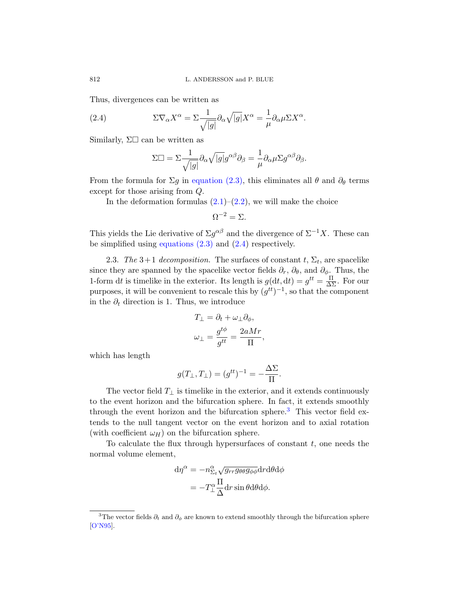<span id="page-25-0"></span>Thus, divergences can be written as

(2.4) 
$$
\Sigma \nabla_{\alpha} X^{\alpha} = \Sigma \frac{1}{\sqrt{|g|}} \partial_{\alpha} \sqrt{|g|} X^{\alpha} = \frac{1}{\mu} \partial_{\alpha} \mu \Sigma X^{\alpha}.
$$

Similarly,  $\Sigma\square$  ca[n be](#page-23-2) written as

$$
\Sigma \Box = \Sigma \frac{1}{\sqrt{|g|}} \partial_{\alpha} \sqrt{|g|} g^{\alpha \beta} \partial_{\beta} = \frac{1}{\mu} \partial_{\alpha} \mu \Sigma g^{\alpha \beta} \partial_{\beta}.
$$

[From the fo](#page-24-0)rmul[a for](#page-25-0)  $\Sigma g$  in equation (2.3), this eliminates all  $\theta$  and  $\partial_{\theta}$  terms except for those arising from Q.

In the deformation formulas  $(2.1)$ – $(2.2)$ , we will make the choice

$$
\Omega^{-2} = \Sigma.
$$

This yields the Lie derivative of  $\Sigma g^{\alpha\beta}$  and the divergence of  $\Sigma^{-1}X$ . These can be simplified using equations (2.3) and (2.4) respectively.

2.3. The 3+1 decomposition. The surfaces of constant  $t, \Sigma_t$ , are spacelike since they are spanned by the spacelike vector fields  $\partial_r$ ,  $\partial_\theta$ , and  $\partial_\phi$ . Thus, the 1-form dt is timelike in the exterior. Its length is  $g(\mathrm{d}t, \mathrm{d}t) = g^{tt} = \frac{\Pi}{\Delta \Sigma}$ . For our purposes, it will be convenient to rescale this by  $(g^{tt})^{-1}$ , so that the component in the  $\partial_t$  direction is 1. Thus, we introduce

$$
T_{\perp} = \partial_t + \omega_{\perp} \partial_{\phi},
$$
  

$$
\omega_{\perp} = \frac{g^{t\phi}}{g^{tt}} = \frac{2aMr}{\Pi},
$$

which has length

$$
g(T_{\perp}, T_{\perp}) = (g^{tt})^{-1} = -\frac{\Delta \Sigma}{\Pi}.
$$

The vector field  $T_{\perp}$  is timelike in the exterior, and it extends continuously to the event horizon and the bifurcation sphere. In fact, it extends smoothly through the event horizon and the bifurcation sphere.<sup>3</sup> This vector field extends to the null tangent vector on the event horizon and to axial rotation (with coefficient  $\omega_H$ ) on the bifurcation sphere.

<span id="page-25-1"></span>To calculate the flux through hypersurfaces of constant  $t$ , one needs the normal volume element,

$$
d\eta^{\alpha} = -n^{\alpha}_{\Sigma_t} \sqrt{g_{rr}g_{\theta\theta}g_{\phi\phi}} dr d\theta d\phi
$$

$$
= -T^{\alpha}_{\perp} \frac{\Pi}{\Delta} dr \sin \theta d\theta d\phi.
$$

<sup>&</sup>lt;sup>3</sup>The vector fields  $\partial_t$  and  $\partial_\phi$  are known to extend smoothly through the bifurcation sphere [O'N95].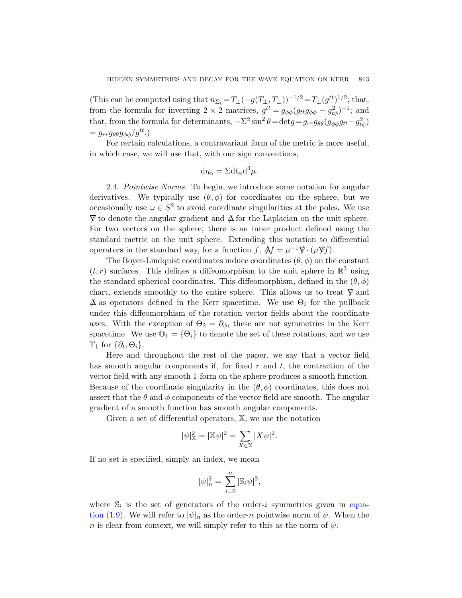(This can be computed using that  $n_{\Sigma_t} = T_\perp(-g(T_\perp, T_\perp))^{-1/2} = T_\perp(g^{tt})^{1/2}$ ; that, from the formula for inverting  $2 \times 2$  matrices,  $g^{tt} = g_{\phi\phi}(g_{tt}g_{\phi\phi} - g_{t\phi}^2)^{-1}$ ; and that, from the formula for determinants,  $-\Sigma^2 \sin^2 \theta = \det g = g_{rr} g_{\theta\theta} (g_{\phi\phi} g_{tt} - g_{t\phi}^2)$  $= g_{rr}g_{\theta\theta}g_{\phi\phi}/g^{tt}.$ 

For certain calculations, a contravariant form of the metric is more useful, in which case, we will use that, with our sign conventions,

$$
\mathrm{d}\eta_{\alpha} = \Sigma \mathrm{d}t_{\alpha} \mathrm{d}^3 \mu.
$$

2.4. Pointwise Norms. To begin, we introduce some notation for angular derivatives. We typically use  $(\theta, \phi)$  for coordinates on the sphere, but we occasionally use  $\omega \in S^2$  to avoid coordinate singularities at the poles. We use  $\nabla$  to denote the angular gradient and  $\Delta$  for the Laplacian on the unit sphere. For two vectors on the sphere, there is an inner product defined using the standard metric on the unit sphere. Extending this notation to differential operators in the standard way, for a function f,  $\Delta f = \mu^{-1} \nabla \cdot (\mu \nabla f)$ .

The Boyer-Lindquist coordinates induce coordinates  $(\theta, \phi)$  on the constant  $(t, r)$  surfaces. This defines a diffeomorphism to the unit sphere in  $\mathbb{R}^3$  using the standard spherical coordinates. This diffeomorphism, defined in the  $(\theta, \phi)$ chart, extends smoothly to the entire sphere. This allows us to treat  $\nabla$  and  $\Delta$  as operators defined in the Kerr spacetime. We use  $\Theta_i$  for the pullback under this diffeomorphism of the rotation vector fields about the coordinate axes. With the exception of  $\Theta_3 = \partial_{\phi}$ , these are not symmetries in the Kerr spacetime. We use  $\mathbb{O}_1 = {\Theta_i}$  to denote the set of these rotations, and we use  $\mathbb{T}_1$  for  $\{\partial_t, \Theta_i\}.$ 

Here and throughout the rest of the paper, we say that a vector field has smooth angular components if, for fixed r and t, the contraction of the vector field with any smooth 1-form on the sphere produces a smooth function. Because of the coordinate singularity in the  $(\theta, \phi)$  coordinates, this does not assert that the  $\theta$  and  $\phi$  components of the vector field are smooth. The angular gradient of a smooth function has smooth angular components.

Given a set of differential operators, X, we use the notation

$$
|\psi|_{\mathbb{X}}^2 = |\mathbb{X}\psi|^2 = \sum_{X \in \mathbb{X}} |X\psi|^2.
$$

If no set is specified, simply an index, we mean

$$
|\psi|^2_n = \sum_{i=0}^n |\mathbb{S}_i \psi|^2,
$$

where  $\mathbb{S}_i$  is the set of generators of the order-i symmetries given in equation (1.9). We will refer to  $|\psi|_n$  as the order-n pointwise norm of  $\psi$ . When the n is clear from context, we will simply refer to this as the norm of  $\psi$ .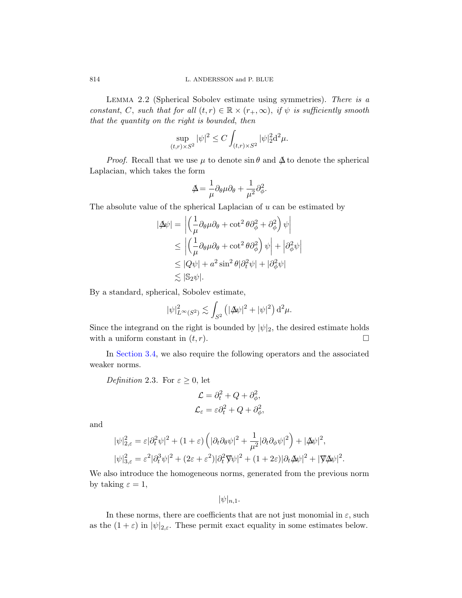<span id="page-27-0"></span>Lemma 2.2 (Spherical Sobolev estimate using symmetries). There is a constant, C, such that for all  $(t, r) \in \mathbb{R} \times (r_+, \infty)$ , if  $\psi$  is sufficiently smooth that the quantity on the right is bounded, then

$$
\sup_{(t,r)\times S^2} |\psi|^2 \le C \int_{(t,r)\times S^2} |\psi|_2^2 d^2 \mu.
$$

*Proof.* Recall that we use  $\mu$  to denote sin  $\theta$  and  $\Delta$  to denote the spherical Laplacian, which takes the form

$$
\Delta = \frac{1}{\mu} \partial_{\theta} \mu \partial_{\theta} + \frac{1}{\mu^2} \partial_{\phi}^2.
$$

The absolute value of the spherical Laplacian of  $u$  can be estimated by

$$
|\Delta \psi| = \left| \left( \frac{1}{\mu} \partial_{\theta} \mu \partial_{\theta} + \cot^{2} \theta \partial_{\phi}^{2} + \partial_{\phi}^{2} \right) \psi \right|
$$
  
\n
$$
\leq \left| \left( \frac{1}{\mu} \partial_{\theta} \mu \partial_{\theta} + \cot^{2} \theta \partial_{\phi}^{2} \right) \psi \right| + \left| \partial_{\phi}^{2} \psi \right|
$$
  
\n
$$
\leq |Q\psi| + a^{2} \sin^{2} \theta |\partial_{t}^{2} \psi| + |\partial_{\phi}^{2} \psi|
$$
  
\n
$$
\lesssim |\mathbb{S}_{2} \psi|.
$$

By a standard, spherical, Sobolev estimate,

$$
|\psi|_{L^{\infty}(S^2)}^2 \lesssim \int_{S^2} \left( |\n\mathcal{A}\psi|^2 + |\psi|^2 \right) d^2\mu.
$$

Since the integrand on the right is bounded by  $|\psi|_2$ , the desired estimate holds with a uniform constant in  $(t, r)$ .

In Section 3.4, we also require the following operators and the associated weaker norms.

Definition 2.3. For  $\varepsilon \geq 0$ , let

$$
\mathcal{L} = \partial_t^2 + Q + \partial_\phi^2,
$$
  

$$
\mathcal{L}_{\varepsilon} = \varepsilon \partial_t^2 + Q + \partial_\phi^2,
$$

and

$$
|\psi|_{2,\varepsilon}^2 = \varepsilon |\partial_t^2 \psi|^2 + (1+\varepsilon) \left( |\partial_t \partial_\theta \psi|^2 + \frac{1}{\mu^2} |\partial_t \partial_\phi \psi|^2 \right) + |\mathcal{A}\psi|^2,
$$
  

$$
|\psi|_{3,\varepsilon}^2 = \varepsilon^2 |\partial_t^3 \psi|^2 + (2\varepsilon + \varepsilon^2) |\partial_t^2 \nabla \psi|^2 + (1+2\varepsilon) |\partial_t \mathcal{A}\psi|^2 + |\nabla \mathcal{A}\psi|^2
$$

.

We also introduce the homogeneous norms, generated from the previous norm by taking  $\varepsilon = 1$ ,

 $|\psi|_{n,1}$ .

In these norms, there are coefficients that are not just monomial in  $\varepsilon$ , such as the  $(1 + \varepsilon)$  in  $|\psi|_{2,\varepsilon}$ . These permit exact equality in some estimates below.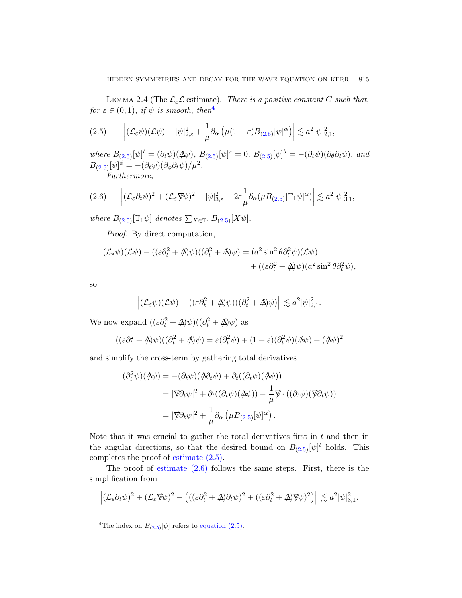<span id="page-28-1"></span><span id="page-28-0"></span>LEMMA 2.4 (The  $\mathcal{L}_{\varepsilon} \mathcal{L}$  $\mathcal{L}_{\varepsilon} \mathcal{L}$  $\mathcal{L}_{\varepsilon} \mathcal{L}$  estimate). There is a positive constant C such that, for  $\varepsilon \in (0,1)$ , if  $\psi$  is smooth, then<sup>4</sup>

$$
(2.5) \qquad \left| (\mathcal{L}_{\varepsilon}\psi)(\mathcal{L}\psi) - |\psi|_{2,\varepsilon}^2 + \frac{1}{\mu}\partial_{\alpha}\left( \mu(1+\varepsilon)B_{(2.5)}[\psi]^{\alpha} \right) \right| \lesssim a^2|\psi|_{2,1}^2,
$$

where  $B_{(2.5)}[\psi]^t = (\partial_t \psi)(\Delta \psi), B_{(2.5)}[\psi]^r = 0, B_{(2.5)}[\psi]^{\theta} = -(\partial_t \psi)(\partial_{\theta} \partial_t \psi), and$  $B_{(2.5)}[\psi]^{\phi} = -(\partial_t \psi)(\partial_{\phi} \partial_t \psi)/\mu^2.$ 

Furthermore,

$$
(2.6) \qquad \left| (\mathcal{L}_{\varepsilon} \partial_t \psi)^2 + (\mathcal{L}_{\varepsilon} \nabla \psi)^2 - |\psi|^2_{3,\varepsilon} + 2\varepsilon \frac{1}{\mu} \partial_\alpha (\mu B_{(2.5)} [\mathbb{T}_1 \psi]^\alpha) \right| \lesssim a^2 |\psi|^2_{3,1},
$$

where  $B_{(2.5)}[\mathbb{T}_1\psi]$  denotes  $\sum_{X\in\mathbb{T}_1} B_{(2.5)}[X\psi]$ .

Proof. By direct computation,

$$
(\mathcal{L}_{\varepsilon}\psi)(\mathcal{L}\psi) - ((\varepsilon\partial_t^2 + \Delta)\psi)((\partial_t^2 + \Delta)\psi) = (a^2 \sin^2\theta \partial_t^2 \psi)(\mathcal{L}\psi) + ((\varepsilon\partial_t^2 + \Delta)\psi)(a^2 \sin^2\theta \partial_t^2 \psi),
$$

so

$$
\left| (\mathcal{L}_{\varepsilon}\psi)(\mathcal{L}\psi) - ((\varepsilon \partial_t^2 + \Delta)\psi)((\partial_t^2 + \Delta)\psi) \right| \lesssim a^2 |\psi|_{2,1}^2.
$$

We now expand  $((\varepsilon \partial_t^2 + \mathbf{A})\psi)((\partial_t^2 + \mathbf{A})\psi)$  as

$$
((\varepsilon \partial_t^2 + \Delta)\psi)((\partial_t^2 + \Delta)\psi) = \varepsilon(\partial_t^2 \psi) + (1 + \varepsilon)(\partial_t^2 \psi)(\Delta \psi) + (\Delta \psi)^2
$$

and simplify the cr[oss](#page-28-0)-term by gathering total derivatives

$$
(\partial_t^2 \psi)(\Delta \psi) = -(\partial_t \psi)(\Delta \partial_t \psi) + \partial_t ((\partial_t \psi)(\Delta \psi))
$$
  
=  $|\nabla \partial_t \psi|^2 + \partial_t ((\partial_t \psi)(\Delta \psi)) - \frac{1}{\mu} \nabla \cdot ((\partial_t \psi)(\nabla \partial_t \psi))$   
=  $|\nabla \partial_t \psi|^2 + \frac{1}{\mu} \partial_\alpha (\mu B_{(2.5)}[\psi]^\alpha).$ 

Note that it was crucial to gather the total derivatives first in  $t$  and then in the angular directions, so that the desired bound on  $B_{(2.5)}[\psi]^t$  holds. This comple[tes the proof](#page-28-0) of estimate (2.5).

The proof of estimate  $(2.6)$  follows the same steps. First, there is the simplification from

$$
\left| (\mathcal{L}_{\varepsilon} \partial_t \psi)^2 + (\mathcal{L}_{\varepsilon} \nabla \psi)^2 - \left( ((\varepsilon \partial_t^2 + \Delta) \partial_t \psi)^2 + ((\varepsilon \partial_t^2 + \Delta) \nabla \psi)^2 \right) \right| \lesssim a^2 |\psi|_{3,1}^2.
$$

<sup>&</sup>lt;sup>4</sup>The index on  $B_{(2.5)}[\psi]$  refers to equation (2.5).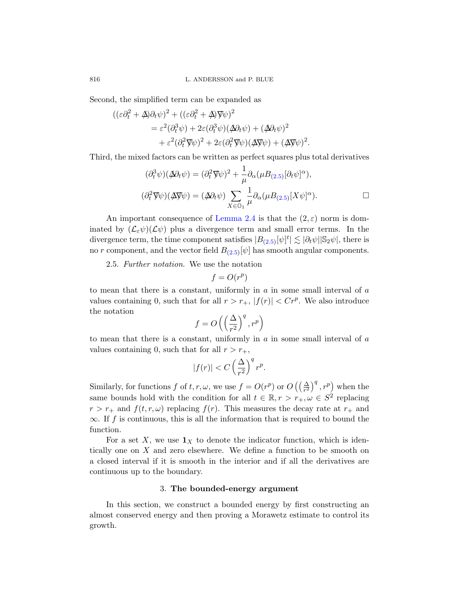816 L. ANDERSSON and P. BLUE

Second, the simplified term can be expanded as

$$
((\varepsilon \partial_t^2 + \Delta \partial_t \psi)^2 + ((\varepsilon \partial_t^2 + \Delta) \nabla \psi)^2
$$
  
=  $\varepsilon^2 (\partial_t^3 \psi) + 2\varepsilon (\partial_t^3 \psi) (\Delta \partial_t \psi) + (\Delta \partial_t \psi)^2$   
+  $\varepsilon^2 (\partial_t^2 \nabla \psi)^2 + 2\varepsilon (\partial_t^2 \nabla \psi) (\Delta \nabla \psi) + (\Delta \nabla \psi)^2$ 

Third, the [mixed factors](#page-28-1) can be written as perfect squares plus total derivatives

$$
(\partial_t^3 \psi)(\cancel{\Delta} \partial_t \psi) = (\partial_t^2 \nabla \psi)^2 + \frac{1}{\mu} \partial_\alpha (\mu B_{(2.5)} [\partial_t \psi]^\alpha),
$$
  

$$
(\partial_t^2 \nabla \psi)(\cancel{\Delta} \nabla \psi) = (\cancel{\Delta} \partial_t \psi) \sum_{X \in \mathcal{O}_1} \frac{1}{\mu} \partial_\alpha (\mu B_{(2.5)} [X \psi]^\alpha).
$$

.

<span id="page-29-1"></span>An important consequence of Lemma 2.4 is that the  $(2,\varepsilon)$  norm is dominated by  $(\mathcal{L}_{\varepsilon}\psi)(\mathcal{L}\psi)$  plus a divergence term and small error terms. In the divergence term, the time component satisfies  $|B_{(2.5)}[\psi]^t| \lesssim |\partial_t \psi| |\mathbb{S}_2 \psi|$ , there is no r component, and the vector field  $B_{(2.5)}[\psi]$  has smooth angular components.

2.5. Further notation. We use the notation

$$
f=O(r^p)
$$

to mean that there is a constant, uniformly in  $a$  in some small interval of  $a$ values containing 0, such that for all  $r > r_+$ ,  $|f(r)| < Cr^p$ . We also introduce the notation

$$
f=O\left(\left(\frac{\Delta}{r^2}\right)^q,r^p\right)
$$

to mean that there is a constant, uniformly in  $a$  in some small interval of  $a$ values containing 0, such that for all  $r > r_{+}$ ,

$$
|f(r)| < C \left(\frac{\Delta}{r^2}\right)^q r^p.
$$

Similarly, for functions f of  $t, r, \omega$ , we use  $f = O(r^p)$  or  $O\left(\left(\frac{\Delta}{r^2}\right)^q, r^p\right)$  when the same bounds hold with the condition for all  $t \in \mathbb{R}, r > r_+,\omega \in S^2$  replacing  $r > r_+$  and  $f(t, r, \omega)$  replacing  $f(r)$ . This measures the decay rate at  $r_+$  and  $\infty$ . If f is continuous, this is all the information that is required to bound the function.

<span id="page-29-0"></span>For a set X, we use  $\mathbf{1}_X$  to denote the indicator function, which is identically one on X and zero elsewhere. We define a function to be smooth on a closed interval if it is smooth in the interior and if all the derivatives are continuous up to the boundary.

#### 3. The bounded-energy argument

In this section, we construct a bounded energy by first constructing an almost conserved energy and then proving a Morawetz estimate to control its growth.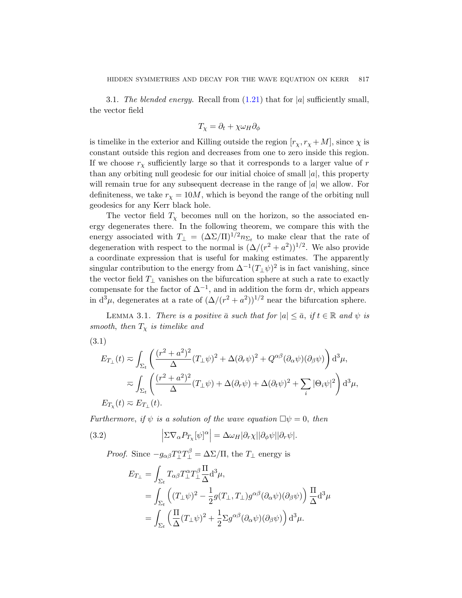3.1. The blended energy. Recall from  $(1.21)$  that for  $|a|$  sufficiently small, the vector field

$$
T_{\chi} = \partial_t + \chi \omega_H \partial_{\phi}
$$

is timelike in the exterior and Killing outside the region  $[r_{\chi}, r_{\chi} + M]$ , since  $\chi$  is constant outside this region and decreases from one to zero inside this region. If we choose  $r<sub>x</sub>$  sufficiently large so that it corresponds to a larger value of r than any orbiting null geodesic for our initial choice of small  $|a|$ , this property will remain true for any subsequent decrease in the range of  $|a|$  we allow. For definiteness, we take  $r_{\chi} = 10M$ , which is beyond the range of the orbiting null geodesics for any Kerr black hole.

The vector field  $T<sub>x</sub>$  becomes null on the horizon, so the associated energy degenerates there. In the following theorem, we compare this with the energy associated with  $T_{\perp} = (\Delta\Sigma/\Pi)^{1/2} n_{\Sigma_t}$  to make clear that the rate of degeneration with respect to the normal is  $(\Delta/(r^2 + a^2))^{1/2}$ . We also provide a coordinate expression that is useful for making estimates. The apparently singular contribution to the energy from  $\Delta^{-1}(T_{\perp}\psi)^2$  is in fact vanishing, since the vector field  $T_{\perp}$  vanishes on the bifurcation sphere at such a rate to exactly compensate for the factor of  $\Delta^{-1}$ , and in addition the form dr, which appears in  $d^3\mu$ , degenerates at a rate of  $(\Delta/(r^2 + a^2))^{1/2}$  near the bifurcation sphere.

<span id="page-30-0"></span>LEMMA 3.1. There is a positive  $\bar{a}$  such that for  $|a| \leq \bar{a}$ , if  $t \in \mathbb{R}$  and  $\psi$  is smooth, then  $T_{\chi}$  is timelike and

(3.1)

$$
E_{T_{\perp}}(t) \approx \int_{\Sigma_t} \left( \frac{(r^2 + a^2)^2}{\Delta} (T_{\perp} \psi)^2 + \Delta(\partial_r \psi)^2 + Q^{\alpha \beta} (\partial_\alpha \psi)(\partial_\beta \psi) \right) d^3 \mu,
$$
  

$$
\approx \int_{\Sigma_t} \left( \frac{(r^2 + a^2)^2}{\Delta} (T_{\perp} \psi) + \Delta(\partial_r \psi) + \Delta(\partial_t \psi)^2 + \sum_i |\Theta_i \psi|^2 \right) d^3 \mu,
$$
  

$$
E_{T_{\chi}}(t) \approx E_{T_{\perp}}(t).
$$

Furthermore, if  $\psi$  is a solution of the wave equation  $\Box \psi = 0$ , then

(3.2) 
$$
\left|\Sigma\nabla_{\alpha}P_{T_{\chi}}[\psi]^{\alpha}\right|=\Delta\omega_{H}|\partial_{r}\chi||\partial_{\phi}\psi||\partial_{r}\psi|.
$$

*Proof.* Since  $-g_{\alpha\beta}T_{\perp}^{\alpha}T_{\perp}^{\beta} = \Delta\Sigma/\Pi$ , the  $T_{\perp}$  energy is

$$
E_{T_{\perp}} = \int_{\Sigma_t} T_{\alpha\beta} T_{\perp}^{\alpha} T_{\perp}^{\beta} \frac{\Pi}{\Delta} d^3 \mu,
$$
  
\n
$$
= \int_{\Sigma_t} \left( (T_{\perp} \psi)^2 - \frac{1}{2} g(T_{\perp}, T_{\perp}) g^{\alpha\beta} (\partial_{\alpha} \psi) (\partial_{\beta} \psi) \right) \frac{\Pi}{\Delta} d^3 \mu
$$
  
\n
$$
= \int_{\Sigma_t} \left( \frac{\Pi}{\Delta} (T_{\perp} \psi)^2 + \frac{1}{2} \Sigma g^{\alpha\beta} (\partial_{\alpha} \psi) (\partial_{\beta} \psi) \right) d^3 \mu.
$$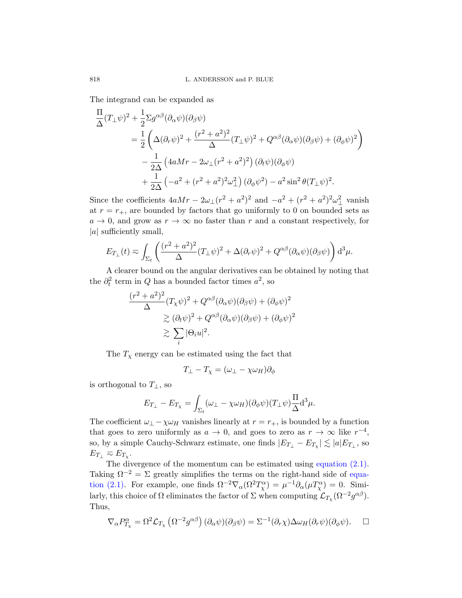The integrand can be expanded as

$$
\frac{\Pi}{\Delta}(T_{\perp}\psi)^2 + \frac{1}{2}\Sigma g^{\alpha\beta}(\partial_{\alpha}\psi)(\partial_{\beta}\psi)
$$
\n
$$
= \frac{1}{2}\left(\Delta(\partial_r\psi)^2 + \frac{(r^2 + a^2)^2}{\Delta}(T_{\perp}\psi)^2 + Q^{\alpha\beta}(\partial_{\alpha}\psi)(\partial_{\beta}\psi) + (\partial_{\phi}\psi)^2\right)
$$
\n
$$
- \frac{1}{2\Delta}\left(4aMr - 2\omega_{\perp}(r^2 + a^2)^2\right)(\partial_t\psi)(\partial_{\phi}\psi)
$$
\n
$$
+ \frac{1}{2\Delta}\left(-a^2 + (r^2 + a^2)^2\omega_{\perp}^2\right)(\partial_{\phi}\psi^2) - a^2\sin^2\theta(T_{\perp}\psi)^2.
$$

Since the coefficients  $4aMr - 2\omega_{\perp}(r^2 + a^2)^2$  and  $-a^2 + (r^2 + a^2)^2\omega_{\perp}^2$  vanish at  $r = r_{+}$ , are bounded by factors that go uniformly to 0 on bounded sets as  $a \to 0$ , and grow as  $r \to \infty$  no faster than r and a constant respectively, for |a| sufficiently small,

$$
E_{T_{\perp}}(t) \approx \int_{\Sigma_t} \left( \frac{(r^2 + a^2)^2}{\Delta} (T_{\perp} \psi)^2 + \Delta (\partial_r \psi)^2 + Q^{\alpha \beta} (\partial_\alpha \psi) (\partial_\beta \psi) \right) d^3 \mu.
$$

A clearer bound on the angular derivatives can be obtained by noting that the  $\partial_t^2$  term in Q has a bounded factor times  $a^2$ , so

$$
\frac{(r^2 + a^2)^2}{\Delta} (T_{\chi}\psi)^2 + Q^{\alpha\beta} (\partial_{\alpha}\psi)(\partial_{\beta}\psi) + (\partial_{\phi}\psi)^2
$$
  
\n
$$
\geq (\partial_t \psi)^2 + Q^{\alpha\beta} (\partial_{\alpha}\psi)(\partial_{\beta}\psi) + (\partial_{\phi}\psi)^2
$$
  
\n
$$
\geq \sum_i |\Theta_i u|^2.
$$

The  $T<sub>\chi</sub>$  energy can be estimated using the fact that

$$
T_{\perp}-T_{\chi}=(\omega_{\perp}-\chi\omega_H)\partial_{\phi}
$$

is orthogonal to  $T_{\perp}$ , so

$$
E_{T_{\perp}} - E_{T_{\chi}} = \int_{\Sigma_t} (\omega_{\perp} - \chi \omega_H) (\partial_{\phi} \psi) (T_{\perp} \psi) \frac{\Pi}{\Delta} d^3 \mu.
$$

The coefficient  $\omega_{\perp} - \chi \omega_H$  vanishes linearly at  $r = r_+$ , is bounded by a function that goes to zero uniformly as  $a \to 0$ , and goes to zero as  $r \to \infty$  like  $r^{-4}$ , so, by a simple Cauchy-Schwarz estimate, one finds  $|E_{T_{\perp}} - E_{T_{\chi}}| \lesssim |a| E_{T_{\perp}}$ , so  $E_{T_{\perp}} \eqsim E_{T_{\chi}}.$ 

The divergence of the momentum can be estimated using equation (2.1). Taking  $\Omega^{-2} = \Sigma$  greatly simplifies the terms on the right-hand side of equation (2.1). For example, one finds  $\Omega^{-2} \nabla_{\alpha} (\Omega^2 T_{\chi}^{\alpha}) = \mu^{-1} \partial_{\alpha} (\mu T_{\chi}^{\alpha}) = 0$ . Similarly, this choice of  $\Omega$  eliminates the factor of  $\Sigma$  when computing  $\mathcal{L}_{T_\chi}(\Omega^{-2}g^{\alpha\beta})$ . Thus,

$$
\nabla_{\alpha} P_{T_{\chi}}^{\alpha} = \Omega^{2} \mathcal{L}_{T_{\chi}} \left( \Omega^{-2} g^{\alpha \beta} \right) (\partial_{\alpha} \psi)(\partial_{\beta} \psi) = \Sigma^{-1} (\partial_{r} \chi) \Delta \omega_{H} (\partial_{r} \psi)(\partial_{\phi} \psi).
$$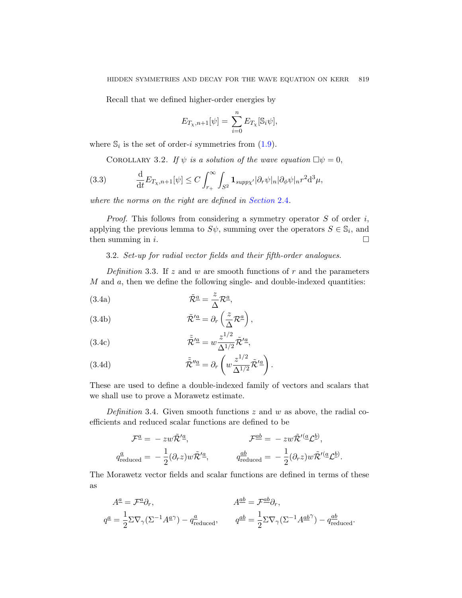Recall that we defined higher-order energies by

$$
E_{T_{\chi},n+1}[\psi] = \sum_{i=0}^{n} E_{T_{\chi}}[\mathbb{S}_i \psi],
$$

<span id="page-32-1"></span>where  $\mathbb{S}_i$  is the set of order-*i* symmetries from (1.9).

COROLLARY 3.2. If  $\psi$  is a solution of the wave equation  $\Box \psi = 0$ ,

(3.3) 
$$
\frac{\mathrm{d}}{\mathrm{d}t} E_{T_{\chi},n+1}[\psi] \leq C \int_{r_+}^{\infty} \int_{S^2} \mathbf{1}_{\text{supp}\chi'} |\partial_r \psi|_n |\partial_{\phi} \psi|_n r^2 \mathrm{d}^3 \mu,
$$

where the norms on the right are defined in Section 2.4.

*Proof.* This follows from considering a symmetry operator  $S$  of order  $i$ , applying the previous lemma to  $S\psi$ , summing over the operators  $S \in \mathbb{S}_i$ , and then summing in i.

3.2. Set-up for radial vector fields and their fifth-order analogues.

<span id="page-32-0"></span>Definition 3.3. If z and w are smooth functions of r and the parameters  $M$  and  $a$ , then we define the following single- and double-indexed quantities:

(3.4a) 
$$
\tilde{\mathcal{R}}^{\underline{a}} = \frac{z}{\Delta} \mathcal{R}^{\underline{a}},
$$

(3.4b) 
$$
\tilde{\mathcal{R}}^{\prime \underline{a}} = \partial_r \left( \frac{z}{\Delta} \mathcal{R}^{\underline{a}} \right),
$$

(3.4c) 
$$
\tilde{\mathcal{R}}^{\prime \underline{a}} = w \frac{z^{1/2}}{\Delta^{1/2}} \tilde{\mathcal{R}}^{\prime \underline{a}},
$$

(3.4d) 
$$
\tilde{\mathcal{R}}^{\prime\prime\underline{a}} = \partial_r \left( w \frac{z^{1/2}}{\Delta^{1/2}} \tilde{\mathcal{R}}^{\prime \underline{a}} \right).
$$

These are used to define a double-indexed family of vectors and scalars that we shall use to prove a Morawetz estimate.

Definition 3.4. Given smooth functions  $z$  and  $w$  as above, the radial coefficients and reduced scalar functions are defined to be

$$
\mathcal{F}^{\underline{a}} = -zw\tilde{\mathcal{R}}^{\prime \underline{a}}, \qquad \mathcal{F}^{\underline{ab}} = -zw\tilde{\mathcal{R}}^{\prime (\underline{a}}\mathcal{L}^{\underline{b}}),
$$
  
\n
$$
q^{\underline{a}}_{\text{reduced}} = -\frac{1}{2}(\partial_r z)w\tilde{\mathcal{R}}^{\prime \underline{a}}, \qquad q^{\underline{ab}}_{\text{reduced}} = -\frac{1}{2}(\partial_r z)w\tilde{\mathcal{R}}^{\prime (\underline{a}}\mathcal{L}^{\underline{b}}).
$$

The Morawetz vector fields and scalar functions are defined in terms of these as

$$
A^{\underline{a}} = \mathcal{F}^{\underline{a}} \partial_r, \qquad A^{\underline{a}\underline{b}} = \mathcal{F}^{\underline{a}\underline{b}} \partial_r,
$$
  

$$
q^{\underline{a}} = \frac{1}{2} \Sigma \nabla_\gamma (\Sigma^{-1} A^{\underline{a}\gamma}) - q^{\underline{a}}_{\text{reduced}}, \qquad q^{\underline{a}\underline{b}} = \frac{1}{2} \Sigma \nabla_\gamma (\Sigma^{-1} A^{\underline{a}\underline{b}\gamma}) - q^{\underline{a}\underline{b}}_{\text{reduced}}.
$$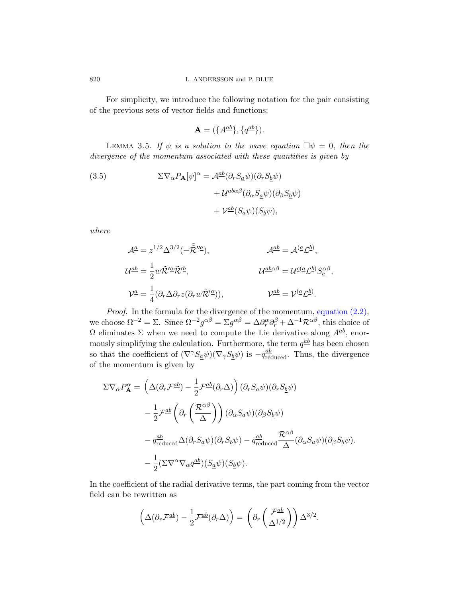For simplicity, we introduce the following notation for the pair consisting of the previous sets of vector fields and functions:

$$
\mathbf{A} = (\{A^{\underline{a}\underline{b}}\}, \{q^{\underline{a}\underline{b}}\}).
$$

LEMMA 3.5. If  $\psi$  is a solution to the wave equation  $\Box \psi = 0$ , then the divergence of the momentum associated with these quantities is given by

(3.5) 
$$
\Sigma \nabla_{\alpha} P_{\mathbf{A}} [\psi]^{\alpha} = \mathcal{A}^{\underline{a}\underline{b}} (\partial_r S_{\underline{a}} \psi) (\partial_r S_{\underline{b}} \psi) + \mathcal{U}^{\underline{a}\underline{b}\alpha\beta} (\partial_{\alpha} S_{\underline{a}} \psi) (\partial_{\beta} S_{\underline{b}} \psi) + \mathcal{V}^{\underline{a}\underline{b}} (S_{\underline{a}} \psi) (S_{\underline{b}} \psi),
$$

where

$$
\mathcal{A}^{\underline{a}} = z^{1/2} \Delta^{3/2} (-\tilde{\mathcal{R}}''^{\underline{a}}), \qquad \mathcal{A}^{\underline{a}\underline{b}} = \mathcal{A}^{(\underline{a}} \mathcal{L}^{\underline{b}}),
$$
  
\n
$$
\mathcal{U}^{\underline{a}\underline{b}} = \frac{1}{2} w \tilde{\mathcal{R}}'^{\underline{a}} \tilde{\mathcal{R}}'^{\underline{b}}, \qquad \mathcal{U}^{\underline{a}\underline{b}\alpha\beta} = \mathcal{U}^{\underline{c}(\underline{a}} \mathcal{L}^{\underline{b}}) S^{\alpha\beta}_{\underline{c}},
$$
  
\n
$$
\mathcal{V}^{\underline{a}} = \frac{1}{4} (\partial_r \Delta \partial_r z (\partial_r w \tilde{\mathcal{R}}'^{\underline{a}})), \qquad \mathcal{V}^{\underline{a}\underline{b}} = \mathcal{V}^{(\underline{a}} \mathcal{L}^{\underline{b}}).
$$

Proof. In the formula for the divergence of the momentum, equation (2.2), we choose  $\Omega^{-2} = \Sigma$ . Since  $\Omega^{-2} g^{\alpha\beta} = \Sigma g^{\alpha\beta} = \Delta \partial_r^{\alpha} \partial_r^{\beta} + \Delta^{-1} \mathcal{R}^{\alpha\beta}$ , this choice of  $\Omega$  eliminates  $\Sigma$  when we need to compute the Lie derivative along  $A^{\underline{a}\underline{b}}$ , enormously simplifying the calculation. Furthermore, the term  $q^{\underline{ab}}$  has been chosen so that the coefficient of  $(\nabla^{\gamma} S_{\underline{a}} \psi)(\nabla_{\gamma} S_{\underline{b}} \psi)$  is  $-q_{\text{reduced}}^{\underline{ab}}$ . Thus, the divergence of the momentum is given by

$$
\Sigma \nabla_{\alpha} P_{\mathbf{A}}^{\alpha} = \left( \Delta (\partial_r \mathcal{F}^{ab}) - \frac{1}{2} \mathcal{F}^{ab} (\partial_r \Delta) \right) (\partial_r S_{\underline{a}} \psi) (\partial_r S_{\underline{b}} \psi)
$$
  

$$
- \frac{1}{2} \mathcal{F}^{ab} \left( \partial_r \left( \frac{\mathcal{R}^{\alpha \beta}}{\Delta} \right) \right) (\partial_{\alpha} S_{\underline{a}} \psi) (\partial_{\beta} S_{\underline{b}} \psi)
$$
  

$$
- q_{\text{reduced}}^{ab} \Delta (\partial_r S_{\underline{a}} \psi) (\partial_r S_{\underline{b}} \psi) - q_{\text{reduced}}^{ab} \frac{\mathcal{R}^{\alpha \beta}}{\Delta} (\partial_{\alpha} S_{\underline{a}} \psi) (\partial_{\beta} S_{\underline{b}} \psi).
$$
  

$$
- \frac{1}{2} (\Sigma \nabla^{\alpha} \nabla_{\alpha} q^{\underline{a} \underline{b}}) (S_{\underline{a}} \psi) (S_{\underline{b}} \psi).
$$

In the coefficient of the radial derivative terms, the part coming from the vector field can be rewritten as

$$
\left(\Delta(\partial_r \mathcal{F}^{\underline{a}\underline{b}}) - \frac{1}{2} \mathcal{F}^{\underline{a}\underline{b}}(\partial_r \Delta)\right) = \left(\partial_r \left(\frac{\mathcal{F}^{\underline{a}\underline{b}}}{\Delta^{1/2}}\right)\right) \Delta^{3/2}.
$$

<span id="page-33-0"></span>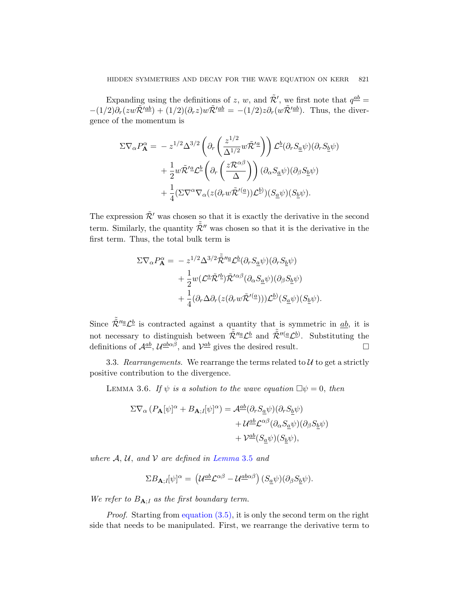Expanding using the definitions of z, w, and  $\tilde{\mathcal{R}}'$ , we first note that  $q^{\underline{ab}} =$  $-(1/2)\partial_r(zw\tilde{\mathcal{R}}^{\prime \underline{a}\underline{b}}) + (1/2)(\partial_r z)w\tilde{\mathcal{R}}^{\prime \underline{a}\underline{b}} = -(1/2)z\partial_r(w\tilde{\mathcal{R}}^{\prime \underline{a}\underline{b}}).$  Thus, the divergence of the momentum is

$$
\Sigma \nabla_{\alpha} P_{\mathbf{A}}^{\alpha} = -z^{1/2} \Delta^{3/2} \left( \partial_r \left( \frac{z^{1/2}}{\Delta^{1/2}} w \tilde{\mathcal{R}}^{\prime \underline{a}} \right) \right) \mathcal{L}^{\underline{b}} (\partial_r S_{\underline{a}} \psi) (\partial_r S_{\underline{b}} \psi) \n+ \frac{1}{2} w \tilde{\mathcal{R}}^{\prime \underline{a}} \mathcal{L}^{\underline{b}} \left( \partial_r \left( \frac{z \mathcal{R}^{\alpha \beta}}{\Delta} \right) \right) (\partial_{\alpha} S_{\underline{a}} \psi) (\partial_{\beta} S_{\underline{b}} \psi) \n+ \frac{1}{4} (\Sigma \nabla^{\alpha} \nabla_{\alpha} (z (\partial_r w \tilde{\mathcal{R}}^{\prime (\underline{a}})) \mathcal{L}^{\underline{b}}) ) (S_{\underline{a}} \psi) (S_{\underline{b}} \psi).
$$

The expression  $\tilde{\mathcal{R}}'$  was chosen so that it is exactly the derivative in the second term. Similarly, the quantity  $\tilde{\tilde{\mathcal{R}}}''$  was chosen so that it is the derivative in the first term. Thus, the total bulk term is

$$
\begin{split} \Sigma\nabla_{\alpha}P_{\mathbf{A}}^{\alpha} &={}-z^{1/2}\Delta^{3/2}\tilde{\mathcal{R}}''^a\mathcal{L}^{\underline{b}}(\partial_rS_{\underline{a}}\psi)(\partial_rS_{\underline{b}}\psi)\\ &+\frac{1}{2}w(\mathcal{L}^{\underline{a}}\tilde{\mathcal{R}}'^{\underline{b}})\tilde{\mathcal{R}}'^{\alpha\beta}(\partial_{\alpha}S_{\underline{a}}\psi)(\partial_{\beta}S_{\underline{b}}\psi)\\ &+\frac{1}{4}(\partial_r\Delta\partial_r(z(\partial_rw\tilde{\mathcal{R}}'^{(\underline{a}})))\mathcal{L}^{\underline{b}}(S_{\underline{a}}\psi)(S_{\underline{b}}\psi). \end{split}
$$

<span id="page-34-0"></span>Since  $\tilde{\mathcal{R}}''^{\underline{a}}\mathcal{L}^{\underline{b}}$  is contracted against a quantity that is symmetric in  $\underline{ab}$ , it is not necessary to distinguish between  $\tilde{\tilde{\mathcal{R}}}''^a \mathcal{L}^b$  and  $\tilde{\tilde{\mathcal{R}}}''^a \mathcal{L}^b$ . Substituting the definitions of  $\mathcal{A}^{\underline{a}\underline{b}}$ ,  $\mathcal{U}^{\underline{a}\underline{b}\alpha\beta}$ , and  $\mathcal{V}^{\underline{a}\underline{b}}$  gives the desired result.

3.3. Rearrangements. We rearrange the terms related to  $U$  to get a strictly positive contribution to the divergence.

LEMMA 3.6. If  $\psi$  is a solution to the wave equation  $\Box \psi = 0$ , then

$$
\Sigma \nabla_{\alpha} (P_{\mathbf{A}}[\psi]^{\alpha} + B_{\mathbf{A};I}[\psi]^{\alpha}) = \mathcal{A}^{\underline{a}\underline{b}}(\partial_r S_{\underline{a}}\psi)(\partial_r S_{\underline{b}}\psi) \n+ \mathcal{U}^{\underline{a}\underline{b}} \mathcal{L}^{\alpha\beta}(\partial_{\alpha} S_{\underline{a}}\psi)(\partial_{\beta} S_{\underline{b}}\psi) \n+ \mathcal{V}^{\underline{a}\underline{b}}(S_{\underline{a}}\psi)(S_{\underline{b}}\psi),
$$

where  $A, U,$  and  $V$  are defined in Lemma 3.5 and

$$
\Sigma B_{\mathbf{A};I}[\psi]^\alpha = \left(\mathcal{U}^{\underline{a}\underline{b}} \mathcal{L}^{\alpha\beta} - \mathcal{U}^{\underline{a}\underline{b}\alpha\beta}\right) (S_{\underline{a}}\psi)(\partial_\beta S_{\underline{b}}\psi).
$$

We refer to  $B_{\mathbf{A}:I}$  as the first boundary term.

Proof. Starting from equation (3.5), it is only the second term on the right side that needs to be manipulated. First, we rearrange the derivative term to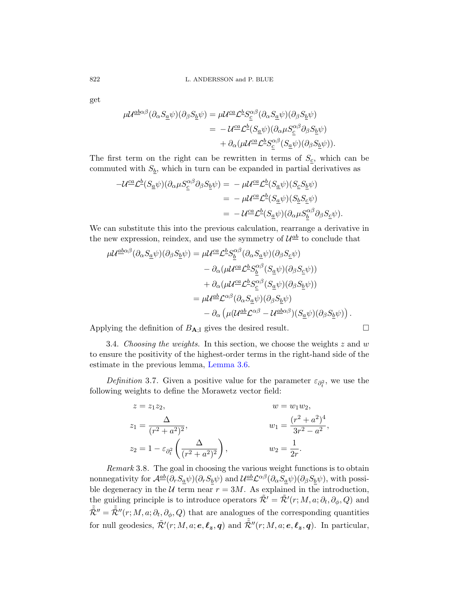get

$$
\mu \mathcal{U}^{\underline{a}\underline{b}\alpha\beta}(\partial_{\alpha} S_{\underline{a}}\psi)(\partial_{\beta} S_{\underline{b}}\psi) = \mu \mathcal{U}^{\underline{c}\underline{a}} \mathcal{L}^{\underline{b}} S_{\underline{c}}^{\alpha\beta}(\partial_{\alpha} S_{\underline{a}}\psi)(\partial_{\beta} S_{\underline{b}}\psi)
$$
  
= 
$$
-\mathcal{U}^{\underline{c}\underline{a}} \mathcal{L}^{\underline{b}}(S_{\underline{a}}\psi)(\partial_{\alpha} \mu S_{\underline{c}}^{\alpha\beta} \partial_{\beta} S_{\underline{b}}\psi)
$$

$$
+ \partial_{\alpha} (\mu \mathcal{U}^{\underline{c}\underline{a}} \mathcal{L}^{\underline{b}} S_{\underline{c}}^{\alpha\beta}(S_{\underline{a}}\psi)(\partial_{\beta} S_{\underline{b}}\psi)).
$$

The first term on the right can be rewritten in terms of  $S_c$ , which can be commuted with  $S_b$ , which in turn can be expanded in partial derivatives as

$$
\begin{split} -\mathcal{U}^{\underline{ca}}\mathcal{L}^{\underline{b}}(S_{\underline{a}}\psi)(\partial_{\alpha}\mu S_{\underline{c}}^{\alpha\beta}\partial_{\beta}S_{\underline{b}}\psi) &= -\mu\mathcal{U}^{\underline{ca}}\mathcal{L}^{\underline{b}}(S_{\underline{a}}\psi)(S_{\underline{c}}S_{\underline{b}}\psi) \\ &= -\mu\mathcal{U}^{\underline{ca}}\mathcal{L}^{\underline{b}}(S_{\underline{a}}\psi)(S_{\underline{b}}S_{\underline{c}}\psi) \\ &= -\mathcal{U}^{\underline{ca}}\mathcal{L}^{\underline{b}}(S_{\underline{a}}\psi)(\partial_{\alpha}\mu S_{\underline{b}}^{\alpha\beta}\partial_{\beta}S_{\underline{c}}\psi). \end{split}
$$

<span id="page-35-0"></span>We can substitute this into the previous calculation, rearrange a derivative in the new expression, reindex, and use the symmetry of  $\mathcal{U}^{\underline{a}\underline{b}}$  to conclude that

$$
\mu \mathcal{U}^{\underline{a}\underline{b}\alpha\beta}(\partial_{\alpha}S_{\underline{a}}\psi)(\partial_{\beta}S_{\underline{b}}\psi) = \mu \mathcal{U}^{\underline{c}\underline{a}} \mathcal{L}^{\underline{b}} S_{\underline{b}}^{\alpha\beta}(\partial_{\alpha}S_{\underline{a}}\psi)(\partial_{\beta}S_{\underline{c}}\psi) \n- \partial_{\alpha}(\mu \mathcal{U}^{\underline{c}\underline{a}} \mathcal{L}^{\underline{b}} S_{\underline{b}}^{\alpha\beta}(S_{\underline{a}}\psi)(\partial_{\beta}S_{\underline{c}}\psi)) \n+ \partial_{\alpha}(\mu \mathcal{U}^{\underline{c}\underline{a}} \mathcal{L}^{\underline{b}} S_{\underline{c}}^{\alpha\beta}(S_{\underline{a}}\psi)(\partial_{\beta}S_{\underline{b}}\psi)) \n= \mu \mathcal{U}^{\underline{a}\underline{b}} \mathcal{L}^{\alpha\beta}(\partial_{\alpha}S_{\underline{a}}\psi)(\partial_{\beta}S_{\underline{b}}\psi) \n- \partial_{\alpha}(\mu (\mathcal{U}^{\underline{a}\underline{b}} \mathcal{L}^{\alpha\beta} - \mathcal{U}^{\underline{a}\underline{b}\alpha\beta})(S_{\underline{a}}\psi)(\partial_{\beta}S_{\underline{b}}\psi)).
$$

Applying the definition of  $B_{A;I}$  gives the desired result.

3.4. Choosing the weights. In this section, we choose the weights 
$$
z
$$
 and  $w$  to ensure the positivity of the highest-order terms in the right-hand side of the estimate in the previous lemma, Lemma 3.6.

Definition 3.7. Given a positive value for the parameter  $\varepsilon_{\partial_t^2}$ , we use the following weights to define the Morawetz vector field:

$$
z = z_1 z_2, \t w = w_1 w_2,
$$
  
\n
$$
z_1 = \frac{\Delta}{(r^2 + a^2)^2}, \t w_1 = \frac{(r^2 + a^2)^4}{3r^2 - a^2},
$$
  
\n
$$
z_2 = 1 - \varepsilon_{\partial_t^2} \left( \frac{\Delta}{(r^2 + a^2)^2} \right), \t w_2 = \frac{1}{2r}.
$$

Remark 3.8. The goal in choosing the various weight functions is to obtain nonnegativity for  $\mathcal{A}^{\underline{a}\underline{b}}(\partial_r S_{\underline{a}}\psi)(\partial_r S_{\underline{b}}\psi)$  and  $\mathcal{U}^{\underline{a}\underline{b}}\mathcal{L}^{\alpha\beta}(\partial_\alpha S_{\underline{a}}\psi)(\partial_\beta S_{\underline{b}}\psi)$ , with possible degeneracy in the  $U$  term near  $r = 3M$ . As explained in the introduction, the guiding principle is to introduce operators  $\tilde{\mathcal{R}}' = \tilde{\mathcal{R}}'(r; M, a; \partial_t, \partial_\phi, Q)$  and  $\tilde{\mathcal{R}}'' = \tilde{\mathcal{R}}''(r; M, a; \partial_t, \partial_\phi, Q)$  that are analogues of the corresponding quantities for null geodesics,  $\tilde{\mathcal{R}}'(r; M, a; e, \ell_z, q)$  and  $\tilde{\mathcal{R}}''(r; M, a; e, \ell_z, q)$ . In particular,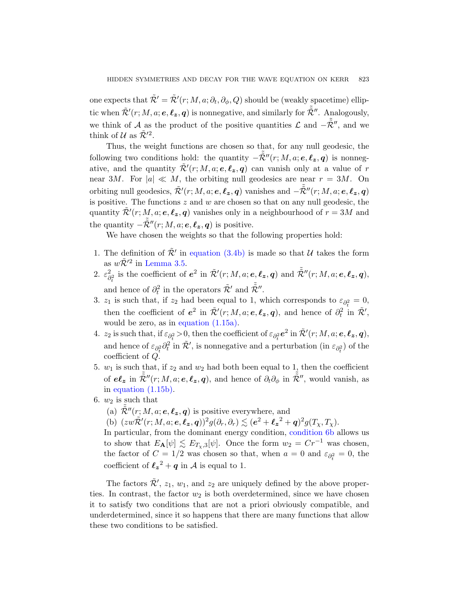one expects that  $\tilde{\mathcal{R}}' = \tilde{\mathcal{R}}'(r; M, a; \partial_t, \partial_\phi, Q)$  should be (weakly spacetime) elliptic when  $\tilde{\mathcal{R}}'(r; M, a; e, \ell_z, q)$  is nonnegative, and similarly for  $\tilde{\tilde{\mathcal{R}}}''$ . Analogously, we think of A as the product of the positive quantities  $\mathcal L$  and  $-\tilde{\tilde{\mathcal{R}}}''$ , and we think of  $\mathcal U$  as  $\tilde{\mathcal R}^{\prime 2}$ .

Thus, the weight functions are chosen so that, for any null geodesic, the following two conditions hold: the quantity  $-\tilde{\tilde{R}}''(r; M, a; e, \ell_z, q)$  is nonnegative, and the quantity  $\tilde{\mathcal{R}}'(r; M, a; e, \ell_z, q)$  can vanish only at a value of r near 3M. For  $|a| \ll M$ , the orbiting null geodesics are near  $r = 3M$ . On orbi[ting null geodesic](#page-32-0)s,  $\tilde{\mathcal{R}}'(r; M, a; e, \ell_z, q)$  vanishes and  $-\tilde{\tilde{\mathcal{R}}}''(r; M, a; e, \ell_z, q)$ [is po](#page-33-0)sitive. The functions  $z$  and  $w$  are chosen so that on any null geodesic, the quantity  $\tilde{\mathcal{R}}'(r; M, a; e, \ell_z, q)$  vanishes only in a neighbourhood of  $r = 3M$  and the quantity  $-\tilde{\tilde{\mathcal{R}}}''(r; M, a; e, \ell_z, q)$  is positive.

We have chosen the weights so that the following properties hold:

- 1. [The definition](#page-14-2) of  $\tilde{\mathcal{R}}'$  in equation (3.4b) is made so that U takes the form as  $w\tilde{\mathcal{R}}^{\prime 2}$  in Lemma 3.5.
- 2.  $\varepsilon_{\rm s}^2$  $\tilde{P}_{\partial_t^2}^2$  is the coefficient of  $e^2$  in  $\tilde{\mathcal{R}}'(r; M, a; e, \ell_z, q)$  and  $\tilde{\tilde{\mathcal{R}}}''(r; M, a; e, \ell_z, q)$ , and hence of  $\partial_t^2$  in the operators  $\tilde{\mathcal{R}}'$  and  $\tilde{\mathcal{R}}''$ .
- 3.  $z_1$  is such that, if  $z_2$  had been equal to 1, which corresponds to  $\varepsilon_{\partial^2_+} = 0$ , then the coefficient of  $e^2$  in  $\tilde{\mathcal{R}}'(r; M, a; e, \ell_z, q)$ , and hence of  $\partial_t^2$  in  $\tilde{\mathcal{R}}'$ , would be zero, as in equation (1.15a).
- 4.  $z_2$  is such that, if  $\varepsilon_{\partial_t^2} > 0$ , then the coefficient of  $\varepsilon_{\partial_t^2} e^2$  in  $\tilde{\mathcal{R}}'(r; M, a; e, \ell_z, q)$ , and hence of  $\varepsilon_{\partial_t^2} \partial_t^2$  in  $\tilde{\mathcal{R}}'$ , is nonnegative and a perturbation (in  $\varepsilon_{\partial_t^2}$ ) of the coefficient of Q.
- <span id="page-36-0"></span>5.  $w_1$  is such that, if  $z_2$  and  $w_2$  [had both bee](#page-36-0)n equal to 1, then the coefficient of  $e\ell_z$  in  $\tilde{\tilde{\mathcal{R}}}''(r; M, a; e, \ell_z, q)$ , and hence of  $\partial_t\partial_\phi$  in  $\tilde{\tilde{\mathcal{R}}}''$ , would vanish, as in equation (1.15b).
- 6.  $w_2$  is such that
	- (a)  $\tilde{\mathcal{R}}''(r; M, a; e, \ell_z, q)$  is positive everywhere, and
	- (b)  $(zw\tilde{\mathcal{R}}'(r; M, a; e, \ell_z, q))^2 g(\partial_r, \partial_r) \lesssim (e^2 + \ell_z^2 + q)^2 g(T_\chi, T_\chi).$

In particular, from the dominant energy condition, condition 6b allows us to show that  $E_{\mathbf{A}}[\psi] \lesssim E_{T_{\chi},3}[\psi]$ . Once the form  $w_2 = Cr^{-1}$  was chosen, the factor of  $C = 1/2$  was chosen so that, when  $a = 0$  and  $\varepsilon_{\partial_t^2} = 0$ , the coefficient of  $\ell_z^2 + q$  in A is equal to 1.

The factors  $\tilde{\mathcal{R}}'$ ,  $z_1$ ,  $w_1$ , and  $z_2$  are uniquely defined by the above properties. In contrast, the factor  $w_2$  is both overdetermined, since we have chosen it to satisfy two conditions that are not a priori obviously compatible, and underdetermined, since it so happens that there are many functions that allow these two conditions to be satisfied.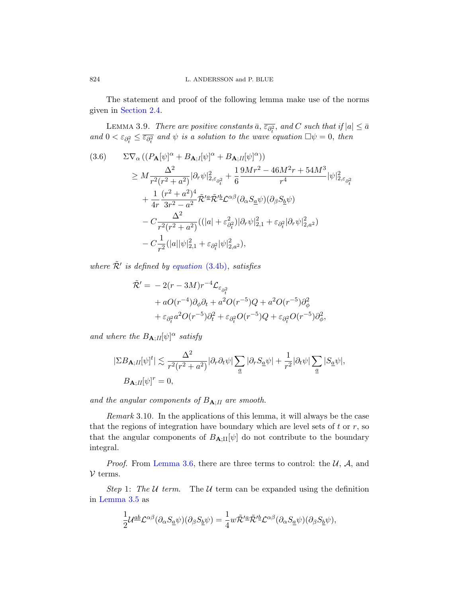The statement and proof of the following lemma make use of the norms given in Section 2.4.

LEMMA 3.9. There are positive constants  $\bar{a}$ ,  $\overline{\varepsilon_{\partial_t^2}}$ , and C such that if  $|a| \leq \bar{a}$ and  $0 < \varepsilon_{\partial_t^2} \leq \overline{\varepsilon_{\partial_t^2}}$  and  $\psi$  is a solution to the wave equation  $\Box \psi = 0$ , then

$$
(3.6) \quad \Sigma \nabla_{\alpha} \left( (P_{\mathbf{A}}[\psi]^{\alpha} + B_{\mathbf{A};I}[\psi]^{\alpha} + B_{\mathbf{A};II}[\psi]^{\alpha}) \right) \n\geq M \frac{\Delta^2}{r^2 (r^2 + a^2)} |\partial_r \psi|^2_{2,\varepsilon_{\partial_t^2}} + \frac{1}{6} \frac{9Mr^2 - 46M^2r + 54M^3}{r^4} |\psi|^2_{2,\varepsilon_{\partial_t^2}} \n+ \frac{1}{4r} \frac{(r^2 + a^2)^4}{3r^2 - a^2} \tilde{\mathcal{R}}^{\prime \underline{a}} \tilde{\mathcal{R}}^{\prime \underline{b}} \mathcal{L}^{\alpha \beta} (\partial_{\alpha} S_{\underline{a}} \psi) (\partial_{\beta} S_{\underline{b}} \psi) \n- C \frac{\Delta^2}{r^2 (r^2 + a^2)} \left( (|a| + \varepsilon_{\partial_t^2}^2) |\partial_r \psi|^2_{2,1} + \varepsilon_{\partial_t^2} |\partial_r \psi|^2_{2,a^2} \right) \n- C \frac{1}{r^2} (|a| |\psi|^2_{2,1} + \varepsilon_{\partial_t^2} |\psi|^2_{2,a^2}),
$$

where  $\tilde{\mathcal{R}}'$  is defined by equation (3.4b), satisfies

$$
\tilde{\mathcal{R}}' = -2(r - 3M)r^{-4} \mathcal{L}_{\varepsilon_{\partial_t^2}} \n+ aO(r^{-4})\partial_\phi \partial_t + a^2 O(r^{-5})Q + a^2 O(r^{-5})\partial_\phi^2 \n+ \varepsilon_{\partial_t^2} a^2 O(r^{-5})\partial_t^2 + \varepsilon_{\partial_t^2} O(r^{-5})Q + \varepsilon_{\partial_t^2} O(r^{-5})\partial_\phi^2,
$$

and where the  $B_{\mathbf{A};H}[\psi]^{\alpha}$  satisfy

$$
\begin{split} |\Sigma B_{\mathbf{A};H}[\psi]^t| &\lesssim \frac{\Delta^2}{r^2(r^2+a^2)} |\partial_r \partial_t \psi| \sum_{\underline{a}} |\partial_r S_{\underline{a}} \psi| + \frac{1}{r^2} |\partial_t \psi| \sum_{\underline{a}} |S_{\underline{a}} \psi|,\\ B_{\mathbf{A};H}[\psi]^r &= 0, \end{split}
$$

[and th](#page-34-0)e angular components of  $B_{\mathbf{A};II}$  are smooth.

Remark 3.10. In the applications of this lemma, it will always be the case that the regions of integration have boundary which are level sets of  $t$  or  $r$ , so that the angular components of  $B_{\mathbf{A};\Pi}[\psi]$  do not contribute to the boundary integral.

*Proof.* From Lemma 3.6, there are three terms to control: the  $U$ ,  $A$ , and  $V$  terms.

Step 1: The U term. The U term can be expanded using the definition in Lemma 3.5 as

$$
\frac{1}{2}\mathcal{U}^{\underline{a}\underline{b}}\mathcal{L}^{\alpha\beta}(\partial_{\alpha}S_{\underline{a}}\psi)(\partial_{\beta}S_{\underline{b}}\psi) = \frac{1}{4}w\tilde{\mathcal{R}}^{\prime \underline{a}}\tilde{\mathcal{R}}^{\prime \underline{b}}\mathcal{L}^{\alpha\beta}(\partial_{\alpha}S_{\underline{a}}\psi)(\partial_{\beta}S_{\underline{b}}\psi),
$$

<span id="page-37-1"></span><span id="page-37-0"></span>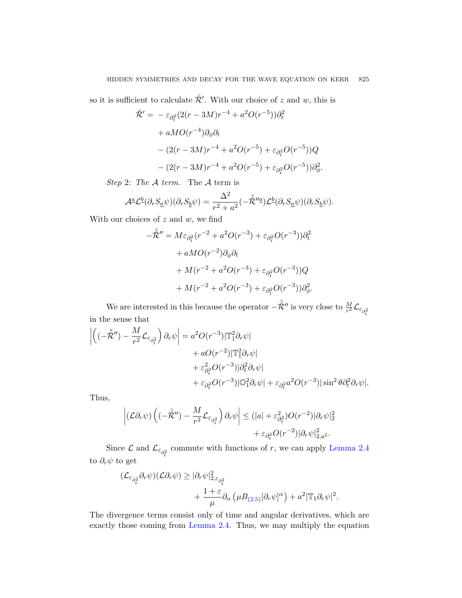so it is sufficient to calculate  $\tilde{\mathcal{R}}'$ . With our choice of z and w, this is

$$
\tilde{\mathcal{R}}' = -\varepsilon_{\partial_t^2} (2(r - 3M)r^{-4} + a^2 O(r^{-5})) \partial_t^2 \n+ aMO(r^{-4}) \partial_{\phi} \partial_t \n- (2(r - 3M)r^{-4} + a^2 O(r^{-5}) + \varepsilon_{\partial_t^2} O(r^{-5})) Q \n- (2(r - 3M)r^{-4} + a^2 O(r^{-5}) + \varepsilon_{\partial_t^2} O(r^{-5})) \partial_{\phi}^2.
$$

Step 2: The  $A$  term. The  $A$  term is

$$
\mathcal{A}^{\underline{a}}\mathcal{L}^{\underline{b}}(\partial_r S_{\underline{a}}\psi)(\partial_r S_{\underline{b}}\psi) = \frac{\Delta^2}{r^2 + a^2}(-\tilde{\tilde{\mathcal{R}}}^{\prime\prime\underline{a}})\mathcal{L}^{\underline{b}}(\partial_r S_{\underline{a}}\psi)(\partial_r S_{\underline{b}}\psi).
$$

With our choices of  $z$  and  $w$ , we find

$$
-\tilde{\mathcal{R}}'' = M\varepsilon_{\partial_t^2}(r^{-2} + a^2O(r^{-3}) + \varepsilon_{\partial_t^2}O(r^{-3}))\partial_t^2
$$
  
+  $aMO(r^{-2})\partial_\phi\partial_t$   
+  $M(r^{-2} + a^2O(r^{-3}) + \varepsilon_{\partial_t^2}O(r^{-3}))Q$   
+  $M(r^{-2} + a^2O(r^{-3}) + \varepsilon_{\partial_t^2}O(r^{-3}))\partial_\phi^2$ .

We are interested in this because the operator  $-\tilde{\tilde{\mathcal{R}}}''$  is very close to  $\frac{M}{r^2} \mathcal{L}_{\varepsilon_{\partial_t^2}}$ in the sense that

$$
\left| \left( (-\tilde{\mathcal{R}}'') - \frac{M}{r^2} \mathcal{L}_{\varepsilon_{\partial_t^2}} \right) \partial_r \psi \right| = a^2 O(r^{-3}) |\mathbb{T}_1^2 \partial_r \psi| \n+ a O(r^{-2}) |\mathbb{T}_1^2 \partial_r \psi| \n+ \varepsilon_{\partial_t^2}^2 O(r^{-3}) |\partial_t^2 \partial_r \psi| \n+ \varepsilon_{\partial_t^2} O(r^{-3}) |\mathbb{O}_1^2 \partial_r \psi| + \varepsilon_{\partial_t^2} a^2 O(r^{-3}) |\sin^2 \theta \partial_t^2 \partial_r \psi|.
$$

Thus,

$$
\left| \left( \mathcal{L} \partial_r \psi \right) \left( (-\tilde{\mathcal{R}}'') - \frac{M}{r^2} \mathcal{L}_{\varepsilon_{\partial_t^2}} \right) \partial_r \psi \right| \leq (|a| + \varepsilon_{\partial_t^2}^2) O(r^{-2}) |\partial_r \psi|_2^2 + \varepsilon_{\partial_t^2} O(r^{-2}) |\partial_r \psi|_{2, a^2}^2.
$$

Since  $\mathcal{L}$  and  $\mathcal{L}_{\varepsilon_{\partial_t^2}}$  commute with functions of r, we can apply Lemma 2.4 to  $\partial_r \psi$  [to get](#page-28-1)

$$
\begin{aligned} (\mathcal{L}_{\varepsilon_{\partial_t^2}} \partial_r \psi)(\mathcal{L} \partial_r \psi) &\geq |\partial_r \psi|_{2, \varepsilon_{\partial_t^2}}^2 \\ &+ \frac{1+\varepsilon}{\mu} \partial_\alpha \left( \mu B_{(2.5)} [\partial_r \psi]^\alpha \right) + a^2 |\mathbb{T}_1 \partial_r \psi|^2. \end{aligned}
$$

The divergence terms consist only of time and angular derivatives, which are exactly those coming from Lemma 2.4. Thus, we may multiply the equation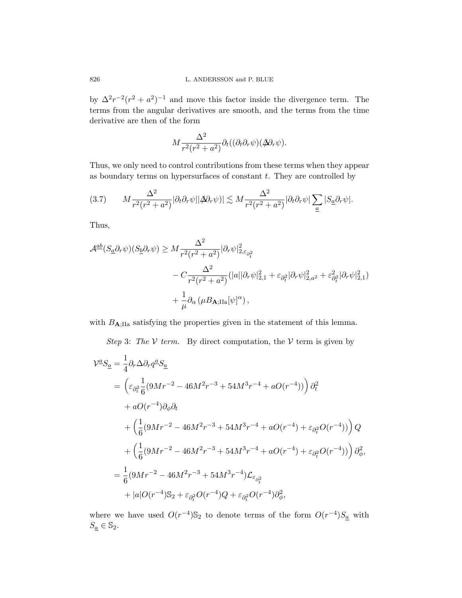by  $\Delta^2 r^{-2}(r^2 + a^2)^{-1}$  and move this factor inside the divergence term. The terms from the angular derivatives are smooth, and the terms from the time derivative are then of the form

$$
M \frac{\Delta^2}{r^2(r^2+a^2)} \partial_t ((\partial_t \partial_r \psi)(\cancel{\Delta} \partial_r \psi).
$$

Thus, we only need to control contributions from these terms when they appear as boundary terms on hypersurfaces of constant  $t$ . They are controlled by

<span id="page-39-0"></span>
$$
(3.7) \qquad M \frac{\Delta^2}{r^2(r^2+a^2)} |\partial_t \partial_r \psi| |\Delta \partial_r \psi| \lesssim M \frac{\Delta^2}{r^2(r^2+a^2)} |\partial_t \partial_r \psi| \sum_{\underline{a}} |S_{\underline{a}} \partial_r \psi|.
$$

Thus,

$$
\mathcal{A}^{\underline{a}\underline{b}}(S_{\underline{a}}\partial_r\psi)(S_{\underline{b}}\partial_r\psi) \ge M \frac{\Delta^2}{r^2(r^2+a^2)} |\partial_r\psi|^2_{2,\varepsilon_{\partial_t^2}} - C \frac{\Delta^2}{r^2(r^2+a^2)} (|a||\partial_r\psi|^2_{2,1} + \varepsilon_{\partial_t^2} |\partial_r\psi|^2_{2,a^2} + \varepsilon_{\partial_t^2}^2 |\partial_r\psi|^2_{2,1}) + \frac{1}{\mu} \partial_\alpha (\mu B_{\mathbf{A};\text{IIa}}[\psi]^\alpha),
$$

with  $B_{\text{A:IIa}}$  satisfying the properties given in the statement of this lemma.

Step 3: The V term. By direct computation, the V term is given by

$$
\mathcal{V}^{\underline{a}}S_{\underline{a}} = \frac{1}{4}\partial_r\Delta\partial_r q^{\underline{a}}S_{\underline{a}}
$$
  
\n
$$
= \left(\varepsilon_{\partial_t^2} \frac{1}{6}(9Mr^{-2} - 46M^2r^{-3} + 54M^3r^{-4} + aO(r^{-4}))\right)\partial_t^2
$$
  
\n
$$
+ aO(r^{-4})\partial_\phi\partial_t
$$
  
\n
$$
+ \left(\frac{1}{6}(9Mr^{-2} - 46M^2r^{-3} + 54M^3r^{-4} + aO(r^{-4}) + \varepsilon_{\partial_t^2}O(r^{-4}))\right)Q
$$
  
\n
$$
+ \left(\frac{1}{6}(9Mr^{-2} - 46M^2r^{-3} + 54M^3r^{-4} + aO(r^{-4}) + \varepsilon_{\partial_t^2}O(r^{-4}))\right)\partial_\phi^2,
$$
  
\n
$$
= \frac{1}{6}(9Mr^{-2} - 46M^2r^{-3} + 54M^3r^{-4})\mathcal{L}_{\varepsilon_{\partial_t^2}}
$$
  
\n
$$
+ |a|O(r^{-4})\mathbb{S}_2 + \varepsilon_{\partial_t^2}O(r^{-4})Q + \varepsilon_{\partial_t^2}O(r^{-4})\partial_\phi^2,
$$

where we have used  $O(r^{-4})\mathbb{S}_2$  to denote terms of the form  $O(r^{-4})S_a$  with  $S_a \in \mathbb{S}_2$ .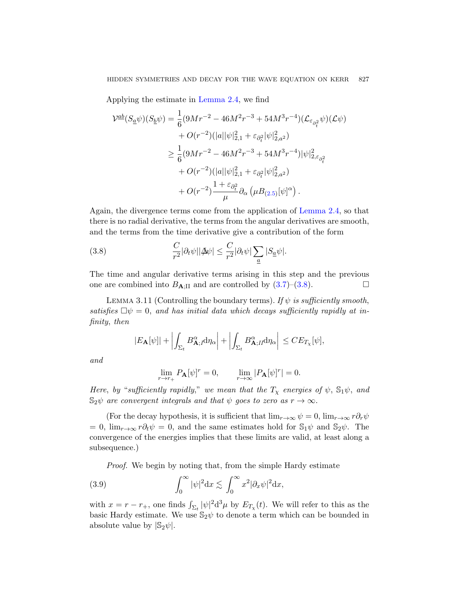Applying the estimate in Lemma 2.4, we find

$$
\mathcal{V}^{ab}(S_{\underline{a}}\psi)(S_{\underline{b}}\psi) = \frac{1}{6}(9Mr^{-2} - 46M^2r^{-3} + 54M^3r^{-4})(\mathcal{L}_{\varepsilon_{\partial_i^2}}\psi)(\mathcal{L}\psi) + O(r^{-2})(|a||\psi|_{2,1}^2 + \varepsilon_{\partial_i^2}|\psi|_{2,a^2}^2) \geq \frac{1}{6}(9Mr^{-2} - 46M^2r^{-3} + 54M^3r^{-4})|\psi|_{2,\varepsilon_{\partial_i^2}}^2 + O(r^{-2})(|a||\psi|_{2,1}^2 + \varepsilon_{\partial_i^2}|\psi|_{2,a^2}^2) + O(r^{-2})\frac{1 + \varepsilon_{\partial_i^2}}{\mu}\partial_\alpha(\mu B_{(2.5)}[\psi]^\alpha).
$$

<span id="page-40-0"></span>Again, the divergence terms come from the application of Lemma 2.4, so that there is no radial derivative, [the t](#page-39-0)e[rms](#page-40-0) from the angular derivatives are smooth, and the terms from the time derivative give a contribution of the form

<span id="page-40-1"></span>(3.8) 
$$
\frac{C}{r^2}|\partial_t \psi||\mathbf{\Delta}\psi| \leq \frac{C}{r^2}|\partial_t \psi| \sum_{\underline{a}} |S_{\underline{a}} \psi|.
$$

The time and angular derivative terms arising in this step and the previous one are combined into  $B_{\mathbf{A};\text{II}}$  and are controlled by  $(3.7)-(3.8)$ .

LEMMA 3.11 (Controlling the boundary terms). If  $\psi$  is sufficiently smooth, satisfies  $\Box \psi = 0$ , and has initial data which decays sufficiently rapidly at infinity, then

$$
|E_{\mathbf{A}}[\psi]| + \left| \int_{\Sigma_t} B_{\mathbf{A};I}^{\alpha} d\eta_{\alpha} \right| + \left| \int_{\Sigma_t} B_{\mathbf{A};II}^{\alpha} d\eta_{\alpha} \right| \leq C E_{T_{\chi}}[\psi],
$$

and

$$
\lim_{r \to r_+} P_{\mathbf{A}}[\psi]^r = 0, \qquad \lim_{r \to \infty} |P_{\mathbf{A}}[\psi]^r| = 0.
$$

Here, by "sufficiently rapidly," we mean that the  $T<sub>x</sub>$  energies of  $\psi$ ,  $\mathbb{S}_1\psi$ , and  $\mathbb{S}_2\psi$  are convergent integrals and that  $\psi$  goes to zero as  $r \to \infty$ .

(For the decay hypothesis, it is sufficient that  $\lim_{r\to\infty} \psi = 0$ ,  $\lim_{r\to\infty} r \partial_r \psi$  $= 0$ ,  $\lim_{r\to\infty} r \partial_t \psi = 0$ , and the same estimates hold for  $\mathbb{S}_1\psi$  and  $\mathbb{S}_2\psi$ . The convergence of the energies implies that these limits are valid, at least along a subsequence.)

Proof. We begin by noting that, from the simple Hardy estimate

(3.9) 
$$
\int_0^\infty |\psi|^2 \mathrm{d}x \lesssim \int_0^\infty x^2 |\partial_x \psi|^2 \mathrm{d}x,
$$

with  $x = r - r_+$ , one finds  $\int_{\Sigma_t} |\psi|^2 d^3 \mu$  by  $E_{T_\chi}(t)$ . We will refer to this as the basic Hardy estimate. We use  $\mathbb{S}_2\psi$  to denote a term which can be bounded in absolute value by  $|\mathbb{S}_2\psi|$ .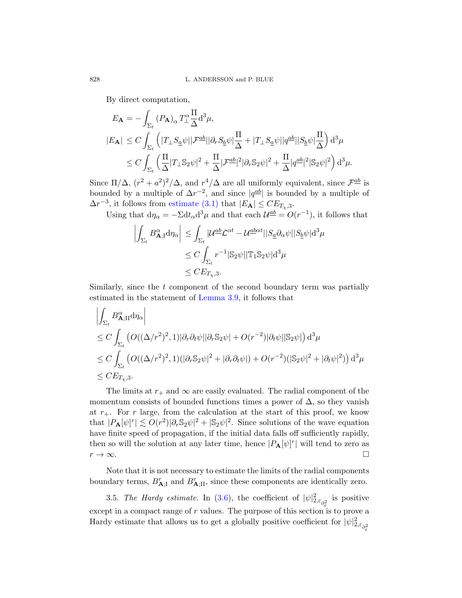By direct computation,

$$
E_{\mathbf{A}} = -\int_{\Sigma_t} (P_{\mathbf{A}})_{\alpha} T_{\perp}^{\alpha} \frac{\Pi}{\Delta} d^3 \mu,
$$
  
\n
$$
|E_{\mathbf{A}}| \leq C \int_{\Sigma_t} \left( |T_{\perp} S_{\underline{a}} \psi| |\mathcal{F}^{\underline{a}b}| |\partial_r S_{\underline{b}} \psi| \frac{\Pi}{\Delta} + |T_{\perp} S_{\underline{a}} \psi| |q^{\underline{a}b}| |S_{\underline{b}} \psi| \frac{\Pi}{\Delta} \right) d^3 \mu
$$
  
\n
$$
\leq C \int_{\Sigma_t} \left( \frac{\Pi}{\Delta} |T_{\perp} \mathbb{S}_2 \psi|^2 + \frac{\Pi}{\Delta} |\mathcal{F}^{\underline{a}b}|^2 |\partial_r \mathbb{S}_2 \psi|^2 + \frac{\Pi}{\Delta} |q^{\underline{a}b}|^2 |\mathbb{S}_2 \psi|^2 \right) d^3 \mu.
$$

Since  $\Pi/\Delta$ ,  $(r^2 + a^2)^2/\Delta$ , and  $r^4/\Delta$  are all uniformly equivalent, since  $\mathcal{F}^{\underline{a}\underline{b}}$  is bounded by a multiple of  $\Delta r^{-2}$ , and since  $|q^{ab}|$  is bounded by a multiple of  $\Delta r^{-3}$ , it follows from estimate (3.1) that  $|E_{\mathbf{A}}| \leq C E_{T_{\chi},3}$ .

Using that  $d\eta_{\alpha} = -\Sigma dt_{\alpha} d^3 \mu$  and that each  $\mathcal{U}^{\underline{a}\underline{b}} = O(r^{-1})$ , it follows that

$$
\left| \int_{\Sigma_t} B^{\alpha}_{\mathbf{A};I} d\eta_{\alpha} \right| \leq \int_{\Sigma_t} |\mathcal{U}^{\underline{a}\underline{b}} \mathcal{L}^{\alpha t} - \mathcal{U}^{\underline{a}\underline{b}\alpha t}| |S_{\underline{a}} \partial_{\alpha} \psi| |S_{\underline{b}} \psi| d^3 \mu
$$
  
\n
$$
\leq C \int_{\Sigma_t} r^{-1} |\mathbb{S}_2 \psi| |\mathbb{T}_1 \mathbb{S}_2 \psi| d^3 \mu
$$
  
\n
$$
\leq C E_{T_\chi,3}.
$$

Similarly, since the  $t$  component of the second boundary term was partially estimated in the statement of Lemma 3.9, it follows that

$$
\left| \int_{\Sigma_t} B^{\alpha}_{\mathbf{A};\mathbf{I}} d\eta_{\alpha} \right|
$$
  
\n
$$
\leq C \int_{\Sigma_t} \left( O((\Delta/r^2)^2, 1) |\partial_r \partial_t \psi| |\partial_r \mathbb{S}_2 \psi| + O(r^{-2}) |\partial_t \psi| |\mathbb{S}_2 \psi| \right) d^3 \mu
$$
  
\n
$$
\leq C \int_{\Sigma_t} \left( O((\Delta/r^2)^2, 1) (|\partial_r \mathbb{S}_2 \psi|^2 + |\partial_r \partial_t \psi|) + O(r^{-2}) (|\mathbb{S}_2 \psi|^2 + |\partial_t \psi|^2) \right) d^3 \mu
$$
  
\n
$$
\leq C E_{T_{\chi,3}}.
$$

The limits at  $r_+$  and  $\infty$  are easily evaluated. The radial component of the momentum consists of bounded functions times a power of  $\Delta$ , so they vanish at  $r_{+}$ . For r large, from the calculation at the start of this proof, we know that  $|P_{\mathbf{A}}[\psi]^r| \lesssim O(r^2)|\partial_r \mathbb{S}_2 \psi|^2 + |\mathbb{S}_2 \psi|^2$ . Since solutions of the wave equation have finites[peed](#page-37-1) of propagation, if the initial data falls off sufficiently rapidly, then so will the solution at any later time, hence  $|P_{\mathbf{A}}[\psi]^r|$  will tend to zero as  $r \to \infty$ .

Note that it is not necessary to estimate the limits of the radial components boundary terms,  $B_{\mathbf{A};\mathbf{I}}^r$  and  $B_{\mathbf{A};\mathbf{II}}^r$ , since these components are identically zero.

3.5. The Hardy estimate. In (3.6), the coefficient of  $|\psi|^2_{2,\varepsilon_{\partial_t^2}}$ is positive except in a compact range of r values. The purpose of this section is to prove a Hardy estimate that allows us to get a globally positive coefficient for  $|\psi|^2_{2,\varepsilon_{\partial^2}}$ 

t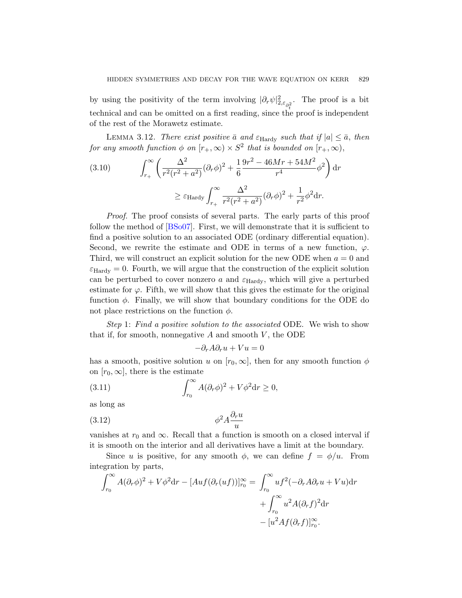<span id="page-42-0"></span>by using the positivity of the term involving  $|\partial_r \psi|^2_{2, \varepsilon_{\partial_t^2}}$ . The proof is a bit technical and can be omitted on a first reading, since the proof is independent of the rest of the Morawetz estimate.

LEMMA 3.12. There exist positive  $\bar{a}$  and  $\varepsilon_{\text{Hardy}}$  such that if  $|a| \leq \bar{a}$ , then for any smooth function  $\phi$  on  $[r_+,\infty) \times S^2$  that is bounded on  $[r_+,\infty)$ ,

(3.10) 
$$
\int_{r_+}^{\infty} \left( \frac{\Delta^2}{r^2 (r^2 + a^2)} (\partial_r \phi)^2 + \frac{1}{6} \frac{9r^2 - 46Mr + 54M^2}{r^4} \phi^2 \right) dr
$$

$$
\geq \varepsilon_{\text{Hardy}} \int_{r_+}^{\infty} \frac{\Delta^2}{r^2 (r^2 + a^2)} (\partial_r \phi)^2 + \frac{1}{r^2} \phi^2 dr.
$$

Proof. The proof consists of several parts. The early parts of this proof follow the method of [BSo07]. First, we will demonstrate that it is sufficient to find a positive solution to an associated ODE (ordinary differential equation). Second, we rewrite the estimate and ODE in terms of a new function,  $\varphi$ . Third, we will construct an explicit solution for the new ODE when  $a = 0$  and  $\varepsilon_{\text{Hardy}} = 0$ . Fourth, we will argue that the construction of the explicit solution can be perturbed to cover nonzero  $a$  and  $\varepsilon_{\text{Hardy}}$ , which will give a perturbed estimate for  $\varphi$ . Fifth, we will show that this gives the estimate for the original function  $\phi$ . Finally, we will show that boundary conditions for the ODE do not place restrictions on the function  $\phi$ .

Step 1: Find a positive solution to the associated ODE. We wish to show that if, for smooth, nonnegative  $A$  and smooth  $V$ , the ODE

$$
-\partial_r A \partial_r u + Vu = 0
$$

has a smooth, positive solution u on  $[r_0, \infty]$ , then for any smooth function  $\phi$ on  $[r_0, \infty]$ , there is the estimate

(3.11) 
$$
\int_{r_0}^{\infty} A(\partial_r \phi)^2 + V \phi^2 dr \ge 0,
$$

as long as

$$
\phi^2 A \frac{\partial_r u}{u}
$$

vanishes at  $r_0$  and  $\infty$ . Recall that a function is smooth on a closed interval if it is smooth on the interior and all derivatives have a limit at the boundary.

Since u is positive, for any smooth  $\phi$ , we can define  $f = \phi/u$ . From integration by parts,

$$
\int_{r_0}^{\infty} A(\partial_r \phi)^2 + V \phi^2 dr - [Au f(\partial_r (uf))]_{r_0}^{\infty} = \int_{r_0}^{\infty} u f^2 (-\partial_r A \partial_r u + Vu) dr
$$

$$
+ \int_{r_0}^{\infty} u^2 A(\partial_r f)^2 dr
$$

$$
- [u^2 A f(\partial_r f)]_{r_0}^{\infty}.
$$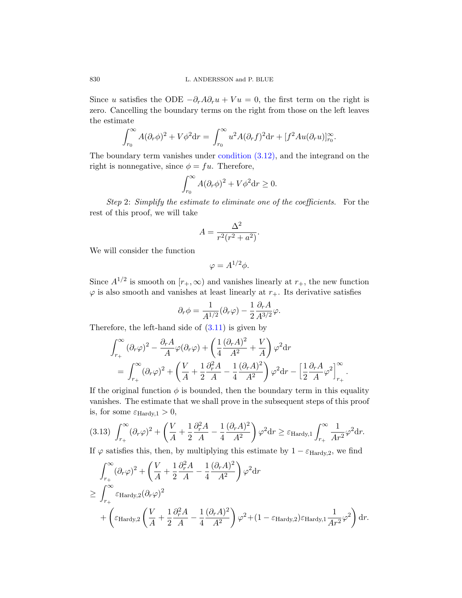830 L. ANDERSSON and P. BLUE

Since u satisfies the ODE  $-\partial_r A \partial_r u + Vu = 0$ , the first term on the right is zero. Cancelling the boundary terms on the right from those on the left leaves the estimate

$$
\int_{r_0}^{\infty} A(\partial_r \phi)^2 + V \phi^2 dr = \int_{r_0}^{\infty} u^2 A(\partial_r f)^2 dr + [f^2 Au(\partial_r u)]_{r_0}^{\infty}.
$$

The boundary term vanishes under condition (3.12), and the integrand on the right is nonnegative, since  $\phi = fu$ . Therefore,

$$
\int_{r_0}^{\infty} A(\partial_r \phi)^2 + V \phi^2 dr \ge 0.
$$

Step 2: Simplify the estimate to eliminate one of the coefficients. For the rest of this proof, we will take

$$
A = \frac{\Delta^2}{r^2(r^2 + a^2)}.
$$

We will consider the function

$$
\varphi = A^{1/2}\phi.
$$

Since  $A^{1/2}$  is smooth on  $[r_+,\infty)$  and vanishes linearly at  $r_+$ , the new function  $\varphi$  is also smooth and vanishes at least linearly at  $r_{+}$ . Its derivative satisfies

$$
\partial_r \phi = \frac{1}{A^{1/2}} (\partial_r \varphi) - \frac{1}{2} \frac{\partial_r A}{A^{3/2}} \varphi.
$$

<span id="page-43-0"></span>Therefore, the left-hand side of  $(3.11)$  is given by

$$
\int_{r_+}^{\infty} (\partial_r \varphi)^2 - \frac{\partial_r A}{A} \varphi (\partial_r \varphi) + \left( \frac{1}{4} \frac{(\partial_r A)^2}{A^2} + \frac{V}{A} \right) \varphi^2 dr
$$
  
= 
$$
\int_{r_+}^{\infty} (\partial_r \varphi)^2 + \left( \frac{V}{A} + \frac{1}{2} \frac{\partial_r^2 A}{A} - \frac{1}{4} \frac{(\partial_r A)^2}{A^2} \right) \varphi^2 dr - \left[ \frac{1}{2} \frac{\partial_r A}{A} \varphi^2 \right]_{r_+}^{\infty}.
$$

If the original function  $\phi$  is bounded, then the boundary term in this equality vanishes. The estimate that we shall prove in the subsequent steps of this proof is, for some  $\varepsilon_{\text{Hardy},1} > 0$ ,

$$
(3.13)\ \int_{r_+}^{\infty} (\partial_r \varphi)^2 + \left(\frac{V}{A} + \frac{1}{2}\frac{\partial_r^2 A}{A} - \frac{1}{4}\frac{(\partial_r A)^2}{A^2}\right)\varphi^2 dr \ge \varepsilon_{\text{Hardy,1}} \int_{r_+}^{\infty} \frac{1}{Ar^2} \varphi^2 dr.
$$

If  $\varphi$  satisfies this, then, by multiplying this estimate by  $1 - \varepsilon_{\text{Hardy,2}}$ , we find

$$
\int_{r_+}^{\infty} (\partial_r \varphi)^2 + \left( \frac{V}{A} + \frac{1}{2} \frac{\partial_r^2 A}{A} - \frac{1}{4} \frac{(\partial_r A)^2}{A^2} \right) \varphi^2 dr
$$
\n
$$
\geq \int_{r_+}^{\infty} \varepsilon_{\text{Hardy,2}} (\partial_r \varphi)^2 + \left( \varepsilon_{\text{Hardy,2}} \left( \frac{V}{A} + \frac{1}{2} \frac{\partial_r^2 A}{A} - \frac{1}{4} \frac{(\partial_r A)^2}{A^2} \right) \varphi^2 + (1 - \varepsilon_{\text{Hardy,2}}) \varepsilon_{\text{Hardy,1}} \frac{1}{Ar^2} \varphi^2 \right) dr.
$$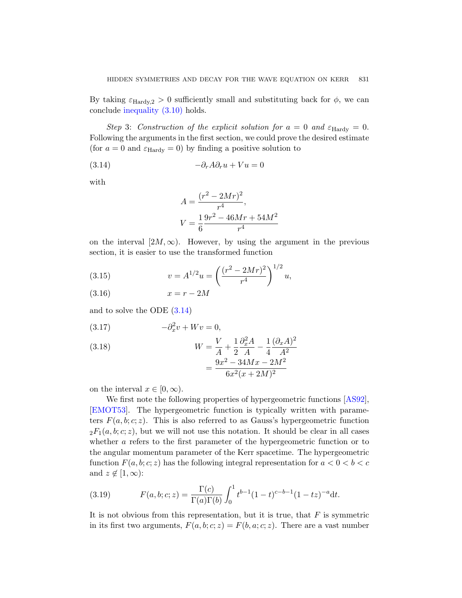<span id="page-44-0"></span>By taking  $\varepsilon_{\text{Hardy,2}} > 0$  sufficiently small and substituting back for  $\phi$ , we can conclude inequality (3.10) holds.

Step 3: Construction of the explicit solution for  $a = 0$  and  $\varepsilon_{\text{Hardy}} = 0$ . Following the arguments in the first section, we could prove the desired estimate (for  $a = 0$  and  $\varepsilon_{\text{Hardy}} = 0$ ) by finding a positive solution to

$$
(3.14) \t -\partial_r A \partial_r u + V u = 0
$$

with

$$
A = \frac{(r^2 - 2Mr)^2}{r^4},
$$
  

$$
V = \frac{1}{6} \frac{9r^2 - 46Mr + 54M^2}{r^4}
$$

<span id="page-44-4"></span><span id="page-44-2"></span>[on th](#page-44-0)e interval  $[2M,\infty)$ . However, by using the argument in the previous section, it is easier to use the transformed function

<span id="page-44-3"></span>(3.15) 
$$
v = A^{1/2}u = \left(\frac{(r^2 - 2Mr)^2}{r^4}\right)^{1/2}u,
$$

$$
(3.16) \t\t x = r - 2M
$$

and to solve the ODE (3.14)

$$
(3.17) \t -\partial_x^2 v + Wv = 0,
$$

(3.18)  
\n
$$
W = \frac{V}{A} + \frac{1}{2} \frac{\partial_x^2 A}{A} - \frac{1}{4} \frac{(\partial_x A)^2}{A^2}
$$
\n
$$
= \frac{9x^2 - 34Mx - 2M^2}{6x^2(x + 2M)^2}
$$

on the interval  $x \in [0, \infty)$ .

<span id="page-44-1"></span>We first note the following properties of hypergeometric functions [AS92], [EMOT53]. The hypergeometric function is typically written with parameters  $F(a, b; c; z)$ . This is also referred to as Gauss's hypergeometric function  ${}_2F_1(a, b; c; z)$ , but we will not use this notation. It should be clear in all cases whether a refers to the first parameter of the hypergeometric function or to the angular momentum parameter of the Kerr spacetime. The hypergeometric function  $F(a, b; c; z)$  has the following integral representation for  $a < 0 < b < c$ and  $z \notin [1, \infty)$ :

(3.19) 
$$
F(a, b; c; z) = \frac{\Gamma(c)}{\Gamma(a)\Gamma(b)} \int_0^1 t^{b-1} (1-t)^{c-b-1} (1-tz)^{-a} dt.
$$

It is not obvious from this representation, but it is true, that  $F$  is symmetric in its first two arguments,  $F(a, b; c; z) = F(b, a; c; z)$ . There are a vast number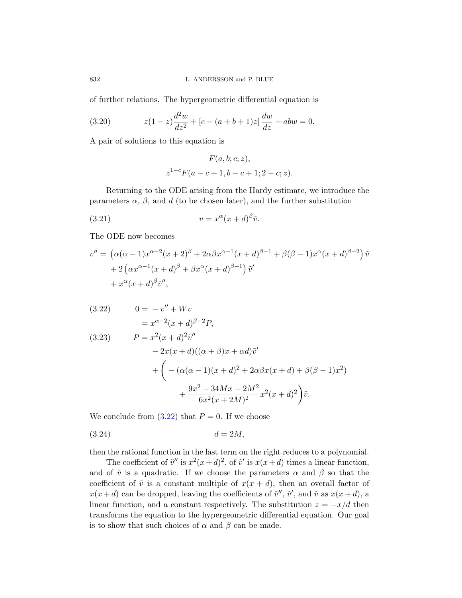of further relations. The hypergeometric differential equation is

(3.20) 
$$
z(1-z)\frac{d^2w}{dz^2} + [c - (a+b+1)z] \frac{dw}{dz} - abw = 0.
$$

<span id="page-45-0"></span>A pair of solutions to this equation is

$$
F(a, b; c; z),
$$
  

$$
z^{1-c}F(a-c+1, b-c+1; 2-c; z).
$$

Returning to the ODE arising from the Hardy estimate, we introduce the parameters  $\alpha$ ,  $\beta$ , and d (to be chosen later), and the further substitution

$$
(3.21) \t\t v = x^{\alpha}(x+d)^{\beta}\tilde{v}.
$$

The ODE now becomes

$$
v'' = \left(\alpha(\alpha - 1)x^{\alpha - 2}(x + 2)^{\beta} + 2\alpha\beta x^{\alpha - 1}(x + d)^{\beta - 1} + \beta(\beta - 1)x^{\alpha}(x + d)^{\beta - 2}\right)\tilde{v}
$$
  
+  $2\left(\alpha x^{\alpha - 1}(x + d)^{\beta} + \beta x^{\alpha}(x + d)^{\beta - 1}\right)\tilde{v}'$   
+  $x^{\alpha}(x + d)^{\beta}\tilde{v}'',$ 

(3.22) 
$$
0 = -v'' + Wv
$$
  
\n
$$
= x^{\alpha-2}(x+d)^{\beta-2}P,
$$
  
\n(3.23) 
$$
P = x^2(x+d)^2\tilde{v}''
$$
  
\n
$$
-2x(x+d)((\alpha+\beta)x+\alpha d)\tilde{v}'
$$
  
\n
$$
+ \left( -(\alpha(\alpha-1)(x+d)^2 + 2\alpha\beta x(x+d) + \beta(\beta-1)x^2) + \frac{9x^2 - 34Mx - 2M^2}{6x^2(x+2M)^2}x^2(x+d)^2 \right)\tilde{v}.
$$

We conclude from  $(3.22)$  that  $P = 0$ . If we choose

$$
(3.24) \t\t d = 2M,
$$

then the rational function in the last term on the right reduces to a polynomial.

The coefficient of  $\tilde{v}''$  is  $x^2(x+d)^2$ , of  $\tilde{v}'$  is  $x(x+d)$  times a linear function, and of  $\tilde{v}$  is a quadratic. If we choose the parameters  $\alpha$  and  $\beta$  so that the coefficient of  $\tilde{v}$  is a constant multiple of  $x(x + d)$ , then an overall factor of  $x(x+d)$  can be dropped, leaving the coefficients of  $\tilde{v}''$ ,  $\tilde{v}'$ , and  $\tilde{v}$  as  $x(x+d)$ , a linear function, and a constant respectively. The substitution  $z = -x/d$  then transforms the equation to the hypergeometric differential equation. Our goal is to show that such choices of  $\alpha$  and  $\beta$  can be made.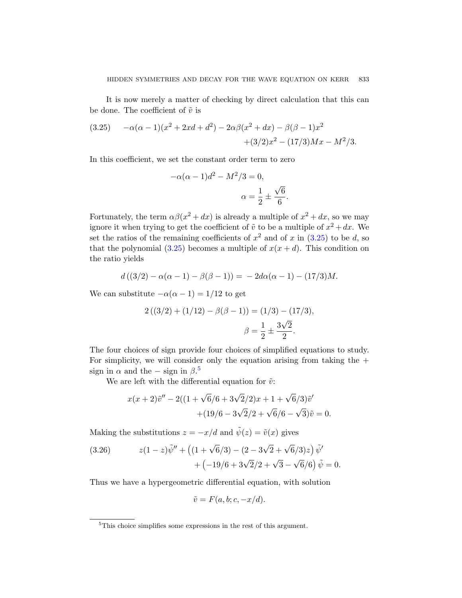<span id="page-46-0"></span>It is now merely a matter of checking by direct calculation that this can be done. The coefficient of  $\tilde{v}$  is

(3.25) 
$$
-\alpha(\alpha - 1)(x^2 + 2xd + d^2) - 2\alpha\beta(x^2 + dx) - \beta(\beta - 1)x^2 + (3/2)x^2 - (17/3)Mx - M^2/3.
$$

In this coefficient, we set the constant order term to zero

$$
-\alpha(\alpha - 1)d^2 - M^2/3 = 0,
$$
  

$$
\alpha = \frac{1}{2} \pm \frac{\sqrt{6}}{6}.
$$

Fortunately, the term  $\alpha\beta(x^2+dx)$  is already a multiple of  $x^2+dx$ , so we may ignore it when trying to get the coefficient of  $\tilde{v}$  to be a multiple of  $x^2 + dx$ . We set the ratios of the remaining coefficients of  $x^2$  and of x in  $(3.25)$  to be d, so that the polynomial  $(3.25)$  becomes a multiple of  $x(x+d)$ . This condition on the ratio yields

$$
d((3/2) - \alpha(\alpha - 1) - \beta(\beta - 1)) = -2d\alpha(\alpha - 1) - (17/3)M.
$$

We can substitute  $-\alpha(\alpha - 1) = 1/12$  to get

$$
2((3/2) + (1/12) - \beta(\beta - 1)) = (1/3) - (17/3),
$$

$$
\beta = \frac{1}{2} \pm \frac{3\sqrt{2}}{2}.
$$

<span id="page-46-1"></span>The four choices of sign provide four choices of simplified equations to study. For simplicity, we will consider only the equation arising from taking the  $+$ sign in  $\alpha$  and the – sign in  $\beta$ .<sup>5</sup>

We are left with the differential equation for  $\tilde{v}$ :

$$
x(x+2)\tilde{v}'' - 2((1+\sqrt{6}/6+3\sqrt{2}/2)x + 1+\sqrt{6}/3)\tilde{v}'
$$
  
+(19/6-3\sqrt{2}/2+\sqrt{6}/6-\sqrt{3})\tilde{v} = 0.

Making the substitutions  $z = -x/d$  and  $\tilde{\psi}(z) = \tilde{v}(x)$  gives

(3.26) 
$$
z(1-z)\tilde{\psi}'' + (1+\sqrt{6}/3) - (2-3\sqrt{2}+\sqrt{6}/3)z)\tilde{\psi}' + (-19/6+3\sqrt{2}/2+\sqrt{3}-\sqrt{6}/6)\tilde{\psi} = 0.
$$

Thus we have a hypergeometric differential equation, with solution

$$
\tilde{v} = F(a, b; c, -x/d).
$$

<sup>5</sup>This choice simplifies some expressions in the rest of this argument.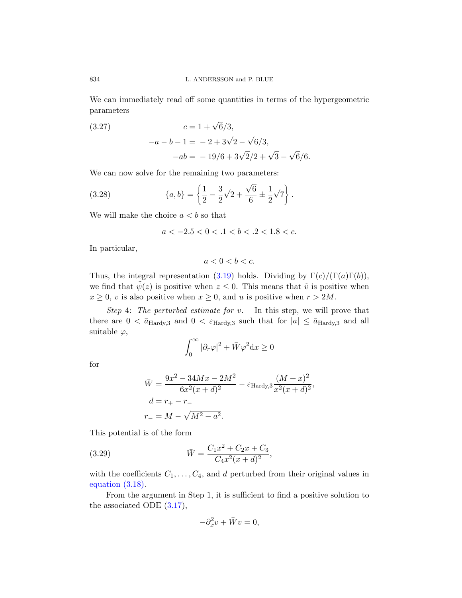We can immediately read off some quantities in terms of the hypergeometric parameters

(3.27)  
\n
$$
c = 1 + \sqrt{6}/3,
$$
\n
$$
-a - b - 1 = -2 + 3\sqrt{2} - \sqrt{6}/3,
$$
\n
$$
-ab = -19/6 + 3\sqrt{2}/2 + \sqrt{3} - \sqrt{6}/6.
$$

We can now solve for the remaining two parameters:

(3.28) 
$$
\{a,b\} = \left\{\frac{1}{2} - \frac{3}{2}\sqrt{2} + \frac{\sqrt{6}}{6} \pm \frac{1}{2}\sqrt{7}\right\}.
$$

We will ma[ke the](#page-44-1) choice  $a < b$  so that

$$
a < -2.5 < 0 < .1 < b < .2 < 1.8 < c.
$$

In particular,

$$
a < 0 < b < c.
$$

Thus, the integral representation (3.19) holds. Dividing by  $\Gamma(c)/(\Gamma(a)\Gamma(b))$ , we find that  $\tilde{\psi}(z)$  is positive when  $z \leq 0$ . This means that  $\tilde{v}$  is positive when  $x \geq 0$ , v is also positive when  $x \geq 0$ , and u is positive when  $r > 2M$ .

Step 4: The perturbed estimate for  $v$ . In this step, we will prove that there are  $0 < \bar{a}_{\text{Hardy,3}}$  and  $0 < \varepsilon_{\text{Hardy,3}}$  such that for  $|a| \leq \bar{a}_{\text{Hardy,3}}$  and all suitable  $\varphi$ ,

$$
\int_0^\infty |\partial_r \varphi|^2 + \bar{W} \varphi^2 \mathrm{d} x \ge 0
$$

<span id="page-47-0"></span>for

$$
\bar{W} = \frac{9x^2 - 34Mx - 2M^2}{6x^2(x+d)^2} - \varepsilon_{\text{Hardy,3}} \frac{(M+x)^2}{x^2(x+d)^2},
$$
  
\n
$$
d = r_+ - r_-
$$
  
\n
$$
r_- = M - \sqrt{M^2 - a^2}.
$$

[Th](#page-44-2)is potential is of the form

(3.29) 
$$
\bar{W} = \frac{C_1 x^2 + C_2 x + C_3}{C_4 x^2 (x + d)^2},
$$

with the coefficients  $C_1, \ldots, C_4$ , and d perturbed from their original values in equation (3.18).

From the argument in Step 1, it is sufficient to find a positive solution to the associated ODE  $(3.17)$ ,

$$
-\partial_x^2 v + \bar{W}v = 0,
$$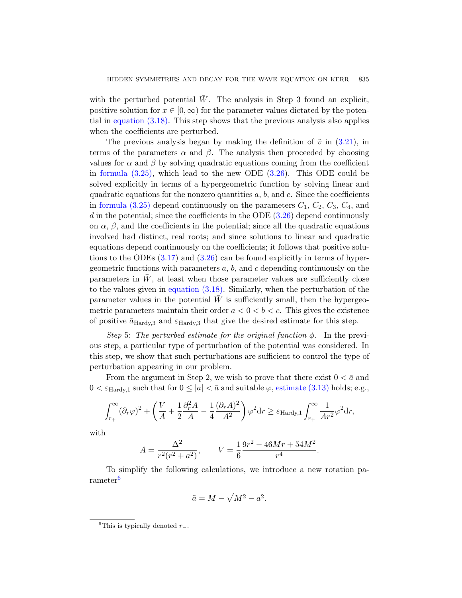with the perturbed potential  $\bar{W}$ . The analysis in Step 3 found an explicit, positive solution for  $x \in [0, \infty)$  for the parameter values dictated by the potential in equation (3.18). This step shows that the previous analysis also applies when the coefficients are perturbed.

The previous analysis began by making the definition of  $\tilde{v}$  in (3.21), in terms of the parameters  $\alpha$  [and](#page-46-1)  $\beta$ . The analysis then proceeded by choosing values for  $\alpha$  and  $\beta$  by solving quadratic equations coming from the coefficient in formula  $(3.25)$ , which lead to the new ODE  $(3.26)$ . This ODE could be solved explicitly in terms of a hypergeometric function by solving linear and [q](#page-44-2)uadra[tic eq](#page-46-1)uations for the nonzero quantities  $a, b$ , and  $c$ . Since the coefficients in formula  $(3.25)$  depend continuously on the parameters  $C_1$ ,  $C_2$ ,  $C_3$ ,  $C_4$ , and  $d$  in the potential; since the coefficients in the ODE  $(3.26)$  depend continuously on  $\alpha$ ,  $\beta$ [, and th](#page-44-3)e coefficients in the potential; since all the quadratic equations involved had distinct, real roots; and since solutions to linear and quadratic equations depend continuously on the coefficients; it follows that positive solutions to the ODEs  $(3.17)$  and  $(3.26)$  can be found explicitly in terms of hypergeometric functions with parameters  $a, b$ , and c depending continuously on the parameters in  $\bar{W}$ , at least when those parameter values are sufficiently close to the values given in equation (3.18). Similarly, when the perturbation of the parameter values in the potential  $W$  is sufficiently small, then the hypergeometric parameters maintain their order  $a < 0 < b < c$ . This gives the existence of positive  $\bar{a}_{\text{Hardv,3}}$  and  $\varepsilon_{\text{Hardv,3}}$  [that give the](#page-43-0) desired estimate for this step.

Step 5: The perturbed estimate for the original function  $\phi$ . In the previous step, a particular type of perturbation of the potential was considered. In this step, we show that such perturbations are sufficient to control the type of perturbation appearing in our problem.

From the argument in Step 2, we wish to prove that there exist  $0 < \bar{a}$  and  $0 < \varepsilon_{\text{Hardv,1}}$  such that for  $0 \leq |a| < \bar{a}$  and suitable  $\varphi$ , estimate (3.13) holds; e.g.,

$$
\int_{r_+}^{\infty} (\partial_r \varphi)^2 + \left( \frac{V}{A} + \frac{1}{2} \frac{\partial_r^2 A}{A} - \frac{1}{4} \frac{(\partial_r A)^2}{A^2} \right) \varphi^2 dr \ge \varepsilon_{\text{Hardy,1}} \int_{r_+}^{\infty} \frac{1}{Ar^2} \varphi^2 dr,
$$

with

$$
A = \frac{\Delta^2}{r^2(r^2 + a^2)}, \qquad V = \frac{1}{6} \frac{9r^2 - 46Mr + 54M^2}{r^4}.
$$

To simplify the following calculations, we introduce a new rotation parameter<sup>6</sup>

$$
\tilde{a} = M - \sqrt{M^2 - a^2}.
$$

<sup>&</sup>lt;sup>6</sup>This is typically denoted  $r_-.$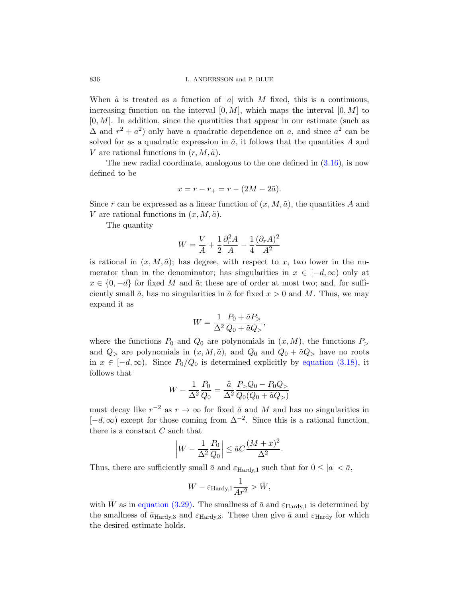When  $\tilde{a}$  is treated as a function of |a| [with](#page-44-4) M fixed, this is a continuous, increasing function on the interval  $[0, M]$ , which maps the interval  $[0, M]$  to  $[0, M]$ . In addition, since the quantities that appear in our estimate (such as  $\Delta$  and  $r^2 + a^2$ ) only have a quadratic dependence on a, and since  $a^2$  can be solved for as a quadratic expression in  $\tilde{a}$ , it follows that the quantities A and V are rational functions in  $(r, M, \tilde{a})$ .

The new radial coordinate, analogous to the one defined in  $(3.16)$ , is now defined to be

$$
x = r - r_+ = r - (2M - 2\tilde{a}).
$$

Since r can be expressed as a linear function of  $(x, M, \tilde{a})$ , the quantities A and V are rational functions in  $(x, M, \tilde{a})$ .

The quantity

$$
W = \frac{V}{A} + \frac{1}{2} \frac{\partial_r^2 A}{A} - \frac{1}{4} \frac{(\partial_r A)^2}{A^2}
$$

is rational in  $(x, M, \tilde{a})$ ; has degree, with respect to x, two lower in the numerator than in the denominator; has singularities in  $x \in [-d, \infty)$  only at  $x \in \{0, -d\}$  for fixed M and  $\tilde{a}$ ; these are of order at most two; and, for sufficiently small  $\tilde{a}$ , has no singularities in  $\tilde{a}$  [for fixed](#page-44-3)  $x > 0$  and M. Thus, we may expand it as

$$
W = \frac{1}{\Delta^2} \frac{P_0 + \tilde{a} P_{>}}{Q_0 + \tilde{a} Q_{>}},
$$

where the functions  $P_0$  and  $Q_0$  are polynomials in  $(x, M)$ , the functions  $P_>$ and  $Q_{>}$  are polynomials in  $(x, M, \tilde{a})$ , and  $Q_{0}$  and  $Q_{0} + \tilde{a}Q_{>}$  have no roots in  $x \in [-d, \infty)$ . Since  $P_0/Q_0$  is determined explicitly by equation (3.18), it follows that

$$
W - \frac{1}{\Delta^2} \frac{P_0}{Q_0} = \frac{\tilde{a}}{\Delta^2} \frac{P_{>Q_0} - P_0 Q_{>}}{Q_0 (Q_0 + \tilde{a} Q_{>})}
$$

must decay like  $r^{-2}$  as  $r \to \infty$  for fixed  $\tilde{a}$  and M and has no singularities in  $[-d, \infty)$  except for those coming from  $\Delta^{-2}$ . Since this is a rational function, [there](#page-47-0) is a constant  $C$  such that

$$
\left|W - \frac{1}{\Delta^2} \frac{P_0}{Q_0}\right| \le \tilde{a} C \frac{(M+x)^2}{\Delta^2}.
$$

Thus, there are sufficiently small  $\bar{a}$  and  $\varepsilon_{\text{Hardy,1}}$  such that for  $0 \leq |a| < \bar{a}$ ,

$$
W - \varepsilon_{\mathrm{Hardy},1} \frac{1}{Ar^2} > \bar{W},
$$

with W as in equation (3.29). The smallness of  $\bar{a}$  and  $\varepsilon_{\text{Hardy,1}}$  is determined by the smallness of  $\bar{a}_{\text{Hardy,3}}$  and  $\varepsilon_{\text{Hardy,3}}$ . These then give  $\bar{a}$  and  $\varepsilon_{\text{Hardy}}$  for which the desired estimate holds.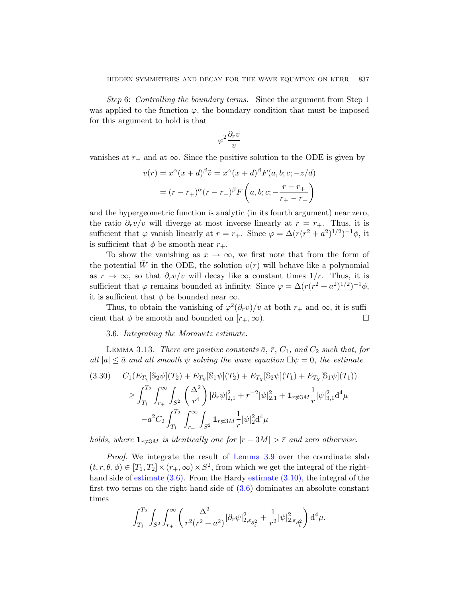Step 6: Controlling the boundary terms. Since the argument from Step 1 was applied to the function  $\varphi$ , the boundary condition that must be imposed for this argument to hold is that

$$
\varphi^2\frac{\partial_r v}{v}
$$

vanishes at  $r_+$  and at  $\infty$ . Since the positive solution to the ODE is given by

$$
v(r) = x^{\alpha}(x+d)^{\beta}\tilde{v} = x^{\alpha}(x+d)^{\beta}F(a,b;c;-z/d)
$$

$$
= (r-r_{+})^{\alpha}(r-r_{-})^{\beta}F\left(a,b;c;-\frac{r-r_{+}}{r_{+}-r_{-}}\right)
$$

and the hypergeometric function is analytic (in its fourth argument) near zero, the ratio  $\partial_r v/v$  will diverge at most inverse linearly at  $r = r_+$ . Thus, it is sufficient that  $\varphi$  vanish linearly at  $r = r_+$ . Since  $\varphi = \Delta(r(r^2 + a^2)^{1/2})^{-1}\phi$ , it is sufficient that  $\phi$  be smooth near  $r_{+}$ .

<span id="page-50-0"></span>To show the vanishing as  $x \to \infty$ , we first note that from the form of the potential  $\bar{W}$  in the ODE, the solution  $v(r)$  will behave like a polynomial as  $r \to \infty$ , so that  $\partial_r v/v$  will decay like a constant times  $1/r$ . Thus, it is sufficient that  $\varphi$  remains bounded at infinity. Since  $\varphi = \Delta(r(r^2 + a^2)^{1/2})^{-1}\phi$ , it is sufficient that  $\phi$  be bounded near  $\infty$ .

Thus, to obtain the vanishing of  $\varphi^2(\partial_r v)/v$  at both  $r_+$  and  $\infty$ , it is sufficient that  $\phi$  be smooth and bounded on  $[r_+,\infty)$ .

3.6. Integrating the Morawetz estimate.

LEMMA 3.13. There are positive constants  $\bar{a}$ ,  $\bar{r}$ ,  $C_1$ , and  $C_2$  such that, for all  $|a| \leq \bar{a}$  and all smooth  $\psi$  solving the wave equation  $\Box \psi = 0$ , the estimate

$$
(3.30) \t C_1(E_{T_X}[\mathbb{S}_2 \psi](T_2) + E_{T_X}[\mathbb{S}_1 \psi](T_2) + E_{T_X}[\mathbb{S}_2 \psi](T_1) + E_{T_X}[\mathbb{S}_1 \psi](T_1))
$$
  
\n
$$
\geq \int_{T_1}^{T_2} \int_{r_+}^{\infty} \int_{S^2} \left(\frac{\Delta^2}{r^4}\right) |\partial_r \psi|_{2,1}^2 + r^{-2} |\psi|_{2,1}^2 + \mathbf{1}_{r \neq 3M} \frac{1}{r} |\psi|_{3,1}^2 d^4 \mu
$$
  
\n
$$
-a^2 C_2 \int_{T_1}^{T_2} \int_{r_+}^{\infty} \int_{S^2} \mathbf{1}_{r \neq 3M} \frac{1}{r} |\psi|_2^2 d^4 \mu
$$

holds, where  $1_{r\neq3M}$  is identically one for  $|r - 3M| > \bar{r}$  and zero otherwise.

Proof. We integrate the result of Lemma 3.9 over the coordinate slab  $(t, r, \theta, \phi) \in [T_1, T_2] \times (r_+, \infty) \times S^2$ , from which we get the integral of the righthand side of estimate (3.6). From the Hardy estimate (3.10), the integral of the first two terms on the right-hand side of (3.6) dominates an absolute constant times

$$
\int_{T_1}^{T_2} \int_{S^2} \int_{r_+}^{\infty} \left( \frac{\Delta^2}{r^2 (r^2 + a^2)} |\partial_r \psi|_{2, \varepsilon_{\partial_t^2}}^2 + \frac{1}{r^2} |\psi|_{2, \varepsilon_{\partial_t^2}}^2 \right) d^4 \mu.
$$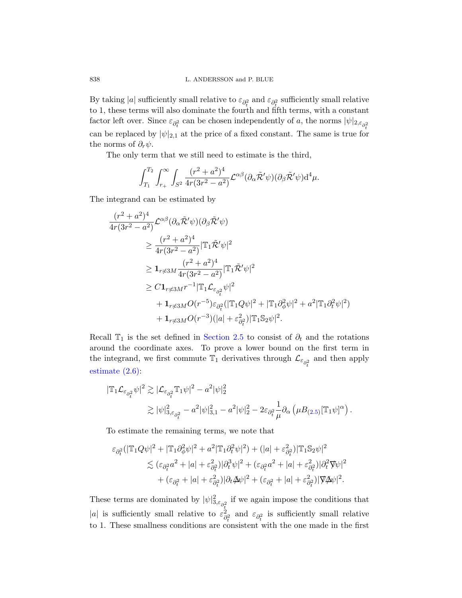By taking |a| sufficiently small relative to  $\varepsilon_{\partial_t^2}$  and  $\varepsilon_{\partial_t^2}$  sufficiently small relative to 1, these terms will also dominate the fourth and fifth terms, with a constant factor left over. Since  $\varepsilon_{\partial_t^2}$  can be chosen independently of a, the norms  $|\psi|_{2,\varepsilon_{\partial_t^2}}$ can be replaced by  $|\psi|_{2,1}$  at the price of a fixed constant. The same is true for the norms of  $\partial_r \psi$ .

The only term that we still need to estimate is the third,

$$
\int_{T_1}^{T_2} \int_{r_+}^{\infty} \int_{S^2} \frac{(r^2 + a^2)^4}{4r(3r^2 - a^2)} \mathcal{L}^{\alpha\beta} (\partial_{\alpha} \tilde{\mathcal{R}}' \psi) (\partial_{\beta} \tilde{\mathcal{R}}' \psi) d^4 \mu.
$$

The integrand can be estimated by

$$
\frac{(r^2+a^2)^4}{4r(3r^2-a^2)} \mathcal{L}^{\alpha\beta}(\partial_\alpha \tilde{\mathcal{R}}'\psi)(\partial_\beta \tilde{\mathcal{R}}'\psi)
$$
\n
$$
\geq \frac{(r^2+a^2)^4}{4r(3r^2-a^2)} |\mathbb{T}_1 \tilde{\mathcal{R}}'\psi|^2
$$
\n
$$
\geq \mathbf{1}_{r \neq 3M} \frac{(r^2+a^2)^4}{4r(3r^2-a^2)} |\mathbb{T}_1 \tilde{\mathcal{R}}'\psi|^2
$$
\n
$$
\geq C\mathbf{1}_{r \neq 3M} r^{-1} |\mathbb{T}_1 \mathcal{L}_{\varepsilon_{\partial_t^2}}\psi|^2
$$
\n
$$
+ \mathbf{1}_{r \neq 3M} O(r^{-5}) \varepsilon_{\partial_t^2} (|\mathbb{T}_1 Q\psi|^2 + |\mathbb{T}_1 \partial_\phi^2 \psi|^2 + a^2 |\mathbb{T}_1 \partial_t^2 \psi|^2)
$$
\n
$$
+ \mathbf{1}_{r \neq 3M} O(r^{-3}) (|a| + \varepsilon_{\partial_t^2}^2) |\mathbb{T}_1 \mathbb{S}_2 \psi|^2.
$$

Recall  $\mathbb{T}_1$  is the set defined in Section 2.5 to consist of  $\partial_t$  and the rotations around the coordinate axes. To pro[ve](#page-28-0) a lower bound on the first term in the integrand, we first commute  $\mathbb{T}_1$  derivatives through  $\mathcal{L}_{\varepsilon_{\partial_t^2}}$  and then apply estimate (2.6):

$$
\begin{split} |\mathbb{T}_1 \mathcal{L}_{\varepsilon_{\partial_t^2}} \psi|^2 &\gtrsim |\mathcal{L}_{\varepsilon_{\partial_t^2}} \mathbb{T}_1 \psi|^2 - a^2 |\psi|_2^2 \\ &\gtrsim |\psi|_{3,\varepsilon_{\partial_t^2}}^2 - a^2 |\psi|_{3,1}^2 - a^2 |\psi|_2^2 - 2\varepsilon_{\partial_t^2} \frac{1}{\mu} \partial_\alpha \left( \mu B_{(2.5)} [\mathbb{T}_1 \psi]^\alpha \right). \end{split}
$$

To estimate the remaining terms, we note that

$$
\varepsilon_{\partial_t^2} (|\mathbb{T}_1 Q \psi|^2 + |\mathbb{T}_1 \partial_{\phi}^2 \psi|^2 + a^2 |\mathbb{T}_1 \partial_t^2 \psi|^2) + (|a| + \varepsilon_{\partial_t^2}^2) |\mathbb{T}_1 \mathbb{S}_2 \psi|^2
$$
  
\$\lesssim (\varepsilon\_{\partial\_t^2} a^2 + |a| + \varepsilon\_{\partial\_t^2}^2) |\partial\_t^3 \psi|^2 + (\varepsilon\_{\partial\_t^2} a^2 + |a| + \varepsilon\_{\partial\_t^2}^2) |\partial\_t^2 \nabla \psi|^2\$  
\$+ (\varepsilon\_{\partial\_t^2} + |a| + \varepsilon\_{\partial\_t^2}^2) |\partial\_t \Delta \psi|^2 + (\varepsilon\_{\partial\_t^2} + |a| + \varepsilon\_{\partial\_t^2}^2) |\nabla \Delta \psi|^2\$.

These terms are dominated by  $|\psi|^2_{3,\varepsilon_{\partial_x^2}}$  if we again impose the conditions that |a| is sufficiently small relative to  $\varepsilon_{\varepsilon}^2$  $\partial_t^2$  and  $\varepsilon_{\partial_t^2}$  is sufficiently small relative to 1. These smallness conditions are consistent with the one made in the first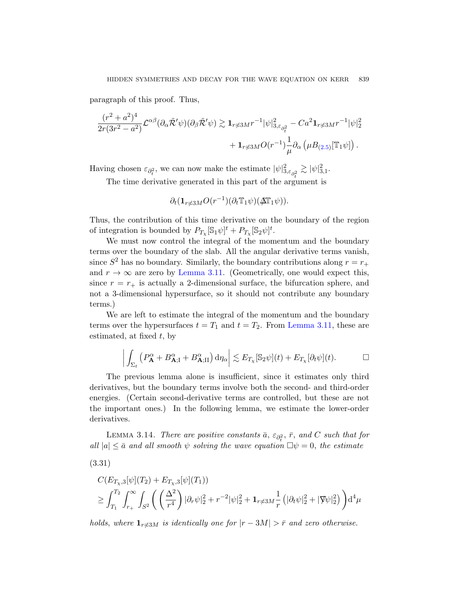paragraph of this proof. Thus,

$$
\frac{(r^2+a^2)^4}{2r(3r^2-a^2)}\mathcal{L}^{\alpha\beta}(\partial_\alpha \tilde{\mathcal{R}}'\psi)(\partial_\beta \tilde{\mathcal{R}}'\psi) \gtrsim \mathbf{1}_{r\neq 3M}r^{-1}|\psi|^2_{3,\varepsilon_{\partial_t^2}} - Ca^2 \mathbf{1}_{r\neq 3M}r^{-1}|\psi|^2_2 + \mathbf{1}_{r\neq 3M}O(r^{-1})\frac{1}{\mu}\partial_\alpha \left(\mu B_{(2.5)}[\mathbb{T}_1\psi]\right).
$$

Having chosen  $\varepsilon_{\partial_t^2}$ , we can now make the estimate  $|\psi|^2_{3,\varepsilon_{\partial_t^2}}$  $\gtrsim |\psi|^2_{3,1}.$ 

The time derivative generated in this part of the argument is

$$
\partial_t (\mathbf{1}_{r \neq 3M} O(r^{-1}) (\partial_t \mathbb{T}_1 \psi) (\Delta \mathbb{T}_1 \psi)).
$$

Thus, the contribution of this time derivative on the boundary of the region of integration is bounded by  $P_{T_\chi}[\mathbb{S}_1\psi]^t + P_{T_\chi}[\mathbb{S}_2\psi]^t$ .

We must now control the integral of the momentum and the boundary terms over the boundary of the slab. All the angular derivative terms vanish, since  $S^2$  has no boundary. Simi[larly, the bou](#page-40-1)ndary contributions along  $r = r_+$ and  $r \to \infty$  are zero by Lemma 3.11. (Geometrically, one would expect this, since  $r = r_+$  is actually a 2-dimensional surface, the bifurcation sphere, and not a 3-dimensional hypersurface, so it should not contribute any boundary terms.)

We are left to estimate the integral of the momentum and the boundary terms over the hypersurfaces  $t = T_1$  and  $t = T_2$ . From Lemma 3.11, these are estimated, at fixed  $t$ , by

$$
\left| \int_{\Sigma_t} \left( P_{\mathbf{A}}^{\alpha} + B_{\mathbf{A};\mathrm{I}}^{\alpha} + B_{\mathbf{A};\mathrm{II}}^{\alpha} \right) \mathrm{d}\eta_{\alpha} \right| \lesssim E_{T_\chi}[\mathbb{S}_2 \psi](t) + E_{T_\chi}[\partial_t \psi](t). \qquad \Box
$$

<span id="page-52-0"></span>The previous lemma alone is insufficient, since it estimates only third derivatives, but the boundary terms involve both the second- and third-order energies. (Certain second-derivative terms are controlled, but these are not the important ones.) In the following lemma, we estimate the lower-order derivatives.

LEMMA 3.14. There are positive constants  $\bar{a}$ ,  $\varepsilon_{\partial_t^2}$ ,  $\bar{r}$ , and C such that for all  $|a| \leq \bar{a}$  and all smooth  $\psi$  solving the wave equation  $\Box \psi = 0$ , the estimate

$$
(3.31)
$$

$$
C(E_{T_{\chi},3}[\psi](T_2) + E_{T_{\chi},3}[\psi](T_1))
$$
  
\n
$$
\geq \int_{T_1}^{T_2} \int_{r_+}^{\infty} \int_{S^2} \left( \left( \frac{\Delta^2}{r^4} \right) |\partial_r \psi|_2^2 + r^{-2} |\psi|_2^2 + \mathbf{1}_{r \neq 3M} \frac{1}{r} \left( |\partial_t \psi|_2^2 + |\nabla \psi|_2^2 \right) \right) d^4 \mu
$$

holds, where  $1_{r\neq3M}$  is identically one for  $|r - 3M| > \bar{r}$  and zero otherwise.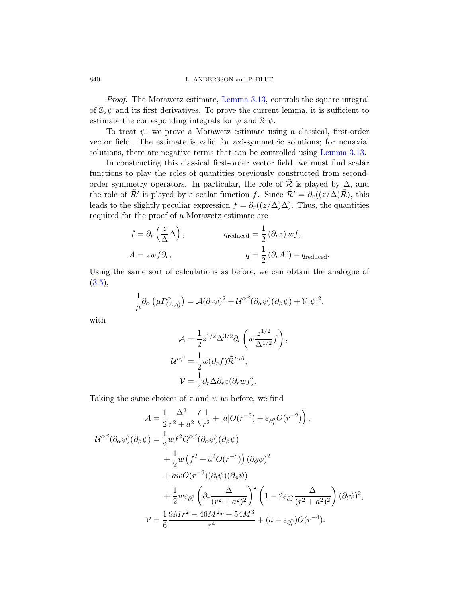Proof. The Morawetz estimate, Lemma 3.13, controls the square integral of  $\mathbb{S}_2\psi$  and its first derivatives. To prove the current lemma, it is sufficient to estimate the corresponding integrals for  $\psi$  and  $\mathbb{S}_1\psi$ .

To treat  $\psi$ , we prove a Morawetz estimate using a classical, first-order vector field. The estimate is valid for axi-symmetric solutions; for nonaxial solutions, there are negative terms that can be controlled using Lemma 3.13.

In constructing this classical first-order vector field, we must find scalar functions to play the roles of quantities previously constructed from secondorder symmetry operators. In particular, the role of  $\mathcal R$  is played by  $\Delta$ , and the role of  $\tilde{\mathcal{R}}'$  is played by a scalar function f. Since  $\tilde{\mathcal{R}}' = \partial_r((z/\Delta)\tilde{\mathcal{R}})$ , this leads to the slightly peculiar expression  $f = \partial_r((z/\Delta)\Delta)$ . Thus, the quantities required for the proof of a Morawetz estimate are

$$
f = \partial_r \left(\frac{z}{\Delta} \Delta\right), \qquad q_{reduced} = \frac{1}{2} (\partial_r z) w f,
$$
  

$$
A = zw f \partial_r, \qquad q = \frac{1}{2} (\partial_r A^r) - q_{reduced}.
$$

Using the same sort of calculations as before, we can obtain the analogue of  $(3.5),$ 

$$
\frac{1}{\mu}\partial_{\alpha}\left(\mu P^{\alpha}_{(A,q)}\right) = \mathcal{A}(\partial_{r}\psi)^{2} + \mathcal{U}^{\alpha\beta}(\partial_{\alpha}\psi)(\partial_{\beta}\psi) + \mathcal{V}|\psi|^{2},
$$

with

$$
\mathcal{A} = \frac{1}{2} z^{1/2} \Delta^{3/2} \partial_r \left( w \frac{z^{1/2}}{\Delta^{1/2}} f \right),
$$
  

$$
\mathcal{U}^{\alpha \beta} = \frac{1}{2} w(\partial_r f) \tilde{\mathcal{R}}^{\prime \alpha \beta},
$$
  

$$
\mathcal{V} = \frac{1}{4} \partial_r \Delta \partial_r z(\partial_r w f).
$$

Taking the same choices of  $z$  and  $w$  as before, we find

$$
\mathcal{A} = \frac{1}{2} \frac{\Delta^2}{r^2 + a^2} \left( \frac{1}{r^2} + |a|O(r^{-3}) + \varepsilon_{\partial_t^2} O(r^{-2}) \right),
$$
  
\n
$$
\mathcal{U}^{\alpha\beta}(\partial_\alpha \psi)(\partial_\beta \psi) = \frac{1}{2} w f^2 Q^{\alpha\beta} (\partial_\alpha \psi)(\partial_\beta \psi)
$$
  
\n
$$
+ \frac{1}{2} w \left( f^2 + a^2 O(r^{-8}) \right) (\partial_\phi \psi)^2
$$
  
\n
$$
+ a w O(r^{-9}) (\partial_t \psi)(\partial_\phi \psi)
$$
  
\n
$$
+ \frac{1}{2} w \varepsilon_{\partial_t^2} \left( \partial_r \frac{\Delta}{(r^2 + a^2)^2} \right)^2 \left( 1 - 2\varepsilon_{\partial_t^2} \frac{\Delta}{(r^2 + a^2)^2} \right) (\partial_t \psi)^2,
$$
  
\n
$$
\mathcal{V} = \frac{1}{6} \frac{9Mr^2 - 46M^2r + 54M^3}{r^4} + (a + \varepsilon_{\partial_t^2})O(r^{-4}).
$$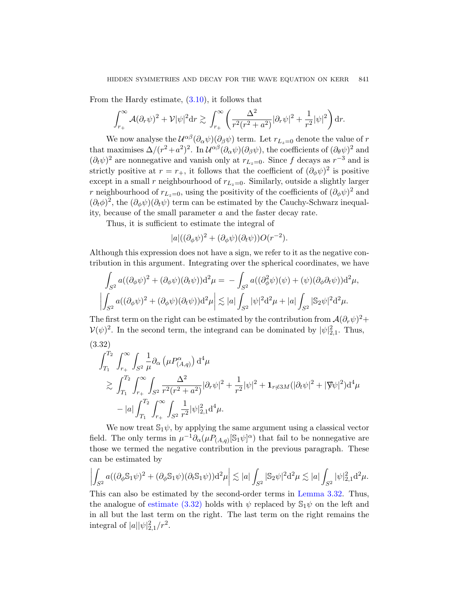From the Hardy estimate, (3.10), it follows that

$$
\int_{r_+}^{\infty} \mathcal{A}(\partial_r \psi)^2 + \mathcal{V}|\psi|^2 dr \gtrsim \int_{r_+}^{\infty} \left(\frac{\Delta^2}{r^2(r^2 + a^2)} |\partial_r \psi|^2 + \frac{1}{r^2} |\psi|^2\right) dr.
$$

We now analyse the  $\mathcal{U}^{\alpha\beta}(\partial_\alpha\psi)(\partial_\beta\psi)$  term. Let  $r_{L_z=0}$  denote the value of  $r$ that maximises  $\Delta/(r^2+a^2)^2$ . In  $\mathcal{U}^{\alpha\beta}(\partial_\alpha\psi)(\partial_\beta\psi)$ , the coefficients of  $(\partial_\theta\psi)^2$  and  $(\partial_t \psi)^2$  are nonnegative and vanish only at  $r_{L_z=0}$ . Since f decays as  $r^{-3}$  and is strictly positive at  $r = r_+$ , it follows that the coefficient of  $(\partial_{\phi}\psi)^2$  is positive except in a small r neighbourhood of  $r_{L_z=0}$ . Similarly, outside a slightly larger r neighbourhood of  $r_{L_z=0}$ , using the positivity of the coefficients of  $(\partial_{\phi}\psi)^2$  and  $(\partial_t \phi)^2$ , the  $(\partial_{\phi} \psi)(\partial_t \psi)$  term can be estimated by the Cauchy-Schwarz inequality, because of the small parameter a and the faster decay rate.

Thus, it is sufficient to estimate the integral of

$$
|a|((\partial_{\phi}\psi)^{2}+(\partial_{\phi}\psi)(\partial_{t}\psi))O(r^{-2}).
$$

<span id="page-54-0"></span>Although this expression does not have a sign, we refer to it as the negative contribution in this argument. Integrating over the spherical coordinates, we have

$$
\int_{S^2} a((\partial_{\phi}\psi)^2 + (\partial_{\phi}\psi)(\partial_t\psi))d^2\mu = -\int_{S^2} a((\partial_{\phi}^2\psi)(\psi) + (\psi)(\partial_{\phi}\partial_t\psi))d^2\mu,
$$
  

$$
\left|\int_{S^2} a((\partial_{\phi}\psi)^2 + (\partial_{\phi}\psi)(\partial_t\psi))d^2\mu\right| \lesssim |a|\int_{S^2} |\psi|^2 d^2\mu + |a|\int_{S^2} |\mathbb{S}_2\psi|^2 d^2\mu.
$$

The first term on the right can be estimated by the contribution from  $\mathcal{A}(\partial_r\psi)^2$ +  $V(\psi)^2$ . In the second term, the integrand can be dominated by  $|\psi|^2_{2,1}$ . Thus,

(3.32)  
\n
$$
\int_{T_1}^{T_2} \int_{r_+}^{\infty} \int_{S^2} \frac{1}{\mu} \partial_{\alpha} \left( \mu P^{\alpha}_{(A,q)} \right) d^4 \mu
$$
\n
$$
\geq \int_{T_1}^{T_2} \int_{r_+}^{\infty} \int_{S^2} \frac{\Delta^2}{r^2 (r^2 + a^2)} |\partial_r \psi|^2 + \frac{1}{r^2} |\psi|^2 + \mathbf{1}_{r \neq 3M} (|\partial_t \psi|^2 + |\nabla \psi|^2) d^4 \mu
$$
\n
$$
- |a| \int_{T_1}^{T_2} \int_{r_+}^{\infty} \int_{S^2} \frac{1}{r^2} |\psi|^2_{2,1} d^4 \mu.
$$

We now treat  $\mathbb{S}_1\psi$ , by applyin[g the same ar](#page-54-0)gument using a classical vector [field. Th](#page-54-0)e only terms in  $\mu^{-1}\partial_\alpha(\mu P_{(A,q)}[\mathbb{S}_1\psi]^\alpha)$  that fail to be nonnegative are those we termed the negative contribution in the previous paragraph. These can be estimated by

$$
\left| \int_{S^2} a((\partial_{\phi} \mathbb{S}_1 \psi)^2 + (\partial_{\phi} \mathbb{S}_1 \psi)(\partial_t \mathbb{S}_1 \psi)) \mathrm{d}^2 \mu \right| \lesssim |a| \int_{S^2} |\mathbb{S}_2 \psi|^2 \mathrm{d}^2 \mu \lesssim |a| \int_{S^2} |\psi|_{2,1}^2 \mathrm{d}^2 \mu.
$$

This can also be estimated by the second-order terms in Lemma 3.32. Thus, the analogue of estimate (3.32) holds with  $\psi$  replaced by  $\mathcal{S}_1\psi$  on the left and in all but the last term on the right. The last term on the right remains the integral of  $|a||\psi|_{2,1}^2/r^2$ .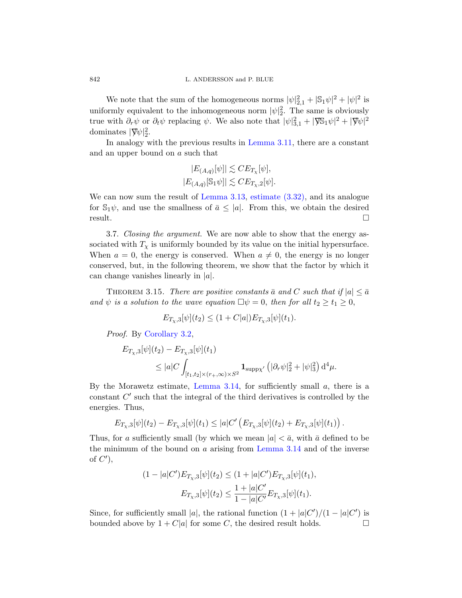We note that the sum of the homogeneous norms  $|\psi|_{2,1}^2 + |\mathbb{S}_1 \psi|^2 + |\psi|^2$  is uniformly equivalent to the inhomogeneous norm  $|\psi|^2$ . The same is obviously true with  $\partial_r \psi$  or  $\partial_t \psi$  replacing  $\psi$ . We also note that  $|\psi|^2_{3,1} + |\nabla \mathbb{S}_1 \psi|^2 + |\nabla \psi|^2$ dominates  $|\nabla \psi|^2_2$ .

In analogy with the previous results in Lemma 3.11, there are a constant and an upper bound on a such that

$$
|E_{(A,q)}[\psi]| \lesssim C E_{T_{\chi}}[\psi],
$$
  

$$
|E_{(A,q)}[\mathbb{S}_1 \psi]| \lesssim C E_{T_{\chi},2}[\psi].
$$

We can now sum the result of Lemma 3.13, estimate  $(3.32)$ , and its analogue for  $\mathbb{S}_1\psi$ , and use the smallness of  $\bar{a} \leq |a|$ . From this, we obtain the desired  $r$ esult.

<span id="page-55-0"></span>3.7. Closing the argument. We are now able to show that the energy associated with  $T_{\chi}$  is uniformly bounded by its value on the initial hypersurface. When  $a = 0$ , the energy is conserved. When  $a \neq 0$ , the energy is no longer [conser](#page-32-1)ved, but, in the following theorem, we show that the factor by which it can change vanishes linearly in  $|a|$ .

THEOREM 3.15. There are positive constants  $\bar{a}$  and C such that if  $|a| \leq \bar{a}$ and  $\psi$  is a solution to the wave equation  $\Box \psi = 0$ , then for all  $t_2 \ge t_1 \ge 0$ ,

$$
E_{T_{\chi},3}[\psi](t_2) \le (1 + C|a|) E_{T_{\chi},3}[\psi](t_1).
$$

Proof. By Corollary 3.2,

$$
E_{T_{\chi},3}[\psi](t_2) - E_{T_{\chi},3}[\psi](t_1)
$$
  
\n
$$
\leq |a| C \int_{[t_1,t_2] \times (r_+,\infty) \times S^2} \mathbf{1}_{\text{supp}\chi'} \left( |\partial_r \psi|_2^2 + |\psi|_3^2 \right) d^4 \mu.
$$

By the Morawetz estimate, [Lemma](#page-52-0) 3.14, for sufficiently small  $a$ , there is a constant  $C'$  such that the integral of the third derivatives is controlled by the energies. Thus,

$$
E_{T_{\chi},3}[\psi](t_2) - E_{T_{\chi},3}[\psi](t_1) \leq |a| C' \left( E_{T_{\chi},3}[\psi](t_2) + E_{T_{\chi},3}[\psi](t_1) \right).
$$

Thus, for a sufficiently small (by which we mean  $|a| < \bar{a}$ , with  $\bar{a}$  defined to be the minimum of the bound on  $a$  arising from Lemma 3.14 and of the inverse of  $C'$ ),

$$
(1 - |a|C')E_{T_{\chi},3}[\psi](t_2) \le (1 + |a|C')E_{T_{\chi},3}[\psi](t_1),
$$

$$
E_{T_{\chi},3}[\psi](t_2) \le \frac{1 + |a|C'}{1 - |a|C'}E_{T_{\chi},3}[\psi](t_1).
$$

Since, for sufficiently small |a|, the rational function  $(1+|a|C')/(1-|a|C')$  is bounded above by  $1 + C|a|$  for some C, the desired result holds.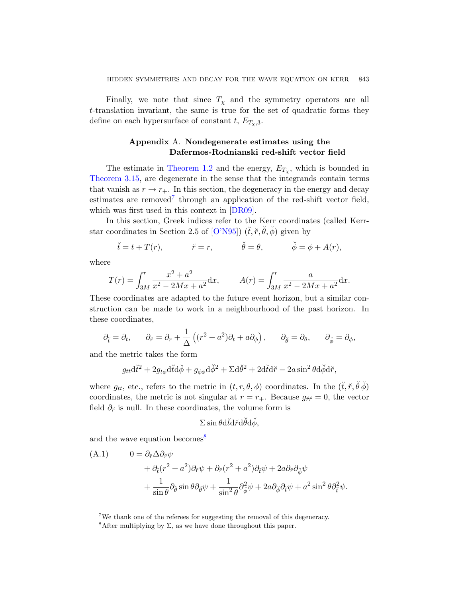<span id="page-56-0"></span>[Finally](#page-7-1), we note that since  $T<sub>x</sub>$  and the symmetry operators are all t-translation invariant, the same is true for the set of quadratic forms they define on each hypersurface of constant t,  $E_{T_{\gamma},3}$ .

# App[endix](#page-63-6) A. Nondegenerate estimates using the Dafermos-Rodnianski red-shift vector field

The e[stimate](#page-65-4) in Theorem 1.2 and the energy,  $E_{T_\chi}$ , which is bounded in Theorem 3.15, are degenerate in the sense that the integrands contain terms that vanish as  $r \to r_{+}$ . In this section, the degeneracy in the energy and decay estimates are removed<sup>7</sup> through an application of the red-shift vector field, which was first used in this context in [DR09].

In this section, Greek indices refer to the Kerr coordinates (called Kerrstar coordinates in Section 2.5 of  $[O'N95]$   $(\check{t}, \check{r}, \check{\theta}, \check{\phi})$  given by

$$
\breve{t} = t + T(r), \qquad \breve{r} = r, \qquad \breve{\theta} = \theta, \qquad \breve{\phi} = \phi + A(r),
$$

where

$$
T(r) = \int_{3M}^{r} \frac{x^2 + a^2}{x^2 - 2Mx + a^2} dx, \qquad A(r) = \int_{3M}^{r} \frac{a}{x^2 - 2Mx + a^2} dx.
$$

These coordinates are adapted to the future event horizon, but a similar construction can be made to work in a neighbourhood of the past horizon. In these coordinates,

$$
\partial_{\tilde{t}} = \partial_t, \qquad \partial_{\tilde{r}} = \partial_r + \frac{1}{\Delta} \left( (r^2 + a^2) \partial_t + a \partial_{\phi} \right), \qquad \partial_{\tilde{\theta}} = \partial_{\theta}, \qquad \partial_{\tilde{\phi}} = \partial_{\phi},
$$

and the metric takes the form

$$
g_{tt}d\tilde{t}^2 + 2g_{t\phi}d\tilde{t}d\phi + g_{\phi\phi}d\phi^2 + \Sigma d\theta^2 + 2d\tilde{t}d\tilde{r} - 2a\sin^2\theta d\phi d\tilde{r},
$$

where  $g_{tt}$ , etc., refers to the metric in  $(t, r, \theta, \phi)$  coordinates. In the  $(\check{t}, \check{r}, \check{\theta}\check{\phi})$ coordinates, the metric is not singular at  $r = r_{+}$ . Because  $g_{\tilde{r}\tilde{r}} = 0$ , the vector field  $\partial_{\tilde{r}}$  is null. In these coordinates, the volume form is

$$
\Sigma \sin\theta \mathrm{d}\breve{t} \mathrm{d}\breve{r} \mathrm{d}\breve{\theta} \mathrm{d}\breve{\phi},
$$

and the wave equation becomes<sup>8</sup>

<span id="page-56-1"></span>(A.1) 
$$
0 = \partial_{\breve{r}} \Delta \partial_{\breve{r}} \psi + \partial_{\breve{t}} (r^2 + a^2) \partial_{\breve{r}} \psi + \partial_{\breve{r}} (r^2 + a^2) \partial_{\breve{t}} \psi + 2a \partial_{\breve{r}} \partial_{\breve{\phi}} \psi + \frac{1}{\sin \theta} \partial_{\breve{\theta}} \sin \theta \partial_{\breve{\theta}} \psi + \frac{1}{\sin^2 \theta} \partial_{\breve{\phi}}^2 \psi + 2a \partial_{\breve{\phi}} \partial_{\breve{t}} \psi + a^2 \sin^2 \theta \partial_{\breve{t}}^2 \psi.
$$

<sup>&</sup>lt;sup>7</sup>We thank one of the referees for suggesting the removal of this degeneracy.

<sup>&</sup>lt;sup>8</sup>After multiplying by  $\Sigma$ , as we have done throughout this paper.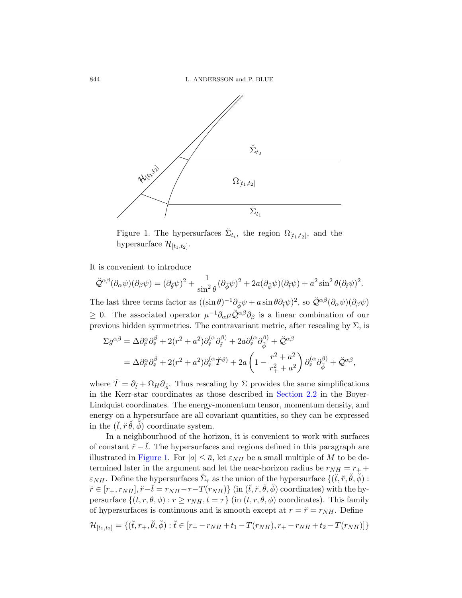

Figure 1. The hypersurfaces  $\breve{\Sigma}_{t_i}$ , the region  $\Omega_{[t_1,t_2]}$ , and the hypersurface  $\mathcal{H}_{[t_1,t_2]}$ .

It is convenient to introduce

$$
\check{\mathcal{Q}}^{\alpha\beta}(\partial_{\alpha}\psi)(\partial_{\beta}\psi) = (\partial_{\check{\theta}}\psi)^2 + \frac{1}{\sin^2\theta}(\partial_{\check{\phi}}\psi)^2 + 2a(\partial_{\check{\phi}}\psi)(\partial_{\check{t}}\psi) + a^2\sin^2\theta(\partial_{\check{t}}\psi)^2.
$$

The last three terms factor as  $((\sin \theta)^{-1} \partial_{\check{\phi}} \psi + a \sin \theta \partial_{\check{\tau}} \psi)^2$ , so  $\check{\mathcal{Q}}^{\alpha \beta} (\partial_{\alpha} \psi) (\partial_{\beta} \psi)$  $\geq$  0. The associated operator  $\mu^{-1}\partial_\alpha\mu\check{\mathcal{Q}}^{\alpha\beta}\partial_\beta$  is a linear combination of our previous hidden symmetries. [The contrav](#page-24-1)ariant metric, after rescaling by  $\Sigma$ , is

$$
\Sigma g^{\alpha\beta} = \Delta \partial_{\tilde{r}}^{\alpha} \partial_{\tilde{r}}^{\beta} + 2(r^2 + a^2) \partial_{\tilde{r}}^{\alpha} \partial_{\tilde{t}}^{\beta} + 2a \partial_{\tilde{r}}^{\alpha} \partial_{\tilde{\phi}}^{\beta} + \breve{Q}^{\alpha\beta}
$$
  
=  $\Delta \partial_{\tilde{r}}^{\alpha} \partial_{\tilde{r}}^{\beta} + 2(r^2 + a^2) \partial_{\tilde{r}}^{\alpha} \breve{T}^{\beta} + 2a \left(1 - \frac{r^2 + a^2}{r_+^2 + a^2}\right) \partial_{\tilde{r}}^{\alpha} \partial_{\tilde{\phi}}^{\beta} + \breve{Q}^{\alpha\beta},$ 

where  $\tilde{T} = \partial_{\tilde{t}} + \Omega_H \partial_{\tilde{\phi}}$ . Thus rescaling by  $\Sigma$  provides the same simplifications in the Kerr-star coordinates as those described in Section 2.2 in the Boyer-Lindquist coordinates. The energy-momentum tensor, momentum density, and energy on a hypersurface are all covariant quantities, so they can be expressed in the  $(\check{t}, \check{r}\check{\theta}, \check{\phi})$  coordinate system.

In a neighbourhood of the horizon, it is convenient to work with surfaces of constant  $\check{r} - \check{t}$ . The hypersurfaces and regions defined in this paragraph are illustrated in Figure 1. For  $|a| \leq \bar{a}$ , let  $\varepsilon_{NH}$  be a small multiple of M to be determined later in the argument and let the near-horizon radius be  $r_{NH} = r_{+} +$  $\varepsilon_{NH}$ . Define the hypersurfaces  $\check{\Sigma}_{\tau}$  as the union of the hypersurface  $\{(\check{t}, \check{r}, \check{\theta}, \check{\phi})\}$ :  $\check{r} \in [r_+, r_{NH}], \check{r} - \check{t} = r_{NH} - \tau - T(r_{NH})\}$  (in  $(\check{t}, \check{r}, \check{\theta}, \check{\phi})$  coordinates) with the hypersurface  $\{(t, r, \theta, \phi) : r \geq r_{NH}, t = \tau\}$  (in  $(t, r, \theta, \phi)$  coordinates). This family of hypersurfaces is continuous and is smooth except at  $r = \tilde{r} = r_{NH}$ . Define

$$
\mathcal{H}_{[t_1,t_2]} = \{ (\breve{t}, r_+, \breve{\theta}, \breve{\phi}) : \breve{t} \in [r_+ - r_{NH} + t_1 - T(r_{NH}), r_+ - r_{NH} + t_2 - T(r_{NH})] \}
$$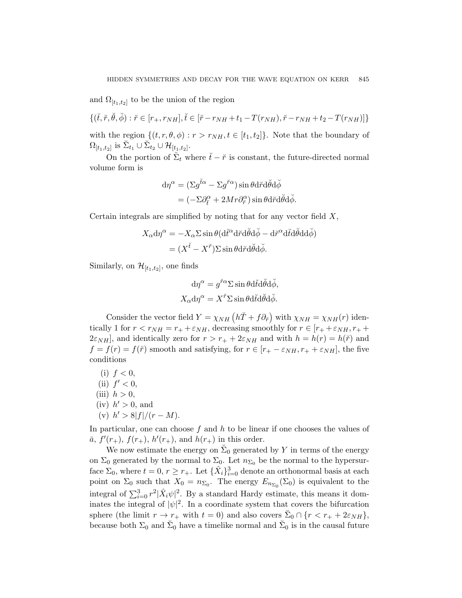and  $\Omega_{[t_1,t_2]}$  to be the union of the region

$$
\{(\breve{t}, \breve{r}, \breve{\theta}, \breve{\phi}) : \breve{r} \in [r_+, r_{NH}], \breve{t} \in [\breve{r} - r_{NH} + t_1 - T(r_{NH}), \breve{r} - r_{NH} + t_2 - T(r_{NH})] \}
$$

with the region  $\{(t, r, \theta, \phi) : r > r_{NH}, t \in [t_1, t_2]\}.$  Note that the boundary of  $\Omega_{[t_1,t_2]}$  is  $\breve{\Sigma}_{t_1} \cup \breve{\Sigma}_{t_2} \cup \mathcal{H}_{[t_1,t_2]}.$ 

On the portion of  $\check{\Sigma}_t$  where  $\check{t} - \check{r}$  is constant, the future-directed normal volume form is

$$
d\eta^{\alpha} = (\Sigma g^{\check{t}\alpha} - \Sigma g^{\check{r}\alpha}) \sin \theta d\check{r} d\check{\theta} d\check{\phi}
$$
  
= 
$$
(-\Sigma \partial_t^{\alpha} + 2Mr \partial_{\check{r}}^{\alpha}) \sin \theta d\check{r} d\check{\theta} d\check{\phi}.
$$

Certain integrals are simplified by noting that for any vector field  $X$ ,

$$
X_{\alpha} d\eta^{\alpha} = -X_{\alpha} \Sigma \sin \theta (d\check{t}^{\alpha} d\check{r} d\check{\theta} d\check{\phi} - d\check{r}^{\alpha} d\check{t} d\check{\theta} d\check{\phi})
$$
  
= 
$$
(X^{\check{t}} - X^{\check{r}}) \Sigma \sin \theta d\check{r} d\check{\theta} d\check{\phi}.
$$

Similarly, on  $\mathcal{H}_{[t_1,t_2]}$ , one finds

$$
d\eta^{\alpha} = g^{\breve{r}\alpha} \Sigma \sin \theta d\breve{t} d\breve{\theta} d\breve{\phi},
$$
  

$$
X_{\alpha} d\eta^{\alpha} = X^{\breve{r}} \Sigma \sin \theta d\breve{t} d\breve{\theta} d\breve{\phi}.
$$

Consider the vector field  $Y = \chi_{NH} \left( h \tilde{T} + f \partial_{\tilde{r}} \right)$  with  $\chi_{NH} = \chi_{NH}(r)$  identically 1 for  $r < r_{NH} = r_+ + \varepsilon_{NH}$ , decreasing smoothly for  $r \in [r_+ + \varepsilon_{NH}, r_+ +$  $2\varepsilon_{NH}$ , and identically zero for  $r > r_+ + 2\varepsilon_{NH}$  and with  $h = h(r) = h(\breve{r})$  and  $f = f(r) = f(\tilde{r})$  smooth and satisfying, for  $r \in [r_+ - \varepsilon_{NH}, r_+ + \varepsilon_{NH}]$ , the five conditions

- (i)  $f < 0$ ,
- (ii)  $f' < 0$ ,
- (iii)  $h > 0$ ,
- $(iv)$   $h' > 0$ , and
- (v)  $h' > 8|f|/(r M)$ .

In particular, one can choose  $f$  and  $h$  to be linear if one chooses the values of  $\bar{a}$ ,  $f'(r_{+})$ ,  $f(r_{+})$ ,  $h'(r_{+})$ , and  $h(r_{+})$  in this order.

We now estimate the energy on  $\check{\Sigma}_0$  generated by Y in terms of the energy on  $\Sigma_0$  generated by the normal to  $\Sigma_0$ . Let  $n_{\Sigma_0}$  be the normal to the hypersurface  $\Sigma_0$ , where  $t = 0$ ,  $r \ge r_+$ . Let  $\{\hat{X}_i\}_{i=0}^3$  denote an orthonormal basis at each point on  $\Sigma_0$  such that  $X_0 = n_{\Sigma_0}$ . The energy  $E_{n_{\Sigma_0}}(\Sigma_0)$  is equivalent to the integral of  $\sum_{i=0}^{3} r^2 |\hat{X}_i \psi|^2$ . By a standard Hardy estimate, this means it dominates the integral of  $|\psi|^2$ . In a coordinate system that covers the bifurcation sphere (the limit  $r \to r_+$  with  $t = 0$ ) and also covers  $\check{\Sigma}_0 \cap \{r < r_+ + 2\varepsilon_{NH}\},\$ because both  $\Sigma_0$  and  $\check{\Sigma}_0$  have a timelike normal and  $\check{\Sigma}_0$  is in the causal future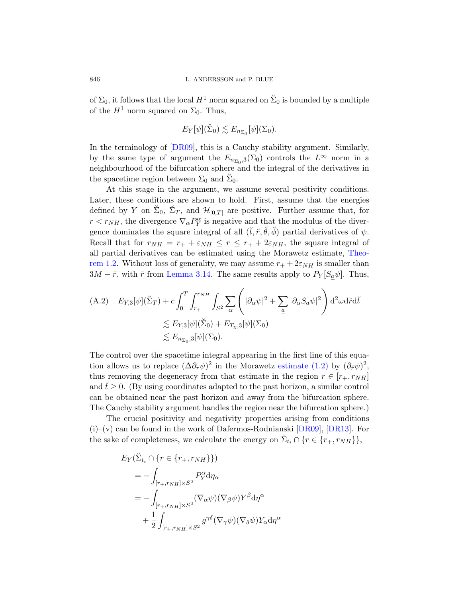of  $\Sigma_0$ , it follows that the local  $H^1$  norm squared on  $\check{\Sigma}_0$  is bounded by a multiple of the  $H^1$  norm squared on  $\Sigma_0$ . Thus,

$$
E_Y[\psi](\check{\Sigma}_0) \lesssim E_{n_{\Sigma_0}}[\psi](\Sigma_0).
$$

In the terminology of [DR09], this is a Cauchy stability argument. Similarly, by the same type of argument the  $E_{n_{\Sigma_0},3}(\Sigma_0)$  controls the  $L^{\infty}$  norm in a neighbourhood of the bifurcation sphere and the integral of the derivatives in the spacetime region between  $\Sigma_0$  and  $\check{\Sigma}_0$ .

At this stage in the argument, we assume [severa](#page-7-1)l positivity conditions. Later, these conditions are shown to hold. First, assume that the energies [defined by](#page-52-0) Y on  $\check{\Sigma}_0$ ,  $\check{\Sigma}_T$ , and  $\mathcal{H}_{[0,T]}$  are positive. Further assume that, for  $r < r_{NH}$ , the divergence  $\nabla_{\alpha} P_{Y}^{\alpha}$  is negative and that the modulus of the divergence dominates the square integral of all  $(\check{t}, \check{r}, \check{\theta}, \check{\phi})$  partial derivatives of  $\psi$ . Recall that for  $r_{NH} = r_+ + \varepsilon_{NH} \leq r \leq r_+ + 2\varepsilon_{NH}$ , the square integral of all partial derivatives can be estimated using the Morawetz estimate, Theorem 1.2. Without loss of generality, we may assume  $r_{+} + 2\varepsilon_{NH}$  is smaller than  $3M - \bar{r}$ , with  $\bar{r}$  from Lemma 3.14. The same results apply to  $P_Y[S_a\psi]$ . Thus,

(A.2) 
$$
E_{Y,3}[\psi](\check{\Sigma}_T) + c \int_0^T \int_{r_+}^{r_{NH}} \int_{S^2} \sum_{\alpha} \left( |\partial_{\alpha} \psi|^2 + \sum_{\underline{a}} |\partial_{\alpha} S_{\underline{a}} \psi|^2 \right) d^2 \omega d\check{r} d\check{t}
$$

$$
\lesssim E_{Y,3}[\psi](\check{\Sigma}_0) + E_{T_X,3}[\psi](\Sigma_0)
$$

$$
\lesssim E_{n_{\Sigma_0},3}[\psi](\Sigma_0).
$$

The control over the spacetime integral appearing in the first line of this equation allows us to replace  $(\Delta \partial_r \psi)^2$  [in the](#page-63-6) [Morawe](#page-63-7)tz estimate  $(1.2)$  by  $(\partial_{\tilde{r}} \psi)^2$ , thus removing the degeneracy from that estimate in the region  $r \in [r_+, r_{NH}]$ and  $t^2 \geq 0$ . (By using coordinates adapted to the past horizon, a similar control can be obtained near the past horizon and away from the bifurcation sphere. The Cauchy stability argument handles the region near the bifurcation sphere.)

The crucial positivity and negativity properties arising from conditions  $(i)$ –(v) can be found in the work of Dafermos-Rodnianski [DR09], [DR13]. For the sake of completeness, we calculate the energy on  $\check{\Sigma}_{t_i} \cap \{r \in \{r_+, r_{NH}\}\},$ 

$$
E_Y(\breve{\Sigma}_{t_i} \cap \{r \in \{r_+, r_{NH}\}\})
$$
  
=  $-\int_{[r_+, r_{NH}] \times S^2} P_Y^{\alpha} d\eta_{\alpha}$   
=  $-\int_{[r_+, r_{NH}] \times S^2} (\nabla_{\alpha} \psi)(\nabla_{\beta} \psi) Y^{\beta} d\eta^{\alpha}$   
+  $\frac{1}{2} \int_{[r_+, r_{NH}] \times S^2} g^{\gamma \delta} (\nabla_{\gamma} \psi)(\nabla_{\delta} \psi) Y_{\alpha} d\eta^{\alpha}$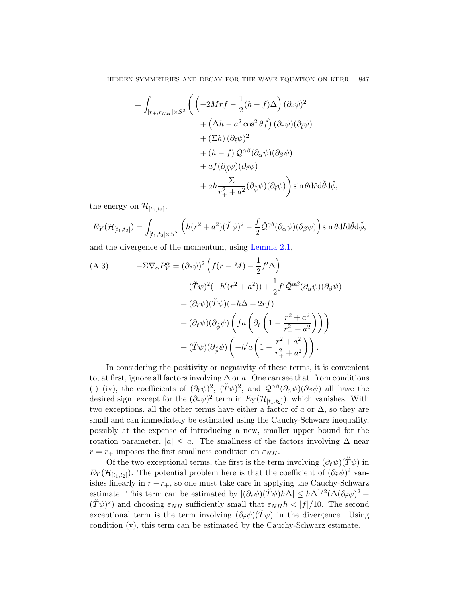$$
= \int_{[r_+,r_{NH}] \times S^2} \left( \left( -2Mrf - \frac{1}{2}(h-f)\Delta \right) (\partial_{\tilde{r}} \psi)^2 + \left( \Delta h - a^2 \cos^2 \theta f \right) (\partial_{\tilde{r}} \psi) (\partial_{\tilde{t}} \psi) + (\Sigma h) (\partial_{\tilde{t}} \psi)^2 + (h - f) \tilde{\mathcal{Q}}^{\alpha\beta} (\partial_{\alpha} \psi) (\partial_{\beta} \psi) + af (\partial_{\tilde{\phi}} \psi) (\partial_{\tilde{r}} \psi) + af (\partial_{\tilde{\phi}} \psi) (\partial_{\tilde{r}} \psi) + ah \frac{\Sigma}{r_+^2 + a^2} (\partial_{\tilde{\phi}} \psi) (\partial_{\tilde{t}} \psi) \right) \sin \theta d\tilde{r} d\tilde{\theta} d\tilde{\phi},
$$

<span id="page-60-0"></span>the energy on  $\mathcal{H}_{[t_1,t_2]},$ 

$$
E_Y(\mathcal{H}_{[t_1,t_2]}) = \int_{[t_1,t_2] \times S^2} \left( h(r^2 + a^2)(\check{T}\psi)^2 - \frac{f}{2} \check{\mathcal{Q}}^{\gamma\delta}(\partial_\alpha \psi)(\partial_\beta \psi) \right) \sin\theta d\check{t} d\check{\theta} d\check{\phi},
$$

and the divergence of the momentum, using Lemma 2.1,

(A.3) 
$$
-\Sigma \nabla_{\alpha} P_{Y}^{\alpha} = (\partial_{\tilde{r}} \psi)^{2} \left( f(r - M) - \frac{1}{2} f^{\prime} \Delta \right) + (\breve{T} \psi)^{2} (-h^{\prime}(r^{2} + a^{2})) + \frac{1}{2} f^{\prime} \breve{\mathcal{Q}}^{\alpha \beta} (\partial_{\alpha} \psi) (\partial_{\beta} \psi) + (\partial_{\tilde{r}} \psi) (\breve{T} \psi) (-h \Delta + 2r f) + (\partial_{\tilde{r}} \psi) (\partial_{\breve{\phi}} \psi) \left( f a \left( \partial_{\tilde{r}} \left( 1 - \frac{r^{2} + a^{2}}{r_{+}^{2} + a^{2}} \right) \right) \right) + (\breve{T} \psi) (\partial_{\breve{\phi}} \psi) \left( -h^{\prime} a \left( 1 - \frac{r^{2} + a^{2}}{r_{+}^{2} + a^{2}} \right) \right).
$$

In considering the positivity or negativity of these terms, it is convenient to, at first, ignore all factors involving  $\Delta$  or a. One can see that, from conditions (i)–(iv), the coefficients of  $(\partial_{\tilde{r}}\psi)^2$ ,  $(\tilde{T}\psi)^2$ , and  $\tilde{\mathcal{Q}}^{\alpha\beta}(\partial_{\alpha}\psi)(\partial_{\beta}\psi)$  all have the desired sign, except for the  $(\partial_{\tilde{r}} \psi)^2$  term in  $E_Y(\mathcal{H}_{[t_1,t_2]})$ , which vanishes. With two exceptions, all the other terms have either a factor of  $a$  or  $\Delta$ , so they are small and can immediately be estimated using the Cauchy-Schwarz inequality, possibly at the expense of introducing a new, smaller upper bound for the rotation parameter,  $|a| \leq \bar{a}$ . The smallness of the factors involving  $\Delta$  near  $r = r_+$  imposes the first smallness condition on  $\varepsilon_{NH}$ .

Of the two exceptional terms, the first is the term involving  $(\partial_{\tilde{r}}\psi)(\tilde{T}\psi)$  in  $E_Y(\mathcal{H}_{[t_1,t_2]})$ . The potential problem here is that the coefficient of  $(\partial_{\tilde{r}}\psi)^2$  vanishes linearly in  $r - r_+$ , so one must take care in applying the Cauchy-Schwarz estimate. This term can be estimated by  $|(\partial_{\tilde{r}}\psi)(\tilde{T}\psi)h\Delta| \leq h\Delta^{1/2}(\Delta(\partial_{\tilde{r}}\psi)^2 +$  $(\check{T}\psi)^2$  and choosing  $\varepsilon_{NH}$  sufficiently small that  $\varepsilon_{NH}h < |f|/10$ . The second exceptional term is the term involving  $(\partial_r \psi)(\tilde{T}\psi)$  in the divergence. Using condition (v), this term can be estimated by the Cauchy-Schwarz estimate.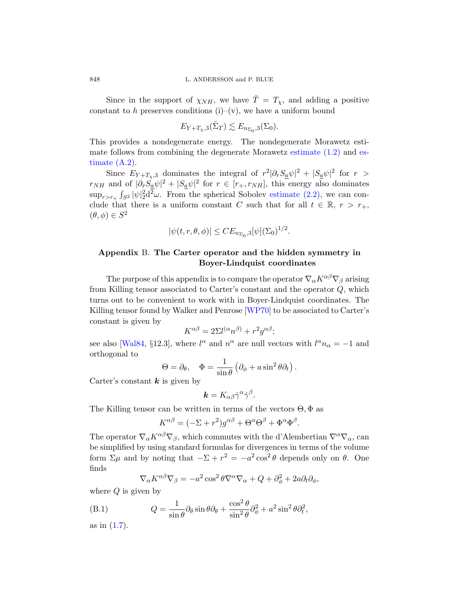Since in the support of  $\chi_{NH}$ , we have  $\check{T} = T_{\chi}$ , and adding a positive constant to h preserves conditions (i)–(v), we have a uniform bound

$$
E_{Y+T_{\chi},3}(\check{\Sigma}_T) \lesssim E_{n_{\Sigma_0},3}(\Sigma_0).
$$

This provides a nondegenerate energy. The nondegenerate Morawetz estimate follows from combining the degenerate Morawetz estimate (1.2) and estimate (A.2).

<span id="page-61-0"></span>Since  $E_{Y+T_x,3}$  dominates the integral of  $r^2|\partial_rS_a\psi|^2 + |S_a\psi|^2$  for  $r >$  $r_{NH}$  and of  $|\partial_r \tilde{S}_a \psi|^2 + |S_a \psi|^2$  for  $r \in [r_+, r_{NH}]$ , this energy also dominates  $\sup_{r>r_+} \int_{S^2} |\psi|^2_2 d^2 \omega$ . From the spherical Sobolev estimate (2.2), we can conclude that there is a uniform constant C such that for all  $t \in \mathbb{R}, r > r_+$ ,  $(\theta, \phi) \in S^2$ 

$$
|\psi(t, r, \theta, \phi)| \leq CE_{n_{\Sigma_0}, 3}[\psi](\Sigma_0)^{1/2}.
$$

## Appendix B. The Carter operator and the hidden symmetry in Boyer-Lindquist coordinates

The purpose of this appendix is to compare the operator  $\nabla_{\alpha} K^{\alpha\beta} \nabla_{\beta}$  arising from Killing tensor associated to Carter's constant and the operator Q, which turns out to be convenient to work with in Boyer-Lindquist coordinates. The Killing tensor found by Walker and Penrose [WP70] to be associated to Carter's constant is given by

$$
K^{\alpha\beta} = 2\Sigma l^{(\alpha}n^{\beta)} + r^2 g^{\alpha\beta};
$$

see also [Wal84, §12.3], where  $l^{\alpha}$  and  $n^{\alpha}$  are null vectors with  $l^{\alpha}n_{\alpha} = -1$  and orthogonal to

$$
\Theta = \partial_{\theta}, \quad \Phi = \frac{1}{\sin \theta} \left( \partial_{\phi} + a \sin^2 \theta \partial_t \right).
$$

Carter's constant  $k$  is given by

$$
\mathbf{k}=K_{\alpha\beta}\dot{\gamma}^{\alpha}\dot{\gamma}^{\beta}.
$$

The Killing tensor can be written in terms of the vectors  $\Theta$ ,  $\Phi$  as

$$
K^{\alpha\beta} = (-\Sigma + r^2)g^{\alpha\beta} + \Theta^{\alpha}\Theta^{\beta} + \Phi^{\alpha}\Phi^{\beta}.
$$

The operator  $\nabla_{\alpha} K^{\alpha\beta} \nabla_{\beta}$ , which commutes with the d'Alembertian  $\nabla^{\alpha} \nabla_{\alpha}$ , can be simplified by using standard formulas for divergences in terms of the volume form  $\Sigma \mu$  and by noting that  $-\Sigma + r^2 = -a^2 \cos^2 \theta$  depends only on  $\theta$ . One finds

$$
\nabla_{\alpha} K^{\alpha\beta} \nabla_{\beta} = -a^2 \cos^2 \theta \nabla^{\alpha} \nabla_{\alpha} + Q + \partial_{\phi}^2 + 2a \partial_t \partial_{\phi},
$$

where  $Q$  is given by

(B.1) 
$$
Q = \frac{1}{\sin \theta} \partial_{\theta} \sin \theta \partial_{\theta} + \frac{\cos^2 \theta}{\sin^2 \theta} \partial_{\phi}^2 + a^2 \sin^2 \theta \partial_t^2,
$$

as in  $(1.7)$ .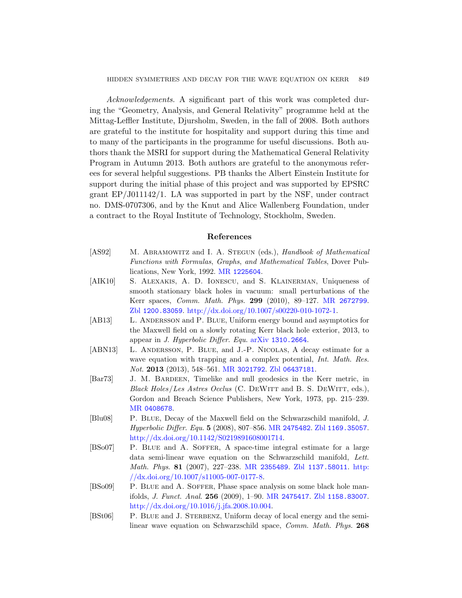Acknowledgements. A significant part of this work was completed during the "Geometry, Analysis, and General Relativity" programme held at the Mittag-Leffler Institute, Djursholm, Sweden, in the fall of 2008. Both authors are grateful to the institute for hospitality and support during this time and to many of the participants in the programme for useful discussions. Both authors thank the MSRI for support during the Mathematical General Relativity Program in Autumn 2013. Both authors are grateful to the anonymous referees for several helpful suggestions. PB thanks the Albert Einstein Institute for support during the initial phase of this project and was supported by EPSRC grant EP/J011142/1. LA was supported in part by the NSF, under contract no. DMS-07[07306, and b](http://www.ams.org/mathscinet-getitem?mr=1225604)y the Knut and Alice Wallenberg Foundation, under a contract to the Royal Institute of Technology, Stockholm, Sweden.

#### Refere[nces](http://www.ams.org/mathscinet-getitem?mr=2672799)

- <span id="page-62-5"></span>[\[AS](http://www.zentralblatt-math.org/zmath/en/search/?q=an:1200.83059)92] M. ABRAMOWITZ and I. A. STEGUN (eds.), Handbook of Mathematical Functions with Formulas, Graphs, and Mathematical Tables, Dover Publications, [New York, 1992.](http://www.arxiv.org/abs/1310.2664) MR 1225604.
- [AIK10] S. ALEXAKIS, A. D. IONESCU, and S. KLAINERMAN, Uniqueness of smooth stationary black holes in vacuum: small perturbations of the K[err spaces,](http://www.ams.org/mathscinet-getitem?mr=3021792) Comm. [Math](http://www.zentralblatt-math.org/zmath/en/search/?q=an:06437181). Phys. 299 (2010), 89–127. MR 2672799. Zbl 1200.83059. http://dx.doi.org/10.1007/s00220-010-1072-1.
- <span id="page-62-0"></span>[AB13] L. ANDERSSON and P. BLUE, Uniform energy bound and asymptotics for the Maxwell field on a slowly rotating Kerr black hole exterior, 2013, to appear in J. Hyperbolic Differ. Equ. arXiv 1310.2664.
- <span id="page-62-3"></span>[ABN13] L. Andersson, P. Blue, and J.-P. Nicolas, A decay estimate for a wave equation [with trapping](http://www.ams.org/mathscinet-getitem?mr=2475482) [and a complex p](http://www.zentralblatt-math.org/zmath/en/search/?q=an:1169.35057)otential, Int. Math. Res. Not. 2013 [\(2013\), 548](http://dx.doi.org/10.1142/S0219891608001714)–561. MR 3021792. Zbl 06437181.
- <span id="page-62-4"></span>[Bar73] J. M. Bardeen, Timelike and null geodesics in the Kerr metric, in Black Holes/Les Astres Occlus (C. DEWITT and B. S. DEWITT, eds.), Gordon [and Breach Sc](http://www.ams.org/mathscinet-getitem?mr=2355489)i[ence Publishers,](http://www.zentralblatt-math.org/zmath/en/search/?q=an:1137.58011) [New Y](http://dx.doi.org/10.1007/s11005-007-0177-8)ork, 1973, pp. 215–239. MR [0408678](http://dx.doi.org/10.1007/s11005-007-0177-8).
- <span id="page-62-2"></span>[Blu08] P. Blue, Decay of the Maxwell field on the Schwarzschild manifold, J. Hyperbolic Differ. Equ. 5 [\(200](http://www.ams.org/mathscinet-getitem?mr=2475417)[8\), 807–856.](http://www.zentralblatt-math.org/zmath/en/search/?q=an:1158.83007) MR 2475482. Zbl 1169.35057. [http://dx.doi.org/](http://dx.doi.org/10.1016/j.jfa.2008.10.004)10.1142/S0219891608001714.
- <span id="page-62-1"></span>[BSo07] P. Blue and A. Soffer, A space-time integral estimate for a large data semi-linear wave equation on the Schwarzschild manifold, Lett. Math. Phys. 81 (2007), 227–238. MR 2355489. Zbl 1137.58011. http: //dx.doi.org/10.1007/s11005-007-0177-8.
- [BSo09] P. Blue and A. Soffer, Phase space analysis on some black hole manifolds, J. Funct. Anal. 256 (2009), 1–90. MR 2475417. Zbl 1158.83007. http://dx.doi.org/10.1016/j.jfa.2008.10.004.
- [BSt06] P. BLUE and J. STERBENZ, Uniform decay of local energy and the semilinear wave equation on Schwarzschild space, Comm. Math. Phys. 268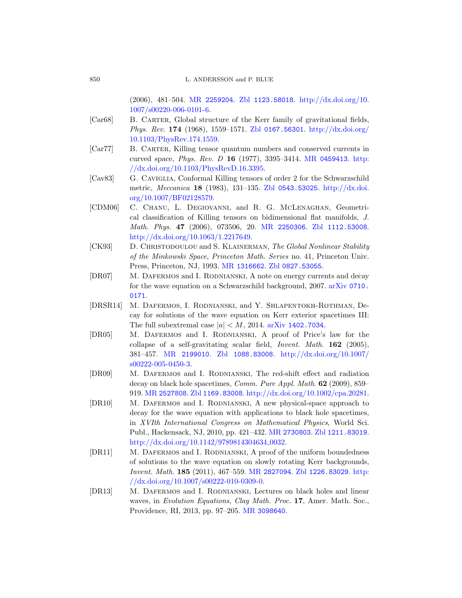<span id="page-63-1"></span><span id="page-63-0"></span>[850](http://dx.doi.org/10.1103/PhysRev.174.1559) L. ANDERSSON and P. BLUE

[\(2006\), 481–504](http://dx.doi.org/10.1103/PhysRevD.16.3395). MR 2259204. [Zbl](http://www.ams.org/mathscinet-getitem?mr=0459413) 112[3.5801](http://dx.doi.org/10.1103/PhysRevD.16.3395)8. http://dx.doi.org/10. 1007/s00220-006-0101-6.

- <span id="page-63-5"></span>[Car68] B. CARTER, G[lobal structure o](http://www.zentralblatt-math.org/zmath/en/search/?q=an:0543.53025)f [the Kerr fami](http://dx.doi.org/10.1007/BF02128579)ly of gravitational fields, [P](http://dx.doi.org/10.1007/BF02128579)hys. Rev. 174 (1968), 1559–1571. Zbl 0167.56301. http://dx.doi.org/ 10.1103/PhysRev.174.1559.
- <span id="page-63-4"></span>[Car77] B. Carter, Killing tensor quantum numbers and conserved currents in curved space, Phys. Rev. D 16 [\(1977\), 3395–3](http://www.zentralblatt-math.org/zmath/en/search/?q=an:1112.53008)414. MR 0459413. http: [//dx.doi.org](http://dx.doi.org/10.1063/1.2217649)/[10.1103/PhysR](http://www.ams.org/mathscinet-getitem?mr=2250306)evD.16.3395.
- [Cav83] G. Caviglia, Conformal Killing tensors of order 2 for the Schwarzschild metric, Meccanica 18 (1983), 131–135. Zbl 0543.53025. http://dx.doi. or[g/10.1007/BF](http://www.ams.org/mathscinet-getitem?mr=1316662)[02128579.](http://www.zentralblatt-math.org/zmath/en/search/?q=an:0827.53055)
- [CDM06] C. Chanu, L. Degiovanni, and R. G. McLenaghan, Geometrical classification of Killing tensor[s on bidimen](http://www.arxiv.org/abs/0710.0171)sional flat manifolds, J. Math. Phys. 47 (2006), 073506, 20. MR 2250306. Zbl 1112.53008. http://dx.doi.org/10.1063/1.2217649.
- <span id="page-63-3"></span>[CK93] D. CHRISTODOULOU and S. KLAINERMAN, The Global Nonlinear Stability of the Minkowski Space, [Princeton](http://www.arxiv.org/abs/1402.7034) Math. Series no. 41, Princeton Univ. Press, Princeton, NJ, 1993. MR 1316662. Zbl 0827.53055.
- [DR07] M. DAFERMOS and I. RODNIANSKI, A note on energy currents and decay f[or the wave equati](http://www.zentralblatt-math.org/zmath/en/search/?q=an:1088.83008)o[n on a Schwarzschild backgr](http://dx.doi.org/10.1007/s00222-005-0450-3)ound, 2007. arXiv 0710. 0171.
- <span id="page-63-6"></span>[\[DRSR](http://dx.doi.org/10.1007/s00222-005-0450-3)14] M. Dafermos, I. Rodnianski, and Y. Shlapentokh-Rothman, Decay for solutions of the wave equation on Kerr exterior spacetimes III: [The full s](http://www.zentralblatt-math.org/zmath/en/search/?q=an:1169.83008)[ubextremal case](http://dx.doi.org/10.1002/cpa.20281)  $|a| < M$ , 2014. arXiv 1402.7034.
- <span id="page-63-8"></span>[\[DR0](http://www.ams.org/mathscinet-getitem?mr=2527808)5] M. Dafermos and I. Rodnianski, A proof of Price's law for the collapse of a self-gravitating scalar field, Invent. Math. 162 (2005), 381–457. MR 2199010. Zbl 1088.83008. http://dx.doi.org/10.1007/ s00222-005-0450-3.
- <span id="page-63-2"></span>[DR09] M. DAFERMOS and I. RODNIANSKI, The red-shift effect and radiation decay on black hole spacetimes, Comm. Pure Appl. Math. 62 (2009), 859– 919. MR 2527808. Zbl 1169.83008. http://dx.doi.org/10.1002/cpa.20281.
- <span id="page-63-7"></span>[DR10] M. DAFERMOS [and](http://www.ams.org/mathscinet-getitem?mr=2827094) I. RODNIANSKI, A n[ew ph](http://dx.doi.org/10.1007/s00222-010-0309-0)ysical-space approach to [decay for the w](http://dx.doi.org/10.1007/s00222-010-0309-0)ave equation with applications to black hole spacetimes, in XVIth International Congress on Mathematical Physics, World Sci. Publ., Hackensack, NJ, 2010, pp. 421–432. MR 2730803. Zbl 1211.83019. http://d[x.doi.org/10.1](http://www.ams.org/mathscinet-getitem?mr=3098640)142/9789814304634<sub>-0032</sub>.
- [DR11] M. DAFERMOS and I. RODNIANSKI, A proof of the uniform boundedness of solutions to the wave equation on slowly rotating Kerr backgrounds, Invent. Math. 185 (2011), 467–559. MR 2827094. Zbl 1226.83029. http: //dx.doi.org/10.1007/s00222-010-0309-0.
- [DR13] M. Dafermos and I. Rodnianski, Lectures on black holes and linear waves, in Evolution Equations, Clay Math. Proc. 17, Amer. Math. Soc., Providence, RI, 2013, pp. 97–205. MR 3098640.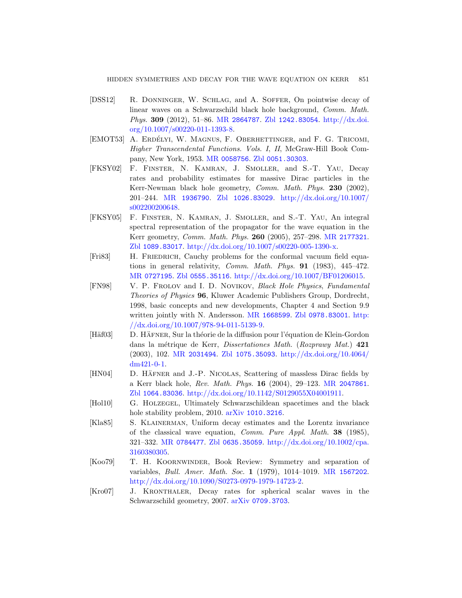- <span id="page-64-6"></span>[DSS12] [R. Donnin](http://www.ams.org/mathscinet-getitem?mr=0058756)ger, [W. Schla](http://www.zentralblatt-math.org/zmath/en/search/?q=an:0051.30303)g, and A. Soffer, On pointwise decay of linear waves on a Schwarzschild black hole background, Comm. Math. Phys. 309 (2012), 51–86. MR 2864787. Zbl 1242.83054. http://dx.doi. o[rg/10.1007/s00220](http://www.zentralblatt-math.org/zmath/en/search/?q=an:1026.83029)-011-1393-8.
- <span id="page-64-5"></span>[\[E](http://dx.doi.org/10.1007/s002200200648)[MOT53\]](http://www.ams.org/mathscinet-getitem?mr=1936790) A. ERDÉLYI, W. MAGNUS, F. OBERHETTINGER, and F. G. TRICOMI, Higher Transcendental Functions. Vols. I, II, McGraw-Hill Book Company, New York, 1953. MR 0058756. Zbl 0051.30303.
- [FKSY02] F. Finster, N. Kamran, J. [Smoller](http://www.ams.org/mathscinet-getitem?mr=2177321), and S.-T. Yau, Decay [rates and probability estimates for](http://dx.doi.org/10.1007/s00220-005-1390-x) massive Dirac particles in the Kerr-Newman black hole geometry, Comm. Math. Phys. 230 (2002), 201–244. MR 1936790. Zbl 1026.83029. http://dx.doi.org/10.1007/ [s0022](http://www.zentralblatt-math.org/zmath/en/search/?q=an:0555.35116)[00200648.](http://dx.doi.org/10.1007/BF01206015)
- <span id="page-64-1"></span>[\[](http://www.ams.org/mathscinet-getitem?mr=0727195)FKSY05] F. Finster, N. Kamran, J. Smoller, and S.-T. Yau, An integral spectral representation of the propagator for the wave equation in the Kerr geometry, Comm. Math. Phys. 260 (2005), 257–298. MR 2177321. Zbl 1089.83017. [http://](http://www.ams.org/mathscinet-getitem?mr=1668599)[dx.doi.org/10.100](http://www.zentralblatt-math.org/zmath/en/search/?q=an:0978.83001)[7/s002](http://dx.doi.org/10.1007/978-94-011-5139-9)20-005-1390-x.
- <span id="page-64-3"></span>[Fri83] [H. Friedrich](http://dx.doi.org/10.1007/978-94-011-5139-9), Cauchy problems for the conformal vacuum field equations in general relativity, Comm. Math. Phys. 91 (1983), 445–472. MR 0727195. Zbl 0555.35116. http://dx.doi.org/10.1007/BF01206015.
- <span id="page-64-4"></span>[\[FN98\]](http://www.ams.org/mathscinet-getitem?mr=2031494) V[. P. Frolov](http://www.zentralblatt-math.org/zmath/en/search/?q=an:1075.35093) and [I. D. Novikov](http://dx.doi.org/10.4064/dm421-0-1), Black Hole Physics, Fundamental Theories of Physics 96, Kluwer Academic Publishers Group, Dordrecht, 1998, basic concepts and new developments, Chapter 4 and Section 9.9 written jointly with N. Andersson. MR [166859](http://www.ams.org/mathscinet-getitem?mr=2047861)9. Zbl 0978.83001. http: [//dx.doi.org/10.1007/978-94-011-5139-9](http://dx.doi.org/10.1142/S0129055X04001911).
- <span id="page-64-2"></span><span id="page-64-0"></span>[Häf03] D. HÄFNER, Sur la théorie de la diffusion pour l'équation de Klein-Gordon dans la métrique de Kerr, Dissertationes Math. (Rozprawy Mat.) 421 (2003), 102. MR 2031494. Zbl 1075.35093. http://dx.doi.org/10.4064/ dm421-0-1.
- [\[HN04\]](http://www.ams.org/mathscinet-getitem?mr=0784477) D. HÄFNER and J.-P. NICOLAS[, Scattering of](http://dx.doi.org/10.1002/cpa.3160380305) massless Dirac fields by a Kerr black hole, Rev. Math. Phys. 16 (2004), 29–123. MR 2047861. Zbl 1064.83036. http://dx.doi.org/10.1142/S0129055X04001911.
- [Hol10] G. Holzegel, Ultimately Schw[arzschildean s](http://www.ams.org/mathscinet-getitem?mr=1567202)pacetimes and the black [hole stability problem, 2010](http://dx.doi.org/10.1090/S0273-0979-1979-14723-2). arXiv 1010.3216.
- <span id="page-64-7"></span>[Kla85] S. KLAINERMAN, Uniform decay estimates and the Lorentz invariance of th[e classical wave](http://www.arxiv.org/abs/0709.3703) equation, Comm. Pure Appl. Math. 38 (1985), 321–332. MR 0784477. Zbl 0635.35059. http://dx.doi.org/10.1002/cpa. 3160380305.
- [Koo79] T. H. Koornwinder, Book Review: Symmetry and separation of variables, Bull. Amer. Math. Soc. 1 (1979), 1014–1019. MR 1567202. http://dx.doi.org/10.1090/S0273-0979-1979-14723-2.
- [Kro07] J. Kronthaler, Decay rates for spherical scalar waves in the Schwarzschild geometry, 2007. arXiv 0709.3703.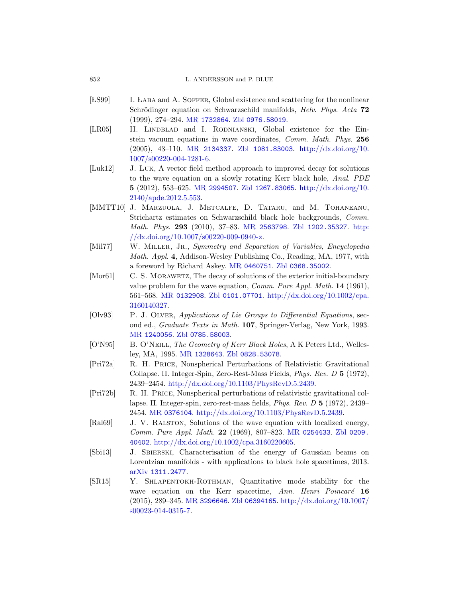<span id="page-65-1"></span>

- [LS99] I. LABA and A. SOFFER, Global existence and scattering for the nonlinear Schrödinger equation on Schwarzschild manifolds, *Helv. Phys. Acta* 72 [\(1999\),](http://www.ams.org/mathscinet-getitem?mr=2994507) [274–294.](http://www.zentralblatt-math.org/zmath/en/search/?q=an:1267.83065) MR 1732864. Zbl [0976.58019](http://dx.doi.org/10.2140/apde.2012.5.553).
- <span id="page-65-3"></span>[\[LR05\]](http://dx.doi.org/10.2140/apde.2012.5.553) H. LINDBLAD and I. RODNIANSKI, Global existence for the Einstein vacuum equations in wave coordinates, Comm. Math. Phys. 256 (2005), 43–110. MR 2134337. Zbl 1081.83003. http://dx.doi.org/10. 1007/s00[220-004-1281-6](http://www.ams.org/mathscinet-getitem?mr=2563798).
- [Luk12] J. Luk[, A vecto](http://dx.doi.org/10.1007/s00220-009-0940-z)r field [method approach](http://www.zentralblatt-math.org/zmath/en/search/?q=an:1202.35327)t[o imp](http://dx.doi.org/10.1007/s00220-009-0940-z)roved decay for solutions to the wave equation on a slowly rotating Kerr black hole, Anal. PDE 5 (2012), 553–625. MR 2994507. Zbl 1267.83065. http://dx.doi.org/10. 2140[/apde.2012.5.5](http://www.ams.org/mathscinet-getitem?mr=0460751)53.
- <span id="page-65-0"></span>[MMTT10] J. Marzuola, J[. Metcalfe](http://www.zentralblatt-math.org/zmath/en/search/?q=an:0368.35002), D. Tataru, and M. Tohaneanu, Strichartz estimates on Schwarzschild black hole backgrounds, Comm. [Math](http://www.zentralblatt-math.org/zmath/en/search/?q=an:0101.07701). Phys. 293 [\(2010\), 37–83.](http://dx.doi.org/10.1002/cpa.3160140327) MR 2563798. Zbl 1202.35327. http:  $//dx.doi.org/10.1007/s00220-009-0940-z.$
- [Mil77] W. MILLER, JR., Symmetry and Separation of Variables, Encyclopedia Math. Appl. 4, Addison-Wesley Publishing Co., Reading, MA, 1977, with [a fore](http://www.zentralblatt-math.org/zmath/en/search/?q=an:0785.58003)word by Richard Askey. MR 0460751. Zbl 0368.35002.
- <span id="page-65-4"></span>[Mor61] C. S. MORAWETZ, The decay of solutions of the exterior initial-boundary [valu](http://www.ams.org/mathscinet-getitem?mr=1328643)[e problem for the](http://www.zentralblatt-math.org/zmath/en/search/?q=an:0828.53078) wave equation, Comm. Pure Appl. Math. 14 (1961), 561–568. MR 0132908. Zbl 0101.07701. http://dx.doi.org/10.1002/cpa. 3160140327.
- [Olv93] P. J. OLVER, [Applications of L](http://dx.doi.org/10.1103/PhysRevD.5.2439)ie Groups to Differential Equations, second ed., Graduate Texts in Math. 107, Springer-Verlag, New York, 1993. MR 1240056. Zbl 0785.58003.
- [\[O'N95](http://www.ams.org/mathscinet-getitem?mr=0376104)] B. O'NEILL, [The Geometry of Kerr Blac](http://dx.doi.org/10.1103/PhysRevD.5.2439)k Holes, A K Peters Ltd., Wellesley, MA, 1995. MR 1328643. Zbl 0828.53078.
- [Pri72a] R. H. Price, Nonsp[herical Perturb](http://www.ams.org/mathscinet-getitem?mr=0254433)[ations of R](http://www.zentralblatt-math.org/zmath/en/search/?q=an:0209.40402)elativistic Gravitational [Collapse. II. Integer-Spin](http://dx.doi.org/10.1002/cpa.3160220605), Zero-Rest-Mass Fields, Phys. Rev. D 5 (1972), 2439–2454. http://dx.doi.org/10.1103/PhysRevD.5.2439.
- <span id="page-65-2"></span>[Pri72b] R. H. Price, Nonspherical perturbations of relativistic gravitational collapse. II. Integer-spin, zero-rest-mass fields, Phys. Rev. D 5 (1972), 2439– 2454. MR 0376104. http://dx.doi.org/10.1103/PhysRevD.5.2439.
- [Ral69] J. V. RALSTON, Solutions of the wave equation with localized energy, [Comm](http://www.ams.org/mathscinet-getitem?mr=3296646). [Pure Appl](http://www.zentralblatt-math.org/zmath/en/search/?q=an:06394165). Math. 22 [\(1969\), 807–823.](http://dx.doi.org/10.1007/s00023-014-0315-7) MR 0254433. Zbl 0209. 40402. http://dx.doi.org/10.1002/cpa.3160220605.
- [\[Sbi13](http://dx.doi.org/10.1007/s00023-014-0315-7)] J. Sbierski, Characterisation of the energy of Gaussian beams on Lorentzian manifolds - with applications to black hole spacetimes, 2013. arXiv 1311.2477.
- [SR15] Y. SHLAPENTOKH-ROTHMAN, Quantitative mode stability for the wave equation on the Kerr spacetime, Ann. Henri Poincaré  $16$ (2015), 289–345. MR 3296646. Zbl 06394165. http://dx.doi.org/10.1007/ s00023-014-0315-7.